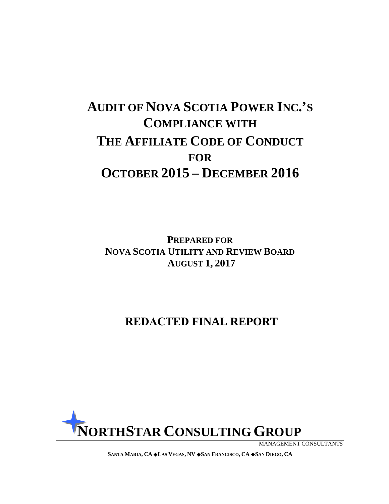# **AUDIT OF NOVA SCOTIA POWER INC.'S COMPLIANCE WITH THE AFFILIATE CODE OF CONDUCT FOR OCTOBER 2015 – DECEMBER 2016**

**PREPARED FOR NOVA SCOTIA UTILITY AND REVIEW BOARD AUGUST 1, 2017** 

## **REDACTED FINAL REPORT**



MANAGEMENT CONSULTANTS

**SANTA MARIA, CA LAS VEGAS, NV SAN FRANCISCO, CA SAN DIEGO, CA**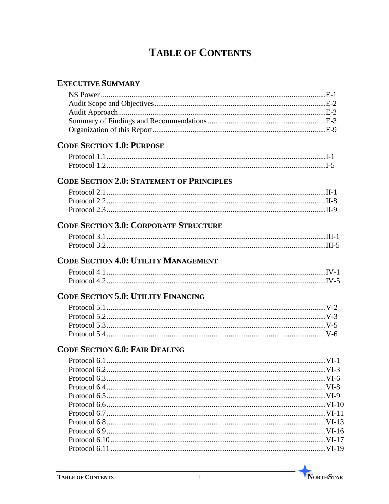# **TABLE OF CONTENTS**

## **EXECUTIVE SUMMARY**

| <b>CODE SECTION 1.0: PURPOSE</b>                 |  |
|--------------------------------------------------|--|
|                                                  |  |
|                                                  |  |
| <b>CODE SECTION 2.0: STATEMENT OF PRINCIPLES</b> |  |
|                                                  |  |
|                                                  |  |
|                                                  |  |
| <b>CODE SECTION 3.0: CORPORATE STRUCTURE</b>     |  |
|                                                  |  |
|                                                  |  |
| <b>CODE SECTION 4.0: UTILITY MANAGEMENT</b>      |  |
|                                                  |  |
|                                                  |  |
| <b>CODE SECTION 5.0: UTILITY FINANCING</b>       |  |
|                                                  |  |
|                                                  |  |
|                                                  |  |
|                                                  |  |
| <b>CODE SECTION 6.0: FAIR DEALING</b>            |  |
|                                                  |  |
|                                                  |  |
|                                                  |  |
|                                                  |  |
|                                                  |  |
|                                                  |  |
|                                                  |  |
|                                                  |  |
|                                                  |  |
|                                                  |  |
|                                                  |  |
|                                                  |  |

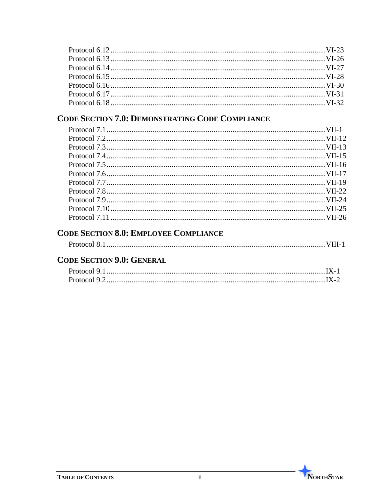## **CODE SECTION 7.0: DEMONSTRATING CODE COMPLIANCE**

## **CODE SECTION 8.0: EMPLOYEE COMPLIANCE**

|--|--|--|--|

## **CODE SECTION 9.0: GENERAL**

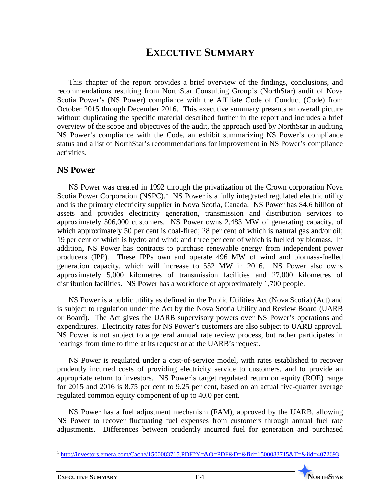## **EXECUTIVE SUMMARY**

This chapter of the report provides a brief overview of the findings, conclusions, and recommendations resulting from NorthStar Consulting Group's (NorthStar) audit of Nova Scotia Power's (NS Power) compliance with the Affiliate Code of Conduct (Code) from October 2015 through December 2016. This executive summary presents an overall picture without duplicating the specific material described further in the report and includes a brief overview of the scope and objectives of the audit, the approach used by NorthStar in auditing NS Power's compliance with the Code, an exhibit summarizing NS Power's compliance status and a list of NorthStar's recommendations for improvement in NS Power's compliance activities.

#### **NS Power**

NS Power was created in 1992 through the privatization of the Crown corporation Nova Scotia Power Corporation  $(NSPC)$ <sup>[1](#page-3-0)</sup> NS Power is a fully integrated regulated electric utility and is the primary electricity supplier in Nova Scotia, Canada. NS Power has \$4.6 billion of assets and provides electricity generation, transmission and distribution services to approximately 506,000 customers. NS Power owns 2,483 MW of generating capacity, of which approximately 50 per cent is coal-fired; 28 per cent of which is natural gas and/or oil; 19 per cent of which is hydro and wind; and three per cent of which is fuelled by biomass. In addition, NS Power has contracts to purchase renewable energy from independent power producers (IPP). These IPPs own and operate 496 MW of wind and biomass-fuelled generation capacity, which will increase to 552 MW in 2016. NS Power also owns approximately 5,000 kilometres of transmission facilities and 27,000 kilometres of distribution facilities. NS Power has a workforce of approximately 1,700 people.

NS Power is a public utility as defined in the Public Utilities Act (Nova Scotia) (Act) and is subject to regulation under the Act by the Nova Scotia Utility and Review Board (UARB or Board). The Act gives the UARB supervisory powers over NS Power's operations and expenditures. Electricity rates for NS Power's customers are also subject to UARB approval. NS Power is not subject to a general annual rate review process, but rather participates in hearings from time to time at its request or at the UARB's request.

NS Power is regulated under a cost-of-service model, with rates established to recover prudently incurred costs of providing electricity service to customers, and to provide an appropriate return to investors. NS Power's target regulated return on equity (ROE) range for 2015 and 2016 is 8.75 per cent to 9.25 per cent, based on an actual five-quarter average regulated common equity component of up to 40.0 per cent.

NS Power has a fuel adjustment mechanism (FAM), approved by the UARB, allowing NS Power to recover fluctuating fuel expenses from customers through annual fuel rate adjustments. Differences between prudently incurred fuel for generation and purchased

<span id="page-3-0"></span><sup>1</sup> <http://investors.emera.com/Cache/1500083715.PDF?Y=&O=PDF&D=&fid=1500083715&T=&iid=4072693>  $\overline{a}$ 

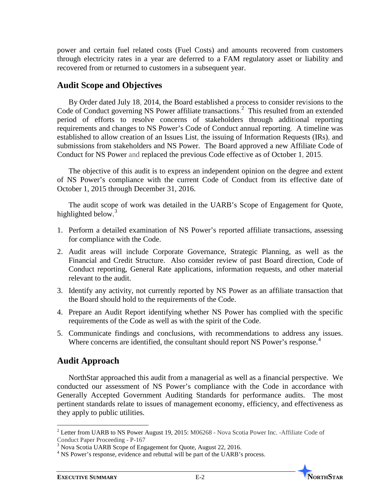power and certain fuel related costs (Fuel Costs) and amounts recovered from customers through electricity rates in a year are deferred to a FAM regulatory asset or liability and recovered from or returned to customers in a subsequent year.

### **Audit Scope and Objectives**

By Order dated July 18, 2014, the Board established a process to consider revisions to the Code of Conduct governing NS Power affiliate transactions. [2](#page-4-0) This resulted from an extended period of efforts to resolve concerns of stakeholders through additional reporting requirements and changes to NS Power's Code of Conduct annual reporting. A timeline was established to allow creation of an Issues List, the issuing of Information Requests (IRs), and submissions from stakeholders and NS Power. The Board approved a new Affiliate Code of Conduct for NS Power and replaced the previous Code effective as of October 1, 2015.

The objective of this audit is to express an independent opinion on the degree and extent of NS Power's compliance with the current Code of Conduct from its effective date of October 1, 2015 through December 31, 2016.

The audit scope of work was detailed in the UARB's Scope of Engagement for Quote, highlighted below.<sup>[3](#page-4-1)</sup>

- 1. Perform a detailed examination of NS Power's reported affiliate transactions, assessing for compliance with the Code.
- 2. Audit areas will include Corporate Governance, Strategic Planning, as well as the Financial and Credit Structure. Also consider review of past Board direction, Code of Conduct reporting, General Rate applications, information requests, and other material relevant to the audit.
- 3. Identify any activity, not currently reported by NS Power as an affiliate transaction that the Board should hold to the requirements of the Code.
- 4. Prepare an Audit Report identifying whether NS Power has complied with the specific requirements of the Code as well as with the spirit of the Code.
- 5. Communicate findings and conclusions, with recommendations to address any issues. Where concerns are identified, the consultant should report NS Power's response.<sup>[4](#page-4-2)</sup>

### **Audit Approach**

 $\overline{a}$ 

NorthStar approached this audit from a managerial as well as a financial perspective. We conducted our assessment of NS Power's compliance with the Code in accordance with Generally Accepted Government Auditing Standards for performance audits. The most pertinent standards relate to issues of management economy, efficiency, and effectiveness as they apply to public utilities.



<span id="page-4-0"></span><sup>&</sup>lt;sup>2</sup> Letter from UARB to NS Power August 19, 2015: M06268 - Nova Scotia Power Inc. -Affiliate Code of Conduct Paper Proceeding - P-167

<span id="page-4-1"></span> $\frac{3}{3}$  Nova Scotia UARB Scope of Engagement for Quote, August 22, 2016.

<span id="page-4-2"></span><sup>&</sup>lt;sup>4</sup> NS Power's response, evidence and rebuttal will be part of the UARB's process.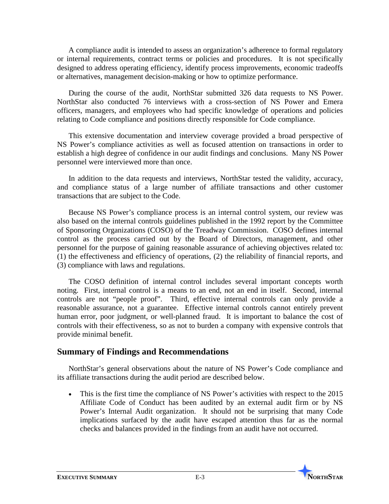A compliance audit is intended to assess an organization's adherence to formal regulatory or internal requirements, contract terms or policies and procedures. It is not specifically designed to address operating efficiency, identify process improvements, economic tradeoffs or alternatives, management decision-making or how to optimize performance.

During the course of the audit, NorthStar submitted 326 data requests to NS Power. NorthStar also conducted 76 interviews with a cross-section of NS Power and Emera officers, managers, and employees who had specific knowledge of operations and policies relating to Code compliance and positions directly responsible for Code compliance.

This extensive documentation and interview coverage provided a broad perspective of NS Power's compliance activities as well as focused attention on transactions in order to establish a high degree of confidence in our audit findings and conclusions. Many NS Power personnel were interviewed more than once.

In addition to the data requests and interviews, NorthStar tested the validity, accuracy, and compliance status of a large number of affiliate transactions and other customer transactions that are subject to the Code.

Because NS Power's compliance process is an internal control system, our review was also based on the internal controls guidelines published in the 1992 report by the Committee of Sponsoring Organizations (COSO) of the Treadway Commission. COSO defines internal control as the process carried out by the Board of Directors, management, and other personnel for the purpose of gaining reasonable assurance of achieving objectives related to: (1) the effectiveness and efficiency of operations, (2) the reliability of financial reports, and (3) compliance with laws and regulations.

The COSO definition of internal control includes several important concepts worth noting. First, internal control is a means to an end, not an end in itself. Second, internal controls are not "people proof". Third, effective internal controls can only provide a reasonable assurance, not a guarantee. Effective internal controls cannot entirely prevent human error, poor judgment, or well-planned fraud. It is important to balance the cost of controls with their effectiveness, so as not to burden a company with expensive controls that provide minimal benefit.

### **Summary of Findings and Recommendations**

NorthStar's general observations about the nature of NS Power's Code compliance and its affiliate transactions during the audit period are described below.

• This is the first time the compliance of NS Power's activities with respect to the 2015 Affiliate Code of Conduct has been audited by an external audit firm or by NS Power's Internal Audit organization. It should not be surprising that many Code implications surfaced by the audit have escaped attention thus far as the normal checks and balances provided in the findings from an audit have not occurred.

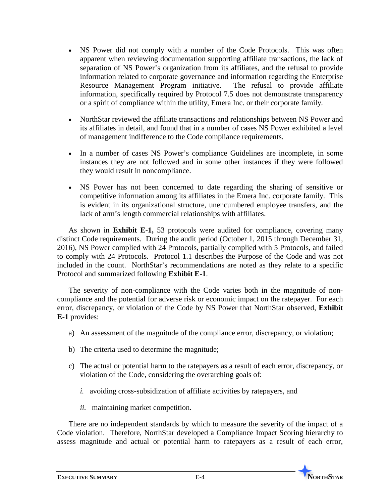- NS Power did not comply with a number of the Code Protocols. This was often apparent when reviewing documentation supporting affiliate transactions, the lack of separation of NS Power's organization from its affiliates, and the refusal to provide information related to corporate governance and information regarding the Enterprise Resource Management Program initiative. The refusal to provide affiliate information, specifically required by Protocol 7.5 does not demonstrate transparency or a spirit of compliance within the utility, Emera Inc. or their corporate family.
- NorthStar reviewed the affiliate transactions and relationships between NS Power and its affiliates in detail, and found that in a number of cases NS Power exhibited a level of management indifference to the Code compliance requirements.
- In a number of cases NS Power's compliance Guidelines are incomplete, in some instances they are not followed and in some other instances if they were followed they would result in noncompliance.
- NS Power has not been concerned to date regarding the sharing of sensitive or competitive information among its affiliates in the Emera Inc. corporate family. This is evident in its organizational structure, unencumbered employee transfers, and the lack of arm's length commercial relationships with affiliates.

As shown in **Exhibit E-1,** 53 protocols were audited for compliance, covering many distinct Code requirements. During the audit period (October 1, 2015 through December 31, 2016), NS Power complied with 24 Protocols, partially complied with 5 Protocols, and failed to comply with 24 Protocols. Protocol 1.1 describes the Purpose of the Code and was not included in the count. NorthStar's recommendations are noted as they relate to a specific Protocol and summarized following **Exhibit E-1**.

The severity of non-compliance with the Code varies both in the magnitude of noncompliance and the potential for adverse risk or economic impact on the ratepayer. For each error, discrepancy, or violation of the Code by NS Power that NorthStar observed, **Exhibit E-1** provides:

- a) An assessment of the magnitude of the compliance error, discrepancy, or violation;
- b) The criteria used to determine the magnitude;
- c) The actual or potential harm to the ratepayers as a result of each error, discrepancy, or violation of the Code, considering the overarching goals of:
	- *i.* avoiding cross-subsidization of affiliate activities by ratepayers, and
	- *ii.* maintaining market competition.

There are no independent standards by which to measure the severity of the impact of a Code violation. Therefore, NorthStar developed a Compliance Impact Scoring hierarchy to assess magnitude and actual or potential harm to ratepayers as a result of each error,

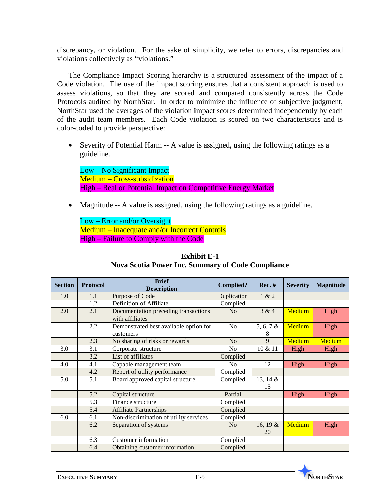discrepancy, or violation. For the sake of simplicity, we refer to errors, discrepancies and violations collectively as "violations."

The Compliance Impact Scoring hierarchy is a structured assessment of the impact of a Code violation. The use of the impact scoring ensures that a consistent approach is used to assess violations, so that they are scored and compared consistently across the Code Protocols audited by NorthStar. In order to minimize the influence of subjective judgment, NorthStar used the averages of the violation impact scores determined independently by each of the audit team members. Each Code violation is scored on two characteristics and is color-coded to provide perspective:

• Severity of Potential Harm -- A value is assigned, using the following ratings as a guideline.

Low – No Significant Impact Medium – Cross-subsidization High – Real or Potential Impact on Competitive Energy Market

• Magnitude -- A value is assigned, using the following ratings as a guideline.

Low – Error and/or Oversight Medium – Inadequate and/or Incorrect Controls High – Failure to Comply with the Code

| <b>Section</b> | <b>Protocol</b> | <b>Brief</b><br><b>Description</b>                      | <b>Complied?</b> | $Rec. \#$         | <b>Severity</b> | <b>Magnitude</b> |
|----------------|-----------------|---------------------------------------------------------|------------------|-------------------|-----------------|------------------|
| 1.0            | 1.1             | Purpose of Code                                         | Duplication      | 1 & 2             |                 |                  |
|                | 1.2             | Definition of Affiliate                                 | Complied         |                   |                 |                  |
| 2.0            | 2.1             | Documentation preceding transactions<br>with affiliates | N <sub>o</sub>   | 3 & 4             | Medium          | High             |
|                | 2.2             | Demonstrated best available option for<br>customers     | N <sub>o</sub>   | 5, 6, 7 $\&$<br>8 | Medium          | High             |
|                | 2.3             | No sharing of risks or rewards                          | N <sub>o</sub>   | 9                 | Medium          | Medium           |
| 3.0            | 3.1             | Corporate structure                                     | N <sub>o</sub>   | 10 & 11           | High            | High             |
|                | 3.2             | List of affiliates                                      | Complied         |                   |                 |                  |
| 4.0            | 4.1             | Capable management team                                 | N <sub>0</sub>   | 12                | High            | High             |
|                | 4.2             | Report of utility performance                           | Complied         |                   |                 |                  |
| 5.0            | 5.1             | Board approved capital structure                        | Complied         | 13, 14 &<br>15    |                 |                  |
|                | 5.2             | Capital structure                                       | Partial          |                   | High            | High             |
|                | 5.3             | Finance structure                                       | Complied         |                   |                 |                  |
|                | 5.4             | <b>Affiliate Partnerships</b>                           | Complied         |                   |                 |                  |
| 6.0            | 6.1             | Non-discrimination of utility services                  | Complied         |                   |                 |                  |
|                | 6.2             | Separation of systems                                   | N <sub>o</sub>   | 16, 19 $\&$<br>20 | Medium          | High             |
|                | 6.3             | Customer information                                    | Complied         |                   |                 |                  |
|                | 6.4             | Obtaining customer information                          | Complied         |                   |                 |                  |

#### **Exhibit E-1 Nova Scotia Power Inc. Summary of Code Compliance**

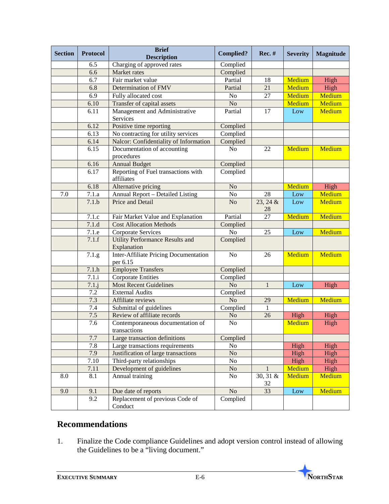| <b>Section</b> | <b>Protocol</b> | <b>Brief</b><br><b>Description</b>                       | <b>Complied?</b>               | <b>Rec. #</b>    | <b>Severity</b> | <b>Magnitude</b> |
|----------------|-----------------|----------------------------------------------------------|--------------------------------|------------------|-----------------|------------------|
|                | 6.5             | Charging of approved rates                               | Complied                       |                  |                 |                  |
|                | 6.6             | Market rates                                             | Complied                       |                  |                 |                  |
|                | 6.7             | Fair market value                                        | Partial                        | 18               | Medium          | High             |
|                | 6.8             | Determination of FMV                                     | Partial                        | 21               | Medium          | High             |
|                | 6.9             | Fully allocated cost                                     | No                             | 27               | Medium          | Medium           |
|                | 6.10            | Transfer of capital assets                               | No                             |                  | Medium          | Medium           |
|                | 6.11            | Management and Administrative<br>Services                | Partial                        | 17               | Low             | Medium           |
|                | 6.12            | Positive time reporting                                  | Complied                       |                  |                 |                  |
|                | 6.13            | No contracting for utility services                      | Complied                       |                  |                 |                  |
|                | 6.14            | Nalcor: Confidentiality of Information                   | Complied                       |                  |                 |                  |
|                | 6.15            | Documentation of accounting<br>procedures                | No                             | 22               | Medium          | Medium           |
|                | 6.16            | <b>Annual Budget</b>                                     | Complied                       |                  |                 |                  |
|                | 6.17            | Reporting of Fuel transactions with<br>affiliates        | Complied                       |                  |                 |                  |
|                | 6.18            | Alternative pricing                                      | No                             |                  | Medium          | High             |
| 7.0            | 7.1.a           | <b>Annual Report - Detailed Listing</b>                  | No                             | 28               | Low             | Medium           |
|                | 7.1.b           | Price and Detail                                         | N <sub>o</sub>                 | 23, 24 &<br>28   | Low             | Medium           |
|                | 7.1.c           | Fair Market Value and Explanation                        | Partial                        | 27               | Medium          | Medium           |
|                | 7.1.d           | <b>Cost Allocation Methods</b>                           | Complied                       |                  |                 |                  |
|                | 7.1.e           | Corporate Services                                       | No                             | 25               | Low             | Medium           |
|                | 7.1.f           | <b>Utility Performance Results and</b><br>Explanation    | Complied                       |                  |                 |                  |
|                | 7.1.g           | <b>Inter-Affiliate Pricing Documentation</b><br>per 6.15 | N <sub>o</sub>                 | 26               | Medium          | Medium           |
|                | 7.1.h           | <b>Employee Transfers</b>                                | Complied                       |                  |                 |                  |
|                | 7.1.i           | <b>Corporate Entities</b>                                | Complied                       |                  |                 |                  |
|                | $7.1$ .j        | <b>Most Recent Guidelines</b>                            | N <sub>o</sub><br>$\mathbf{1}$ |                  | Low             | High             |
|                | 7.2             | <b>External Audits</b>                                   | Complied                       |                  |                 |                  |
|                | 7.3             | Affiliate reviews                                        | N <sub>o</sub>                 | 29               | Medium          | Medium           |
|                | 7.4             | Submittal of guidelines                                  | Complied                       | $\mathbf{1}$     |                 |                  |
|                | 7.5             | Review of affiliate records                              | No                             | 26               | High            | High             |
|                | 7.6             | Contemporaneous documentation of<br>transactions         | N <sub>o</sub>                 |                  | Medium          | High             |
|                | 7.7             | Large transaction definitions                            | Complied                       |                  |                 |                  |
|                | 7.8             | Large transactions requirements                          | No                             |                  | High            | High             |
|                | 7.9             | Justification of large transactions                      | N <sub>o</sub>                 |                  | High            | High             |
|                | 7.10            | Third-party relationships                                | No                             |                  | High            | High             |
|                | 7.11            | Development of guidelines                                | No                             | $\mathbf{1}$     | Medium          | High             |
| 8.0            | 8.1             | Annual training                                          | No                             | $30, 31$ &<br>32 | Medium          | Medium           |
| 9.0            | 9.1             | Due date of reports                                      | No                             | 33               | Low             | Medium           |
|                | 9.2             | Replacement of previous Code of<br>Conduct               | Complied                       |                  |                 |                  |

## **Recommendations**

1. Finalize the Code compliance Guidelines and adopt version control instead of allowing the Guidelines to be a "living document."

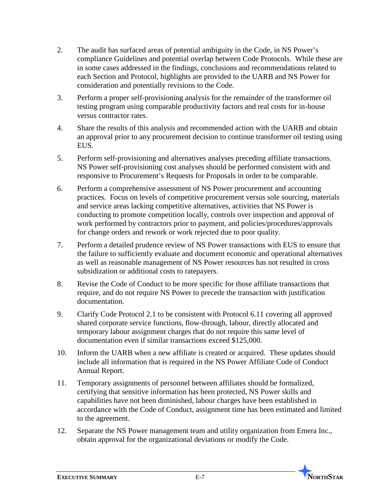- 2. The audit has surfaced areas of potential ambiguity in the Code, in NS Power's compliance Guidelines and potential overlap between Code Protocols. While these are in some cases addressed in the findings, conclusions and recommendations related to each Section and Protocol, highlights are provided to the UARB and NS Power for consideration and potentially revisions to the Code.
- 3. Perform a proper self-provisioning analysis for the remainder of the transformer oil testing program using comparable productivity factors and real costs for in-house versus contractor rates.
- 4. Share the results of this analysis and recommended action with the UARB and obtain an approval prior to any procurement decision to continue transformer oil testing using EUS.
- 5. Perform self-provisioning and alternatives analyses preceding affiliate transactions. NS Power self-provisioning cost analyses should be performed consistent with and responsive to Procurement's Requests for Proposals in order to be comparable.
- 6. Perform a comprehensive assessment of NS Power procurement and accounting practices. Focus on levels of competitive procurement versus sole sourcing, materials and service areas lacking competitive alternatives, activities that NS Power is conducting to promote competition locally, controls over inspection and approval of work performed by contractors prior to payment, and policies/procedures/approvals for change orders and rework or work rejected due to poor quality.
- 7. Perform a detailed prudence review of NS Power transactions with EUS to ensure that the failure to sufficiently evaluate and document economic and operational alternatives as well as reasonable management of NS Power resources has not resulted in cross subsidization or additional costs to ratepayers.
- 8. Revise the Code of Conduct to be more specific for those affiliate transactions that require, and do not require NS Power to precede the transaction with justification documentation.
- 9. Clarify Code Protocol 2.1 to be consistent with Protocol 6.11 covering all approved shared corporate service functions, flow-through, labour, directly allocated and temporary labour assignment charges that do not require this same level of documentation even if similar transactions exceed \$125,000.
- 10. Inform the UARB when a new affiliate is created or acquired. These updates should include all information that is required in the NS Power Affiliate Code of Conduct Annual Report.
- 11. Temporary assignments of personnel between affiliates should be formalized, certifying that sensitive information has been protected, NS Power skills and capabilities have not been diminished, labour charges have been established in accordance with the Code of Conduct, assignment time has been estimated and limited to the agreement.
- 12. Separate the NS Power management team and utility organization from Emera Inc., obtain approval for the organizational deviations or modify the Code.

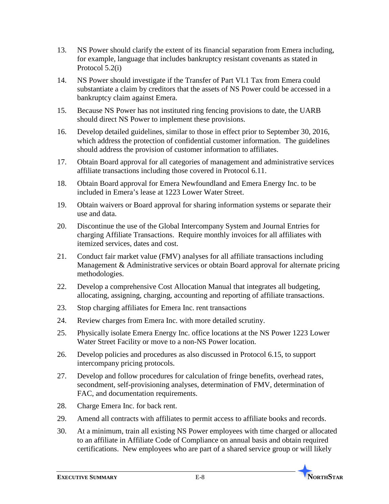- 13. NS Power should clarify the extent of its financial separation from Emera including, for example, language that includes bankruptcy resistant covenants as stated in Protocol 5.2(i)
- 14. NS Power should investigate if the Transfer of Part VI.1 Tax from Emera could substantiate a claim by creditors that the assets of NS Power could be accessed in a bankruptcy claim against Emera.
- 15. Because NS Power has not instituted ring fencing provisions to date, the UARB should direct NS Power to implement these provisions.
- 16. Develop detailed guidelines, similar to those in effect prior to September 30, 2016, which address the protection of confidential customer information. The guidelines should address the provision of customer information to affiliates.
- 17. Obtain Board approval for all categories of management and administrative services affiliate transactions including those covered in Protocol 6.11.
- 18. Obtain Board approval for Emera Newfoundland and Emera Energy Inc. to be included in Emera's lease at 1223 Lower Water Street.
- 19. Obtain waivers or Board approval for sharing information systems or separate their use and data.
- 20. Discontinue the use of the Global Intercompany System and Journal Entries for charging Affiliate Transactions. Require monthly invoices for all affiliates with itemized services, dates and cost.
- 21. Conduct fair market value (FMV) analyses for all affiliate transactions including Management & Administrative services or obtain Board approval for alternate pricing methodologies.
- 22. Develop a comprehensive Cost Allocation Manual that integrates all budgeting, allocating, assigning, charging, accounting and reporting of affiliate transactions.
- 23. Stop charging affiliates for Emera Inc. rent transactions
- 24. Review charges from Emera Inc. with more detailed scrutiny.
- 25. Physically isolate Emera Energy Inc. office locations at the NS Power 1223 Lower Water Street Facility or move to a non-NS Power location.
- 26. Develop policies and procedures as also discussed in Protocol 6.15, to support intercompany pricing protocols.
- 27. Develop and follow procedures for calculation of fringe benefits, overhead rates, secondment, self-provisioning analyses, determination of FMV, determination of FAC, and documentation requirements.
- 28. Charge Emera Inc. for back rent.
- 29. Amend all contracts with affiliates to permit access to affiliate books and records.
- 30. At a minimum, train all existing NS Power employees with time charged or allocated to an affiliate in Affiliate Code of Compliance on annual basis and obtain required certifications. New employees who are part of a shared service group or will likely

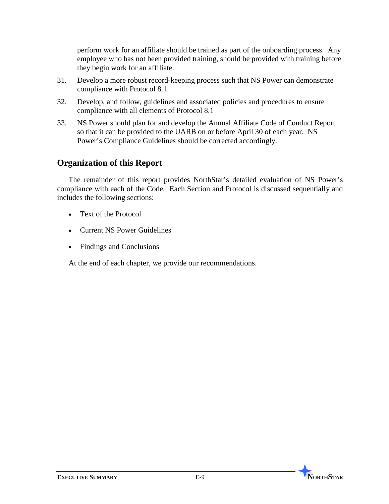perform work for an affiliate should be trained as part of the onboarding process. Any employee who has not been provided training, should be provided with training before they begin work for an affiliate.

- 31. Develop a more robust record-keeping process such that NS Power can demonstrate compliance with Protocol 8.1.
- 32. Develop, and follow, guidelines and associated policies and procedures to ensure compliance with all elements of Protocol 8.1
- 33. NS Power should plan for and develop the Annual Affiliate Code of Conduct Report so that it can be provided to the UARB on or before April 30 of each year. NS Power's Compliance Guidelines should be corrected accordingly.

### **Organization of this Report**

The remainder of this report provides NorthStar's detailed evaluation of NS Power's compliance with each of the Code. Each Section and Protocol is discussed sequentially and includes the following sections:

- Text of the Protocol
- Current NS Power Guidelines
- Findings and Conclusions

At the end of each chapter, we provide our recommendations.

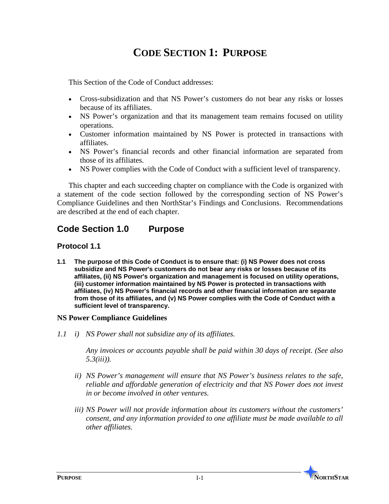## **CODE SECTION 1: PURPOSE**

This Section of the Code of Conduct addresses:

- Cross-subsidization and that NS Power's customers do not bear any risks or losses because of its affiliates.
- NS Power's organization and that its management team remains focused on utility operations.
- Customer information maintained by NS Power is protected in transactions with affiliates.
- NS Power's financial records and other financial information are separated from those of its affiliates.
- NS Power complies with the Code of Conduct with a sufficient level of transparency.

This chapter and each succeeding chapter on compliance with the Code is organized with a statement of the code section followed by the corresponding section of NS Power's Compliance Guidelines and then NorthStar's Findings and Conclusions. Recommendations are described at the end of each chapter.

## **Code Section 1.0 Purpose**

#### **Protocol 1.1**

**1.1 The purpose of this Code of Conduct is to ensure that: (i) NS Power does not cross subsidize and NS Power's customers do not bear any risks or losses because of its affiliates, (ii) NS Power's organization and management is focused on utility operations, (iii) customer information maintained by NS Power is protected in transactions with affiliates, (iv) NS Power's financial records and other financial information are separate from those of its affiliates, and (v) NS Power complies with the Code of Conduct with a sufficient level of transparency.**

#### **NS Power Compliance Guidelines**

*1.1 i) NS Power shall not subsidize any of its affiliates.*

*Any invoices or accounts payable shall be paid within 30 days of receipt. (See also 5.3(iii)).*

- *ii) NS Power's management will ensure that NS Power's business relates to the safe, reliable and affordable generation of electricity and that NS Power does not invest in or become involved in other ventures.*
- *iii) NS Power will not provide information about its customers without the customers' consent, and any information provided to one affiliate must be made available to all other affiliates.*

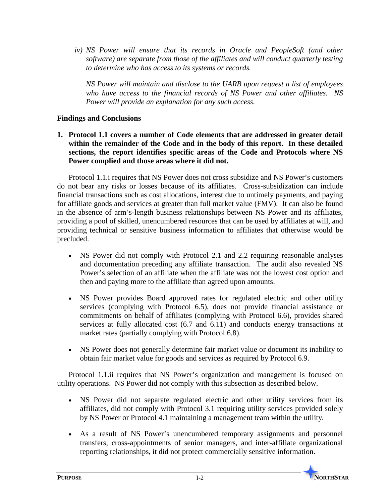*iv) NS Power will ensure that its records in Oracle and PeopleSoft (and other software) are separate from those of the affiliates and will conduct quarterly testing to determine who has access to its systems or records.*

*NS Power will maintain and disclose to the UARB upon request a list of employees who have access to the financial records of NS Power and other affiliates. NS Power will provide an explanation for any such access.* 

#### **Findings and Conclusions**

**1. Protocol 1.1 covers a number of Code elements that are addressed in greater detail within the remainder of the Code and in the body of this report. In these detailed sections, the report identifies specific areas of the Code and Protocols where NS Power complied and those areas where it did not.** 

Protocol 1.1.i requires that NS Power does not cross subsidize and NS Power's customers do not bear any risks or losses because of its affiliates. Cross-subsidization can include financial transactions such as cost allocations, interest due to untimely payments, and paying for affiliate goods and services at greater than full market value (FMV). It can also be found in the absence of arm's-length business relationships between NS Power and its affiliates, providing a pool of skilled, unencumbered resources that can be used by affiliates at will, and providing technical or sensitive business information to affiliates that otherwise would be precluded.

- NS Power did not comply with Protocol 2.1 and 2.2 requiring reasonable analyses and documentation preceding any affiliate transaction. The audit also revealed NS Power's selection of an affiliate when the affiliate was not the lowest cost option and then and paying more to the affiliate than agreed upon amounts.
- NS Power provides Board approved rates for regulated electric and other utility services (complying with Protocol 6.5), does not provide financial assistance or commitments on behalf of affiliates (complying with Protocol 6.6), provides shared services at fully allocated cost (6.7 and 6.11) and conducts energy transactions at market rates (partially complying with Protocol 6.8).
- NS Power does not generally determine fair market value or document its inability to obtain fair market value for goods and services as required by Protocol 6.9.

Protocol 1.1.ii requires that NS Power's organization and management is focused on utility operations. NS Power did not comply with this subsection as described below.

- NS Power did not separate regulated electric and other utility services from its affiliates, did not comply with Protocol 3.1 requiring utility services provided solely by NS Power or Protocol 4.1 maintaining a management team within the utility.
- As a result of NS Power's unencumbered temporary assignments and personnel transfers, cross-appointments of senior managers, and inter-affiliate organizational reporting relationships, it did not protect commercially sensitive information.

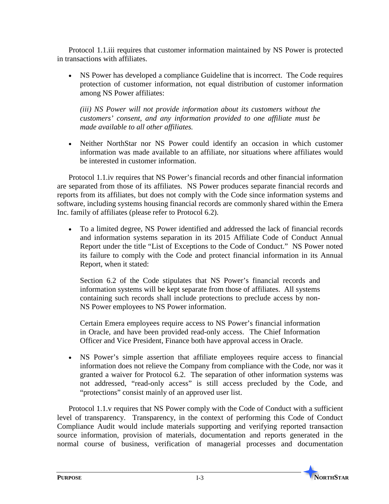Protocol 1.1.iii requires that customer information maintained by NS Power is protected in transactions with affiliates.

• NS Power has developed a compliance Guideline that is incorrect. The Code requires protection of customer information, not equal distribution of customer information among NS Power affiliates:

*(iii) NS Power will not provide information about its customers without the customers' consent, and any information provided to one affiliate must be made available to all other affiliates.* 

• Neither NorthStar nor NS Power could identify an occasion in which customer information was made available to an affiliate, nor situations where affiliates would be interested in customer information.

Protocol 1.1.iv requires that NS Power's financial records and other financial information are separated from those of its affiliates. NS Power produces separate financial records and reports from its affiliates, but does not comply with the Code since information systems and software, including systems housing financial records are commonly shared within the Emera Inc. family of affiliates (please refer to Protocol 6.2).

• To a limited degree, NS Power identified and addressed the lack of financial records and information systems separation in its 2015 Affiliate Code of Conduct Annual Report under the title "List of Exceptions to the Code of Conduct." NS Power noted its failure to comply with the Code and protect financial information in its Annual Report, when it stated:

Section 6.2 of the Code stipulates that NS Power's financial records and information systems will be kept separate from those of affiliates. All systems containing such records shall include protections to preclude access by non-NS Power employees to NS Power information.

Certain Emera employees require access to NS Power's financial information in Oracle, and have been provided read-only access. The Chief Information Officer and Vice President, Finance both have approval access in Oracle.

• NS Power's simple assertion that affiliate employees require access to financial information does not relieve the Company from compliance with the Code, nor was it granted a waiver for Protocol 6.2. The separation of other information systems was not addressed, "read-only access" is still access precluded by the Code, and "protections" consist mainly of an approved user list.

Protocol 1.1.v requires that NS Power comply with the Code of Conduct with a sufficient level of transparency. Transparency, in the context of performing this Code of Conduct Compliance Audit would include materials supporting and verifying reported transaction source information, provision of materials, documentation and reports generated in the normal course of business, verification of managerial processes and documentation

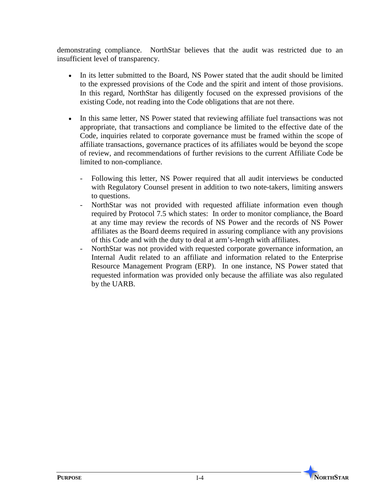demonstrating compliance. NorthStar believes that the audit was restricted due to an insufficient level of transparency.

- In its letter submitted to the Board, NS Power stated that the audit should be limited to the expressed provisions of the Code and the spirit and intent of those provisions. In this regard, NorthStar has diligently focused on the expressed provisions of the existing Code, not reading into the Code obligations that are not there.
- In this same letter, NS Power stated that reviewing affiliate fuel transactions was not appropriate, that transactions and compliance be limited to the effective date of the Code, inquiries related to corporate governance must be framed within the scope of affiliate transactions, governance practices of its affiliates would be beyond the scope of review, and recommendations of further revisions to the current Affiliate Code be limited to non-compliance.
	- Following this letter, NS Power required that all audit interviews be conducted with Regulatory Counsel present in addition to two note-takers, limiting answers to questions.
	- NorthStar was not provided with requested affiliate information even though required by Protocol 7.5 which states: In order to monitor compliance, the Board at any time may review the records of NS Power and the records of NS Power affiliates as the Board deems required in assuring compliance with any provisions of this Code and with the duty to deal at arm's-length with affiliates.
	- NorthStar was not provided with requested corporate governance information, an Internal Audit related to an affiliate and information related to the Enterprise Resource Management Program (ERP). In one instance, NS Power stated that requested information was provided only because the affiliate was also regulated by the UARB.

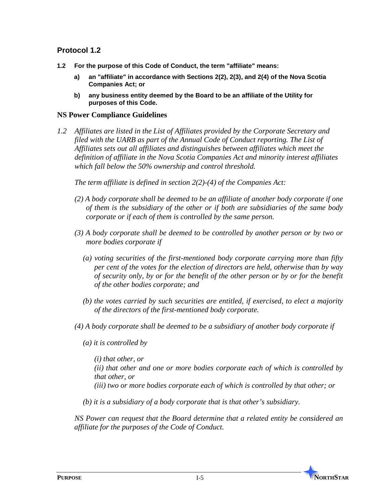#### **Protocol 1.2**

- **1.2 For the purpose of this Code of Conduct, the term "affiliate" means:**
	- **a) an "affiliate" in accordance with Sections 2(2), 2(3), and 2(4) of the Nova Scotia Companies Act; or**
	- **b) any business entity deemed by the Board to be an affiliate of the Utility for purposes of this Code.**

#### **NS Power Compliance Guidelines**

*1.2 Affiliates are listed in the List of Affiliates provided by the Corporate Secretary and filed with the UARB as part of the Annual Code of Conduct reporting. The List of Affiliates sets out all affiliates and distinguishes between affiliates which meet the definition of affiliate in the Nova Scotia Companies Act and minority interest affiliates which fall below the 50% ownership and control threshold.* 

*The term affiliate is defined in section 2(2)-(4) of the Companies Act:*

- *(2) A body corporate shall be deemed to be an affiliate of another body corporate if one of them is the subsidiary of the other or if both are subsidiaries of the same body corporate or if each of them is controlled by the same person.*
- *(3) A body corporate shall be deemed to be controlled by another person or by two or more bodies corporate if* 
	- *(a) voting securities of the first-mentioned body corporate carrying more than fifty per cent of the votes for the election of directors are held, otherwise than by way of security only, by or for the benefit of the other person or by or for the benefit of the other bodies corporate; and*
	- *(b) the votes carried by such securities are entitled, if exercised, to elect a majority of the directors of the first-mentioned body corporate.*
- *(4) A body corporate shall be deemed to be a subsidiary of another body corporate if*
	- *(a) it is controlled by*

*(i) that other, or (ii) that other and one or more bodies corporate each of which is controlled by that other, or (iii) two or more bodies corporate each of which is controlled by that other; or*

*(b) it is a subsidiary of a body corporate that is that other's subsidiary.*

*NS Power can request that the Board determine that a related entity be considered an affiliate for the purposes of the Code of Conduct.*

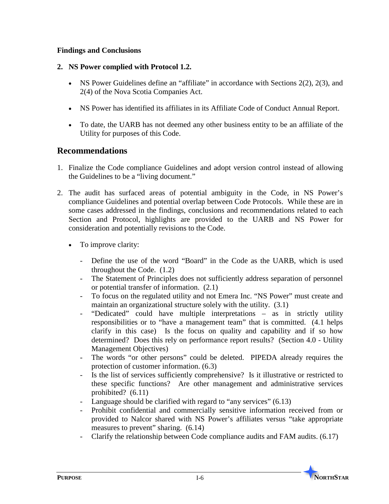#### **Findings and Conclusions**

#### **2. NS Power complied with Protocol 1.2.**

- NS Power Guidelines define an "affiliate" in accordance with Sections  $2(2)$ ,  $2(3)$ , and 2(4) of the Nova Scotia Companies Act.
- NS Power has identified its affiliates in its Affiliate Code of Conduct Annual Report.
- To date, the UARB has not deemed any other business entity to be an affiliate of the Utility for purposes of this Code.

#### **Recommendations**

- 1. Finalize the Code compliance Guidelines and adopt version control instead of allowing the Guidelines to be a "living document."
- 2. The audit has surfaced areas of potential ambiguity in the Code, in NS Power's compliance Guidelines and potential overlap between Code Protocols. While these are in some cases addressed in the findings, conclusions and recommendations related to each Section and Protocol, highlights are provided to the UARB and NS Power for consideration and potentially revisions to the Code.
	- To improve clarity:
		- Define the use of the word "Board" in the Code as the UARB, which is used throughout the Code. (1.2)
		- The Statement of Principles does not sufficiently address separation of personnel or potential transfer of information. (2.1)
		- To focus on the regulated utility and not Emera Inc. "NS Power" must create and maintain an organizational structure solely with the utility. (3.1)
		- "Dedicated" could have multiple interpretations as in strictly utility responsibilities or to "have a management team" that is committed. (4.1 helps clarify in this case) Is the focus on quality and capability and if so how determined? Does this rely on performance report results? (Section 4.0 - Utility Management Objectives)
		- The words "or other persons" could be deleted. PIPEDA already requires the protection of customer information. (6.3)
		- Is the list of services sufficiently comprehensive? Is it illustrative or restricted to these specific functions? Are other management and administrative services prohibited? (6.11)
		- Language should be clarified with regard to "any services" (6.13)
		- Prohibit confidential and commercially sensitive information received from or provided to Nalcor shared with NS Power's affiliates versus "take appropriate measures to prevent" sharing. (6.14)
		- Clarify the relationship between Code compliance audits and FAM audits. (6.17)

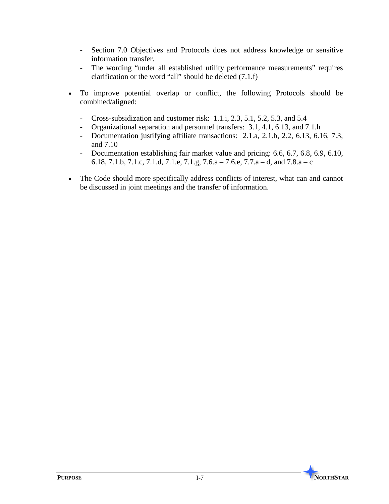- Section 7.0 Objectives and Protocols does not address knowledge or sensitive information transfer.
- The wording "under all established utility performance measurements" requires clarification or the word "all" should be deleted (7.1.f)
- To improve potential overlap or conflict, the following Protocols should be combined/aligned:
	- Cross-subsidization and customer risk: 1.1.i, 2.3, 5.1, 5.2, 5.3, and 5.4
	- Organizational separation and personnel transfers: 3.1, 4.1, 6.13, and 7.1.h
	- Documentation justifying affiliate transactions: 2.1.a, 2.1.b, 2.2, 6.13, 6.16, 7.3, and 7.10
	- Documentation establishing fair market value and pricing: 6.6, 6.7, 6.8, 6.9, 6.10, 6.18, 7.1.b, 7.1.c, 7.1.d, 7.1.e, 7.1.g, 7.6.a – 7.6.e, 7.7.a – d, and 7.8.a – c
- The Code should more specifically address conflicts of interest, what can and cannot be discussed in joint meetings and the transfer of information.

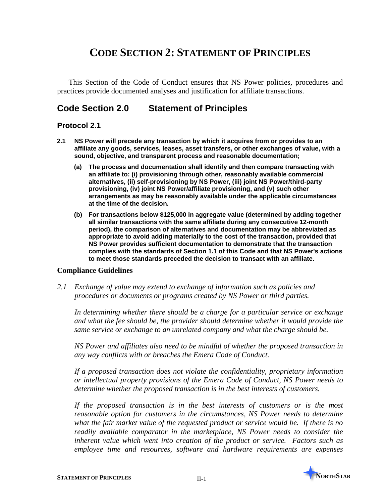## **CODE SECTION 2: STATEMENT OF PRINCIPLES**

This Section of the Code of Conduct ensures that NS Power policies, procedures and practices provide documented analyses and justification for affiliate transactions.

## **Code Section 2.0 Statement of Principles**

#### **Protocol 2.1**

- **2.1 NS Power will precede any transaction by which it acquires from or provides to an affiliate any goods, services, leases, asset transfers, or other exchanges of value, with a sound, objective, and transparent process and reasonable documentation;** 
	- **(a) The process and documentation shall identify and then compare transacting with an affiliate to: (i) provisioning through other, reasonably available commercial alternatives, (ii) self-provisioning by NS Power, (iii) joint NS Power/third-party provisioning, (iv) joint NS Power/affiliate provisioning, and (v) such other arrangements as may be reasonably available under the applicable circumstances at the time of the decision.**
	- **(b) For transactions below \$125,000 in aggregate value (determined by adding together all similar transactions with the same affiliate during any consecutive 12-month period), the comparison of alternatives and documentation may be abbreviated as appropriate to avoid adding materially to the cost of the transaction, provided that NS Power provides sufficient documentation to demonstrate that the transaction complies with the standards of Section 1.1 of this Code and that NS Power's actions to meet those standards preceded the decision to transact with an affiliate.**

#### **Compliance Guidelines**

*2.1 Exchange of value may extend to exchange of information such as policies and procedures or documents or programs created by NS Power or third parties.*

*In determining whether there should be a charge for a particular service or exchange and what the fee should be, the provider should determine whether it would provide the same service or exchange to an unrelated company and what the charge should be.*

*NS Power and affiliates also need to be mindful of whether the proposed transaction in any way conflicts with or breaches the Emera Code of Conduct.*

*If a proposed transaction does not violate the confidentiality, proprietary information or intellectual property provisions of the Emera Code of Conduct, NS Power needs to determine whether the proposed transaction is in the best interests of customers.*

*If the proposed transaction is in the best interests of customers or is the most reasonable option for customers in the circumstances, NS Power needs to determine what the fair market value of the requested product or service would be. If there is no readily available comparator in the marketplace, NS Power needs to consider the inherent value which went into creation of the product or service. Factors such as employee time and resources, software and hardware requirements are expenses* 

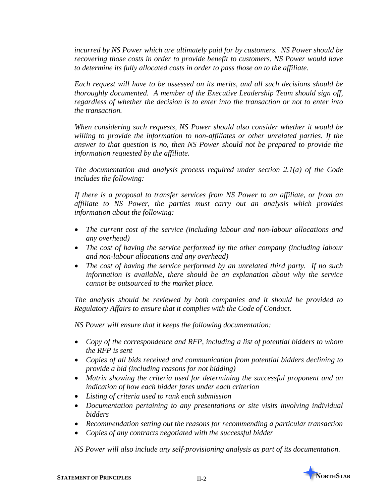*incurred by NS Power which are ultimately paid for by customers. NS Power should be recovering those costs in order to provide benefit to customers. NS Power would have to determine its fully allocated costs in order to pass those on to the affiliate.*

*Each request will have to be assessed on its merits, and all such decisions should be thoroughly documented. A member of the Executive Leadership Team should sign off, regardless of whether the decision is to enter into the transaction or not to enter into the transaction.* 

*When considering such requests, NS Power should also consider whether it would be willing to provide the information to non-affiliates or other unrelated parties. If the answer to that question is no, then NS Power should not be prepared to provide the information requested by the affiliate.*

*The documentation and analysis process required under section 2.1(a) of the Code includes the following:*

*If there is a proposal to transfer services from NS Power to an affiliate, or from an affiliate to NS Power, the parties must carry out an analysis which provides information about the following:*

- *The current cost of the service (including labour and non-labour allocations and any overhead)*
- *The cost of having the service performed by the other company (including labour and non-labour allocations and any overhead)*
- *The cost of having the service performed by an unrelated third party. If no such information is available, there should be an explanation about why the service cannot be outsourced to the market place.*

*The analysis should be reviewed by both companies and it should be provided to Regulatory Affairs to ensure that it complies with the Code of Conduct.*

*NS Power will ensure that it keeps the following documentation:*

- *Copy of the correspondence and RFP, including a list of potential bidders to whom the RFP is sent*
- *Copies of all bids received and communication from potential bidders declining to provide a bid (including reasons for not bidding)*
- *Matrix showing the criteria used for determining the successful proponent and an indication of how each bidder fares under each criterion*
- *Listing of criteria used to rank each submission*
- *Documentation pertaining to any presentations or site visits involving individual bidders*
- *Recommendation setting out the reasons for recommending a particular transaction*
- *Copies of any contracts negotiated with the successful bidder*

*NS Power will also include any self-provisioning analysis as part of its documentation.*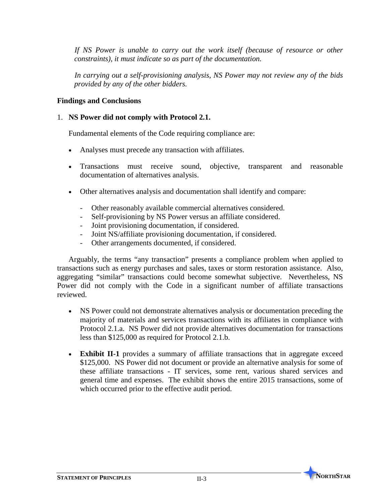If NS Power is unable to carry out the work itself (because of resource or other *constraints), it must indicate so as part of the documentation.*

*In carrying out a self-provisioning analysis, NS Power may not review any of the bids provided by any of the other bidders.*

#### **Findings and Conclusions**

#### 1. **NS Power did not comply with Protocol 2.1.**

Fundamental elements of the Code requiring compliance are:

- Analyses must precede any transaction with affiliates.
- Transactions must receive sound, objective, transparent and reasonable documentation of alternatives analysis.
- Other alternatives analysis and documentation shall identify and compare:
	- Other reasonably available commercial alternatives considered.
	- Self-provisioning by NS Power versus an affiliate considered.
	- Joint provisioning documentation, if considered.
	- Joint NS/affiliate provisioning documentation, if considered.
	- Other arrangements documented, if considered.

Arguably, the terms "any transaction" presents a compliance problem when applied to transactions such as energy purchases and sales, taxes or storm restoration assistance. Also, aggregating "similar" transactions could become somewhat subjective. Nevertheless, NS Power did not comply with the Code in a significant number of affiliate transactions reviewed.

- NS Power could not demonstrate alternatives analysis or documentation preceding the majority of materials and services transactions with its affiliates in compliance with Protocol 2.1.a. NS Power did not provide alternatives documentation for transactions less than \$125,000 as required for Protocol 2.1.b.
- **Exhibit II-1** provides a summary of affiliate transactions that in aggregate exceed \$125,000. NS Power did not document or provide an alternative analysis for some of these affiliate transactions - IT services, some rent, various shared services and general time and expenses. The exhibit shows the entire 2015 transactions, some of which occurred prior to the effective audit period.

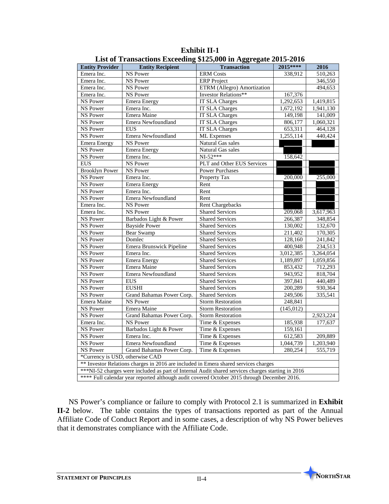| <b>Entity Provider</b>          | <b>Entity Recipient</b>                                                             | <b>Transaction</b>                                                                                | 2015****   | 2016      |  |
|---------------------------------|-------------------------------------------------------------------------------------|---------------------------------------------------------------------------------------------------|------------|-----------|--|
| Emera Inc.                      | <b>NS Power</b>                                                                     | <b>ERM</b> Costs                                                                                  | 338,912    | 510,263   |  |
| Emera Inc.                      | <b>NS Power</b>                                                                     | <b>ERP</b> Project                                                                                |            | 346,550   |  |
| Emera Inc.                      | <b>NS Power</b>                                                                     | ETRM (Allegro) Amortization                                                                       |            | 494,653   |  |
| Emera Inc.                      | <b>NS Power</b>                                                                     | Investor Relations**                                                                              | 167,376    |           |  |
| <b>NS Power</b>                 | <b>Emera</b> Energy                                                                 | <b>IT SLA Charges</b>                                                                             | 1,292,653  | 1,419,815 |  |
| <b>NS Power</b>                 | Emera Inc.                                                                          | <b>IT SLA Charges</b>                                                                             | 1,672,192  | 1,941,130 |  |
| <b>NS Power</b>                 | Emera Maine                                                                         | <b>IT SLA Charges</b>                                                                             | 149,198    | 141,009   |  |
| <b>NS Power</b>                 | Emera Newfoundland                                                                  | <b>IT SLA Charges</b>                                                                             | 806,177    | 1,060,321 |  |
| <b>NS Power</b>                 | <b>EUS</b>                                                                          | <b>IT SLA Charges</b>                                                                             | 653,311    | 464,128   |  |
| <b>NS Power</b>                 | Emera Newfoundland                                                                  | ML Expenses                                                                                       | 1,255,114  | 440,424   |  |
| <b>Emera</b> Energy             | NS Power                                                                            | Natural Gas sales                                                                                 |            |           |  |
| NS Power                        | <b>Emera Energy</b>                                                                 | Natural Gas sales                                                                                 |            |           |  |
| <b>NS Power</b>                 | Emera Inc.                                                                          | $NI-52***$                                                                                        | 158,642    |           |  |
| <b>EUS</b>                      | NS Power                                                                            | PLT and Other EUS Services                                                                        |            |           |  |
| <b>Brooklyn Power</b>           | NS Power                                                                            | <b>Power Purchases</b>                                                                            |            |           |  |
| NS Power                        | Emera Inc.                                                                          | Property Tax                                                                                      | 200,000    | 255,000   |  |
| <b>NS Power</b>                 | Emera Energy                                                                        | Rent                                                                                              |            |           |  |
| NS Power                        | Emera Inc.                                                                          | Rent                                                                                              |            |           |  |
| NS Power                        | Emera Newfoundland                                                                  | Rent                                                                                              |            |           |  |
| Emera Inc.                      | <b>NS Power</b>                                                                     | <b>Rent Chargebacks</b>                                                                           |            |           |  |
| Emera Inc.                      | NS Power                                                                            | <b>Shared Services</b>                                                                            | 209,068    | 3,617,963 |  |
| <b>NS Power</b>                 | Barbados Light & Power                                                              | <b>Shared Services</b>                                                                            | 266,387    | 348,854   |  |
| <b>NS</b> Power                 | <b>Bayside Power</b>                                                                | <b>Shared Services</b>                                                                            | 130,002    | 132,670   |  |
| <b>NS Power</b>                 | <b>Bear Swamp</b>                                                                   | <b>Shared Services</b>                                                                            | 211,402    | 170,305   |  |
| NS Power                        | Domlec                                                                              | <b>Shared Services</b>                                                                            | 128,160    | 241,842   |  |
| <b>NS Power</b>                 | Emera Brunswick Pipeline                                                            | <b>Shared Services</b>                                                                            | 400,948    | 234,513   |  |
| NS Power                        | Emera Inc.                                                                          | <b>Shared Services</b>                                                                            | 3,012,385  | 3,264,054 |  |
| NS Power                        | <b>Emera Energy</b>                                                                 | <b>Shared Services</b>                                                                            | 1,189,897  | 1,059,856 |  |
| NS Power                        | Emera Maine                                                                         | <b>Shared Services</b>                                                                            | 853,432    | 712,293   |  |
| <b>NS Power</b>                 | Emera Newfoundland                                                                  | <b>Shared Services</b>                                                                            | 943,952    | 818,704   |  |
| NS Power                        | <b>EUS</b>                                                                          | <b>Shared Services</b>                                                                            | 397,841    | 440,489   |  |
| <b>NS Power</b>                 | <b>EUSHI</b>                                                                        | <b>Shared Services</b>                                                                            | 200,289    | 930,364   |  |
| <b>NS Power</b>                 | Grand Bahamas Power Corp.                                                           | <b>Shared Services</b>                                                                            | 249,506    | 335,541   |  |
| Emera Maine                     | <b>NS Power</b>                                                                     | <b>Storm Restoration</b>                                                                          | 248,841    |           |  |
| <b>NS Power</b>                 | Emera Maine                                                                         | <b>Storm Restoration</b>                                                                          | (145, 012) |           |  |
| <b>NS Power</b>                 | Grand Bahamas Power Corp.                                                           | <b>Storm Restoration</b>                                                                          |            | 2,923,224 |  |
| Emera Inc.                      | <b>NS Power</b>                                                                     | Time & Expenses                                                                                   | 185,938    | 177,637   |  |
| <b>NS Power</b>                 | Barbados Light & Power                                                              | Time & Expenses                                                                                   | 159,161    |           |  |
| <b>NS Power</b>                 | Emera Inc.                                                                          | Time & Expenses                                                                                   | 612,583    | 209,889   |  |
| NS Power                        | Emera Newfoundland                                                                  | Time & Expenses                                                                                   | 1,044,739  | 1,203,940 |  |
| <b>NS Power</b>                 | Grand Bahamas Power Corp.<br>Time & Expenses<br>280,254<br>555,719                  |                                                                                                   |            |           |  |
| *Currency is USD, otherwise CAD |                                                                                     |                                                                                                   |            |           |  |
|                                 | ** Investor Relations charges in 2016 are included in Emera shared services charges |                                                                                                   |            |           |  |
|                                 |                                                                                     | ***NI-52 charges were included as part of Internal Audit shared services charges starting in 2016 |            |           |  |
|                                 |                                                                                     | **** Full calendar year reported although audit covered October 2015 through December 2016.       |            |           |  |

**Exhibit II-1 List of Transactions Exceeding \$125,000 in Aggregate 2015-2016** 

NS Power's compliance or failure to comply with Protocol 2.1 is summarized in **Exhibit II-2** below. The table contains the types of transactions reported as part of the Annual Affiliate Code of Conduct Report and in some cases, a description of why NS Power believes that it demonstrates compliance with the Affiliate Code.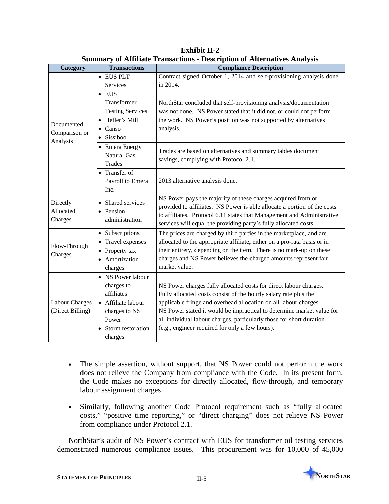| Category<br><b>Transactions</b>           |                                                                                                                                                          | of Himmed Francuolo Description of Hitchmat to Himmyons<br><b>Compliance Description</b>                                                                                                                                                                                                                                                                                                                                                                                                           |  |  |
|-------------------------------------------|----------------------------------------------------------------------------------------------------------------------------------------------------------|----------------------------------------------------------------------------------------------------------------------------------------------------------------------------------------------------------------------------------------------------------------------------------------------------------------------------------------------------------------------------------------------------------------------------------------------------------------------------------------------------|--|--|
|                                           | • EUS PLT                                                                                                                                                | Contract signed October 1, 2014 and self-provisioning analysis done                                                                                                                                                                                                                                                                                                                                                                                                                                |  |  |
|                                           | Services                                                                                                                                                 | in 2014.                                                                                                                                                                                                                                                                                                                                                                                                                                                                                           |  |  |
|                                           | $\bullet$ EUS                                                                                                                                            |                                                                                                                                                                                                                                                                                                                                                                                                                                                                                                    |  |  |
|                                           | Transformer                                                                                                                                              | NorthStar concluded that self-provisioning analysis/documentation                                                                                                                                                                                                                                                                                                                                                                                                                                  |  |  |
|                                           | <b>Testing Services</b>                                                                                                                                  | was not done. NS Power stated that it did not, or could not perform                                                                                                                                                                                                                                                                                                                                                                                                                                |  |  |
|                                           | Hefler's Mill<br>$\bullet$                                                                                                                               | the work. NS Power's position was not supported by alternatives                                                                                                                                                                                                                                                                                                                                                                                                                                    |  |  |
| Documented<br>Comparison or               | • Canso                                                                                                                                                  | analysis.                                                                                                                                                                                                                                                                                                                                                                                                                                                                                          |  |  |
| Analysis                                  | Sissiboo<br>$\bullet$                                                                                                                                    |                                                                                                                                                                                                                                                                                                                                                                                                                                                                                                    |  |  |
|                                           | • Emera Energy                                                                                                                                           |                                                                                                                                                                                                                                                                                                                                                                                                                                                                                                    |  |  |
|                                           | <b>Natural Gas</b>                                                                                                                                       | Trades are based on alternatives and summary tables document<br>savings, complying with Protocol 2.1.                                                                                                                                                                                                                                                                                                                                                                                              |  |  |
|                                           | <b>Trades</b>                                                                                                                                            |                                                                                                                                                                                                                                                                                                                                                                                                                                                                                                    |  |  |
|                                           | Transfer of<br>$\bullet$                                                                                                                                 |                                                                                                                                                                                                                                                                                                                                                                                                                                                                                                    |  |  |
|                                           | Payroll to Emera                                                                                                                                         | 2013 alternative analysis done.                                                                                                                                                                                                                                                                                                                                                                                                                                                                    |  |  |
|                                           | Inc.                                                                                                                                                     |                                                                                                                                                                                                                                                                                                                                                                                                                                                                                                    |  |  |
| Directly                                  | • Shared services                                                                                                                                        | NS Power pays the majority of these charges acquired from or                                                                                                                                                                                                                                                                                                                                                                                                                                       |  |  |
| Allocated                                 | • Pension                                                                                                                                                | provided to affiliates. NS Power is able allocate a portion of the costs                                                                                                                                                                                                                                                                                                                                                                                                                           |  |  |
| Charges                                   | administration                                                                                                                                           | to affiliates. Protocol 6.11 states that Management and Administrative                                                                                                                                                                                                                                                                                                                                                                                                                             |  |  |
|                                           |                                                                                                                                                          | services will equal the providing party's fully allocated costs.                                                                                                                                                                                                                                                                                                                                                                                                                                   |  |  |
|                                           | • Subscriptions                                                                                                                                          | The prices are charged by third parties in the marketplace, and are                                                                                                                                                                                                                                                                                                                                                                                                                                |  |  |
| Flow-Through                              | Travel expenses<br>$\bullet$                                                                                                                             | allocated to the appropriate affiliate, either on a pro-rata basis or in                                                                                                                                                                                                                                                                                                                                                                                                                           |  |  |
| Charges                                   | $\bullet$ Property tax                                                                                                                                   | their entirety, depending on the item. There is no mark-up on these                                                                                                                                                                                                                                                                                                                                                                                                                                |  |  |
|                                           |                                                                                                                                                          |                                                                                                                                                                                                                                                                                                                                                                                                                                                                                                    |  |  |
|                                           |                                                                                                                                                          |                                                                                                                                                                                                                                                                                                                                                                                                                                                                                                    |  |  |
|                                           |                                                                                                                                                          |                                                                                                                                                                                                                                                                                                                                                                                                                                                                                                    |  |  |
|                                           |                                                                                                                                                          |                                                                                                                                                                                                                                                                                                                                                                                                                                                                                                    |  |  |
|                                           |                                                                                                                                                          |                                                                                                                                                                                                                                                                                                                                                                                                                                                                                                    |  |  |
|                                           |                                                                                                                                                          |                                                                                                                                                                                                                                                                                                                                                                                                                                                                                                    |  |  |
|                                           |                                                                                                                                                          |                                                                                                                                                                                                                                                                                                                                                                                                                                                                                                    |  |  |
|                                           |                                                                                                                                                          |                                                                                                                                                                                                                                                                                                                                                                                                                                                                                                    |  |  |
|                                           |                                                                                                                                                          |                                                                                                                                                                                                                                                                                                                                                                                                                                                                                                    |  |  |
| <b>Labour Charges</b><br>(Direct Billing) | Amortization<br>charges<br>• NS Power labour<br>charges to<br>affiliates<br>• Affiliate labour<br>charges to NS<br>Power<br>Storm restoration<br>charges | charges and NS Power believes the charged amounts represent fair<br>market value.<br>NS Power charges fully allocated costs for direct labour charges.<br>Fully allocated costs consist of the hourly salary rate plus the<br>applicable fringe and overhead allocation on all labour charges.<br>NS Power stated it would be impractical to determine market value for<br>all individual labour charges, particularly those for short duration<br>(e.g., engineer required for only a few hours). |  |  |

**Exhibit II-2 Summary of Affiliate Transactions - Description of Alternatives Analysis**

- The simple assertion, without support, that NS Power could not perform the work does not relieve the Company from compliance with the Code. In its present form, the Code makes no exceptions for directly allocated, flow-through, and temporary labour assignment charges.
- Similarly, following another Code Protocol requirement such as "fully allocated costs," "positive time reporting," or "direct charging" does not relieve NS Power from compliance under Protocol 2.1.

NorthStar's audit of NS Power's contract with EUS for transformer oil testing services demonstrated numerous compliance issues. This procurement was for 10,000 of 45,000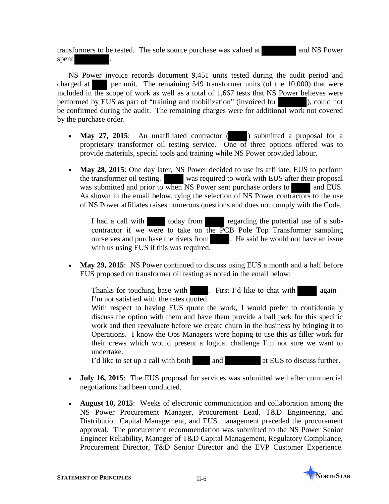transformers to be tested. The sole source purchase was valued at and NS Power spent .

NS Power invoice records document 9,451 units tested during the audit period and charged at per unit. The remaining 549 transformer units (of the 10,000) that were included in the scope of work as well as a total of 1,667 tests that NS Power believes were performed by EUS as part of "training and mobilization" (invoiced for ), could not be confirmed during the audit. The remaining charges were for additional work not covered by the purchase order.

- May 27, 2015: An unaffiliated contractor ( ) submitted a proposal for a proprietary transformer oil testing service. One of three options offered was to provide materials, special tools and training while NS Power provided labour.
- May 28, 2015: One day later, NS Power decided to use its affiliate, EUS to perform the transformer oil testing. was required to work with EUS after their proposal was submitted and prior to when NS Power sent purchase orders to and EUS. As shown in the email below, tying the selection of NS Power contractors to the use of NS Power affiliates raises numerous questions and does not comply with the Code.

I had a call with today from regarding the potential use of a subcontractor if we were to take on the  $\overline{PCB}$  Pole Top Transformer sampling ourselves and purchase the rivets from . He said he would not have an issue with us using EUS if this was required.

• May 29, 2015: NS Power continued to discuss using EUS a month and a half before EUS proposed on transformer oil testing as noted in the email below:

Thanks for touching base with  $\blacksquare$ . First I'd like to chat with again – I'm not satisfied with the rates quoted.

With respect to having EUS quote the work, I would prefer to confidentially discuss the option with them and have them provide a ball park for this specific work and then reevaluate before we create churn in the business by bringing it to Operations. I know the Ops Managers were hoping to use this as filler work for their crews which would present a logical challenge I'm not sure we want to undertake.

I'd like to set up a call with both and  $\blacksquare$  at EUS to discuss further.

- **July 16, 2015**: The EUS proposal for services was submitted well after commercial negotiations had been conducted.
- **August 10, 2015**: Weeks of electronic communication and collaboration among the NS Power Procurement Manager, Procurement Lead, T&D Engineering, and Distribution Capital Management, and EUS management preceded the procurement approval. The procurement recommendation was submitted to the NS Power Senior Engineer Reliability, Manager of T&D Capital Management, Regulatory Compliance, Procurement Director, T&D Senior Director and the EVP Customer Experience.

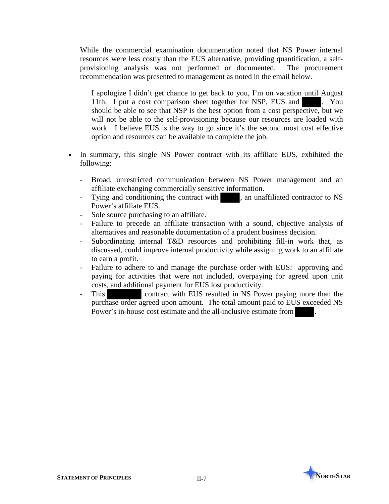While the commercial examination documentation noted that NS Power internal resources were less costly than the EUS alternative, providing quantification, a selfprovisioning analysis was not performed or documented. The procurement recommendation was presented to management as noted in the email below.

I apologize I didn't get chance to get back to you, I'm on vacation until August 11th. I put a cost comparison sheet together for NSP, EUS and . You should be able to see that NSP is the best option from a cost perspective, but we will not be able to the self-provisioning because our resources are loaded with work. I believe EUS is the way to go since it's the second most cost effective option and resources can be available to complete the job.

- In summary, this single NS Power contract with its affiliate EUS, exhibited the following:
	- Broad, unrestricted communication between NS Power management and an affiliate exchanging commercially sensitive information.
	- Tying and conditioning the contract with , an unaffiliated contractor to NS Power's affiliate EUS.
	- Sole source purchasing to an affiliate.
	- Failure to precede an affiliate transaction with a sound, objective analysis of alternatives and reasonable documentation of a prudent business decision.
	- Subordinating internal T&D resources and prohibiting fill-in work that, as discussed, could improve internal productivity while assigning work to an affiliate to earn a profit.
	- Failure to adhere to and manage the purchase order with EUS: approving and paying for activities that were not included, overpaying for agreed upon unit costs, and additional payment for EUS lost productivity.
	- This contract with EUS resulted in NS Power paying more than the purchase order agreed upon amount. The total amount paid to EUS exceeded NS Power's in-house cost estimate and the all-inclusive estimate from

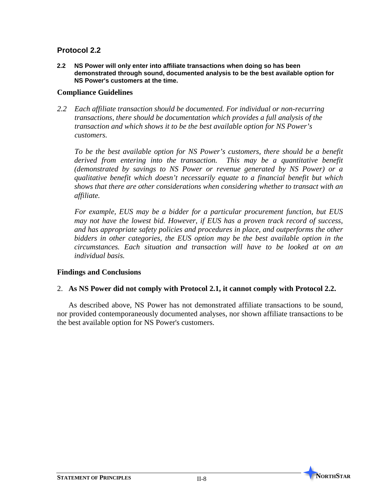#### **Protocol 2.2**

**2.2 NS Power will only enter into affiliate transactions when doing so has been demonstrated through sound, documented analysis to be the best available option for NS Power's customers at the time.**

#### **Compliance Guidelines**

*2.2 Each affiliate transaction should be documented. For individual or non-recurring transactions, there should be documentation which provides a full analysis of the transaction and which shows it to be the best available option for NS Power's customers.*

*To be the best available option for NS Power's customers, there should be a benefit derived from entering into the transaction. This may be a quantitative benefit (demonstrated by savings to NS Power or revenue generated by NS Power) or a qualitative benefit which doesn't necessarily equate to a financial benefit but which shows that there are other considerations when considering whether to transact with an affiliate.*

*For example, EUS may be a bidder for a particular procurement function, but EUS may not have the lowest bid. However, if EUS has a proven track record of success, and has appropriate safety policies and procedures in place, and outperforms the other bidders in other categories, the EUS option may be the best available option in the circumstances. Each situation and transaction will have to be looked at on an individual basis.*

#### **Findings and Conclusions**

#### 2. **As NS Power did not comply with Protocol 2.1, it cannot comply with Protocol 2.2.**

As described above, NS Power has not demonstrated affiliate transactions to be sound, nor provided contemporaneously documented analyses, nor shown affiliate transactions to be the best available option for NS Power's customers.

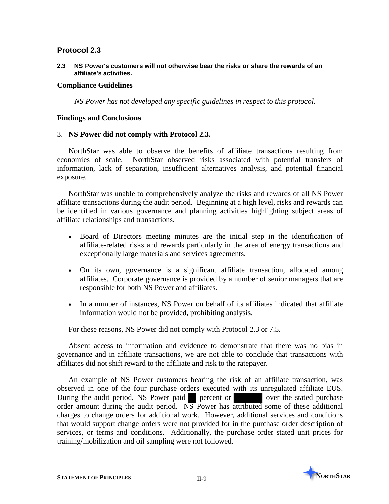#### **Protocol 2.3**

**2.3 NS Power's customers will not otherwise bear the risks or share the rewards of an affiliate's activities.**

#### **Compliance Guidelines**

*NS Power has not developed any specific guidelines in respect to this protocol.* 

#### **Findings and Conclusions**

#### 3. **NS Power did not comply with Protocol 2.3.**

NorthStar was able to observe the benefits of affiliate transactions resulting from economies of scale. NorthStar observed risks associated with potential transfers of information, lack of separation, insufficient alternatives analysis, and potential financial exposure.

NorthStar was unable to comprehensively analyze the risks and rewards of all NS Power affiliate transactions during the audit period. Beginning at a high level, risks and rewards can be identified in various governance and planning activities highlighting subject areas of affiliate relationships and transactions.

- Board of Directors meeting minutes are the initial step in the identification of affiliate-related risks and rewards particularly in the area of energy transactions and exceptionally large materials and services agreements.
- On its own, governance is a significant affiliate transaction, allocated among affiliates. Corporate governance is provided by a number of senior managers that are responsible for both NS Power and affiliates.
- In a number of instances, NS Power on behalf of its affiliates indicated that affiliate information would not be provided, prohibiting analysis.

For these reasons, NS Power did not comply with Protocol 2.3 or 7.5.

Absent access to information and evidence to demonstrate that there was no bias in governance and in affiliate transactions, we are not able to conclude that transactions with affiliates did not shift reward to the affiliate and risk to the ratepayer.

An example of NS Power customers bearing the risk of an affiliate transaction, was observed in one of the four purchase orders executed with its unregulated affiliate EUS. During the audit period, NS Power paid percent or over the stated purchase order amount during the audit period.  $\overline{\text{NS}}$  Power has attributed some of these additional charges to change orders for additional work. However, additional services and conditions that would support change orders were not provided for in the purchase order description of services, or terms and conditions. Additionally, the purchase order stated unit prices for training/mobilization and oil sampling were not followed.

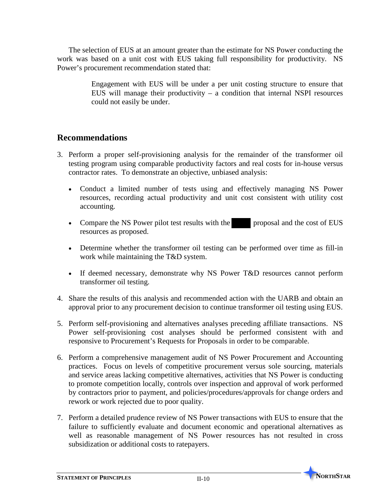The selection of EUS at an amount greater than the estimate for NS Power conducting the work was based on a unit cost with EUS taking full responsibility for productivity. NS Power's procurement recommendation stated that:

> Engagement with EUS will be under a per unit costing structure to ensure that EUS will manage their productivity  $-$  a condition that internal NSPI resources could not easily be under.

## **Recommendations**

- 3. Perform a proper self-provisioning analysis for the remainder of the transformer oil testing program using comparable productivity factors and real costs for in-house versus contractor rates. To demonstrate an objective, unbiased analysis:
	- Conduct a limited number of tests using and effectively managing NS Power resources, recording actual productivity and unit cost consistent with utility cost accounting.
	- Compare the NS Power pilot test results with the proposal and the cost of EUS resources as proposed.
	- Determine whether the transformer oil testing can be performed over time as fill-in work while maintaining the T&D system.
	- If deemed necessary, demonstrate why NS Power T&D resources cannot perform transformer oil testing.
- 4. Share the results of this analysis and recommended action with the UARB and obtain an approval prior to any procurement decision to continue transformer oil testing using EUS.
- 5. Perform self-provisioning and alternatives analyses preceding affiliate transactions. NS Power self-provisioning cost analyses should be performed consistent with and responsive to Procurement's Requests for Proposals in order to be comparable.
- 6. Perform a comprehensive management audit of NS Power Procurement and Accounting practices. Focus on levels of competitive procurement versus sole sourcing, materials and service areas lacking competitive alternatives, activities that NS Power is conducting to promote competition locally, controls over inspection and approval of work performed by contractors prior to payment, and policies/procedures/approvals for change orders and rework or work rejected due to poor quality.
- 7. Perform a detailed prudence review of NS Power transactions with EUS to ensure that the failure to sufficiently evaluate and document economic and operational alternatives as well as reasonable management of NS Power resources has not resulted in cross subsidization or additional costs to ratepayers.

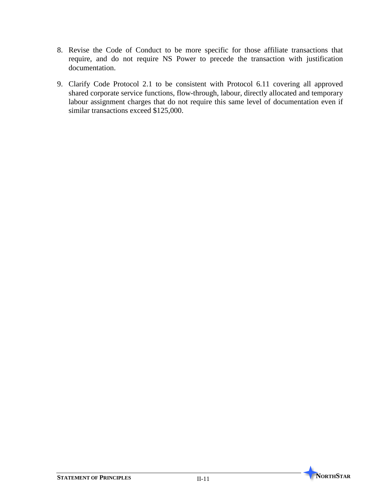- 8. Revise the Code of Conduct to be more specific for those affiliate transactions that require, and do not require NS Power to precede the transaction with justification documentation.
- 9. Clarify Code Protocol 2.1 to be consistent with Protocol 6.11 covering all approved shared corporate service functions, flow-through, labour, directly allocated and temporary labour assignment charges that do not require this same level of documentation even if similar transactions exceed \$125,000.

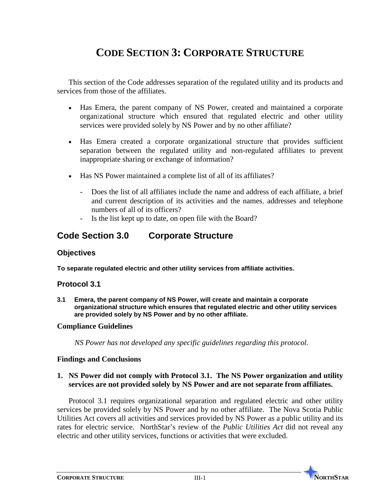## **CODE SECTION 3: CORPORATE STRUCTURE**

This section of the Code addresses separation of the regulated utility and its products and services from those of the affiliates.

- Has Emera, the parent company of NS Power, created and maintained a corporate organizational structure which ensured that regulated electric and other utility services were provided solely by NS Power and by no other affiliate?
- Has Emera created a corporate organizational structure that provides sufficient separation between the regulated utility and non-regulated affiliates to prevent inappropriate sharing or exchange of information?
- Has NS Power maintained a complete list of all of its affiliates?
	- Does the list of all affiliates include the name and address of each affiliate, a brief and current description of its activities and the names, addresses and telephone numbers of all of its officers?
	- Is the list kept up to date, on open file with the Board?

## **Code Section 3.0 Corporate Structure**

#### **Objectives**

**To separate regulated electric and other utility services from affiliate activities.** 

#### **Protocol 3.1**

**3.1 Emera, the parent company of NS Power, will create and maintain a corporate organizational structure which ensures that regulated electric and other utility services are provided solely by NS Power and by no other affiliate.**

#### **Compliance Guidelines**

*NS Power has not developed any specific guidelines regarding this protocol.*

#### **Findings and Conclusions**

#### **1. NS Power did not comply with Protocol 3.1. The NS Power organization and utility services are not provided solely by NS Power and are not separate from affiliates.**

Protocol 3.1 requires organizational separation and regulated electric and other utility services be provided solely by NS Power and by no other affiliate. The Nova Scotia Public Utilities Act covers all activities and services provided by NS Power as a public utility and its rates for electric service. NorthStar's review of the *Public Utilities Act* did not reveal any electric and other utility services, functions or activities that were excluded.

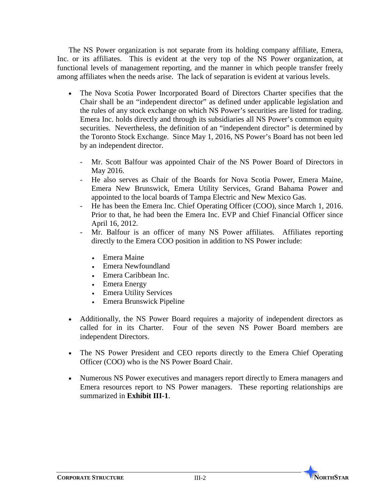The NS Power organization is not separate from its holding company affiliate, Emera, Inc. or its affiliates. This is evident at the very top of the NS Power organization, at functional levels of management reporting, and the manner in which people transfer freely among affiliates when the needs arise. The lack of separation is evident at various levels.

- The Nova Scotia Power Incorporated Board of Directors Charter specifies that the Chair shall be an "independent director" as defined under applicable legislation and the rules of any stock exchange on which NS Power's securities are listed for trading. Emera Inc. holds directly and through its subsidiaries all NS Power's common equity securities. Nevertheless, the definition of an "independent director" is determined by the Toronto Stock Exchange. Since May 1, 2016, NS Power's Board has not been led by an independent director.
	- Mr. Scott Balfour was appointed Chair of the NS Power Board of Directors in May 2016.
	- He also serves as Chair of the Boards for Nova Scotia Power, Emera Maine, Emera New Brunswick, Emera Utility Services, Grand Bahama Power and appointed to the local boards of Tampa Electric and New Mexico Gas.
	- He has been the Emera Inc. Chief Operating Officer (COO), since March 1, 2016. Prior to that, he had been the Emera Inc. EVP and Chief Financial Officer since April 16, 2012.
	- Mr. Balfour is an officer of many NS Power affiliates. Affiliates reporting directly to the Emera COO position in addition to NS Power include:
		- Emera Maine
		- Emera Newfoundland
		- Emera Caribbean Inc.
		- Emera Energy
		- Emera Utility Services
		- Emera Brunswick Pipeline
- Additionally, the NS Power Board requires a majority of independent directors as called for in its Charter. Four of the seven NS Power Board members are independent Directors.
- The NS Power President and CEO reports directly to the Emera Chief Operating Officer (COO) who is the NS Power Board Chair.
- Numerous NS Power executives and managers report directly to Emera managers and Emera resources report to NS Power managers. These reporting relationships are summarized in **Exhibit III-1**.

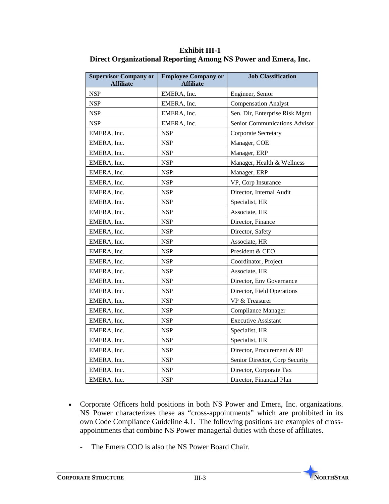| <b>Supervisor Company or</b><br><b>Affiliate</b> | <b>Employee Company or</b><br><b>Affiliate</b> | <b>Job Classification</b>      |
|--------------------------------------------------|------------------------------------------------|--------------------------------|
| <b>NSP</b>                                       | EMERA, Inc.                                    | Engineer, Senior               |
| <b>NSP</b>                                       | EMERA, Inc.                                    | <b>Compensation Analyst</b>    |
| <b>NSP</b>                                       | EMERA, Inc.                                    | Sen. Dir, Enterprise Risk Mgmt |
| <b>NSP</b>                                       | EMERA, Inc.                                    | Senior Communications Advisor  |
| EMERA, Inc.                                      | <b>NSP</b>                                     | Corporate Secretary            |
| EMERA, Inc.                                      | <b>NSP</b>                                     | Manager, COE                   |
| EMERA, Inc.                                      | <b>NSP</b>                                     | Manager, ERP                   |
| EMERA, Inc.                                      | <b>NSP</b>                                     | Manager, Health & Wellness     |
| EMERA, Inc.                                      | <b>NSP</b>                                     | Manager, ERP                   |
| EMERA, Inc.                                      | <b>NSP</b>                                     | VP, Corp Insurance             |
| EMERA, Inc.                                      | <b>NSP</b>                                     | Director, Internal Audit       |
| EMERA, Inc.                                      | <b>NSP</b>                                     | Specialist, HR                 |
| EMERA, Inc.                                      | <b>NSP</b>                                     | Associate, HR                  |
| EMERA, Inc.                                      | <b>NSP</b>                                     | Director, Finance              |
| EMERA, Inc.                                      | <b>NSP</b>                                     | Director, Safety               |
| EMERA, Inc.                                      | <b>NSP</b>                                     | Associate, HR                  |
| EMERA, Inc.                                      | <b>NSP</b>                                     | President & CEO                |
| EMERA, Inc.                                      | <b>NSP</b>                                     | Coordinator, Project           |
| EMERA, Inc.                                      | <b>NSP</b>                                     | Associate, HR                  |
| EMERA, Inc.                                      | <b>NSP</b>                                     | Director, Env Governance       |
| EMERA, Inc.                                      | <b>NSP</b>                                     | Director, Field Operations     |
| EMERA, Inc.                                      | <b>NSP</b>                                     | VP & Treasurer                 |
| EMERA, Inc.                                      | <b>NSP</b>                                     | Compliance Manager             |
| EMERA, Inc.                                      | <b>NSP</b>                                     | <b>Executive Assistant</b>     |
| EMERA, Inc.                                      | <b>NSP</b>                                     | Specialist, HR                 |
| EMERA, Inc.                                      | <b>NSP</b>                                     | Specialist, HR                 |
| EMERA, Inc.                                      | <b>NSP</b>                                     | Director, Procurement & RE     |
| EMERA, Inc.                                      | <b>NSP</b>                                     | Senior Director, Corp Security |
| EMERA, Inc.                                      | <b>NSP</b>                                     | Director, Corporate Tax        |
| EMERA, Inc.                                      | <b>NSP</b>                                     | Director, Financial Plan       |

**Exhibit III-1 Direct Organizational Reporting Among NS Power and Emera, Inc.**

- Corporate Officers hold positions in both NS Power and Emera, Inc. organizations. NS Power characterizes these as "cross-appointments" which are prohibited in its own Code Compliance Guideline 4.1. The following positions are examples of crossappointments that combine NS Power managerial duties with those of affiliates.
	- The Emera COO is also the NS Power Board Chair.

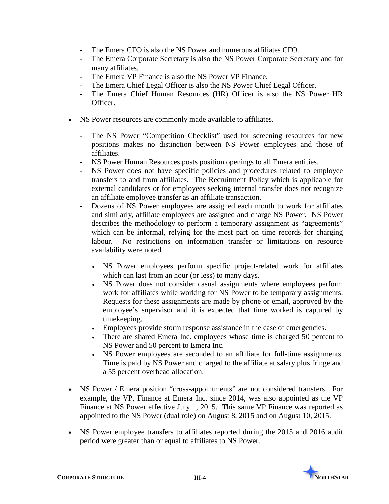- The Emera CFO is also the NS Power and numerous affiliates CFO.
- The Emera Corporate Secretary is also the NS Power Corporate Secretary and for many affiliates.
- The Emera VP Finance is also the NS Power VP Finance.
- The Emera Chief Legal Officer is also the NS Power Chief Legal Officer.
- The Emera Chief Human Resources (HR) Officer is also the NS Power HR Officer.
- NS Power resources are commonly made available to affiliates.
	- The NS Power "Competition Checklist" used for screening resources for new positions makes no distinction between NS Power employees and those of affiliates.
	- NS Power Human Resources posts position openings to all Emera entities.
	- NS Power does not have specific policies and procedures related to employee transfers to and from affiliates. The Recruitment Policy which is applicable for external candidates or for employees seeking internal transfer does not recognize an affiliate employee transfer as an affiliate transaction.
	- Dozens of NS Power employees are assigned each month to work for affiliates and similarly, affiliate employees are assigned and charge NS Power. NS Power describes the methodology to perform a temporary assignment as "agreements" which can be informal, relying for the most part on time records for charging labour. No restrictions on information transfer or limitations on resource availability were noted.
		- NS Power employees perform specific project-related work for affiliates which can last from an hour (or less) to many days.
		- NS Power does not consider casual assignments where employees perform work for affiliates while working for NS Power to be temporary assignments. Requests for these assignments are made by phone or email, approved by the employee's supervisor and it is expected that time worked is captured by timekeeping.
		- Employees provide storm response assistance in the case of emergencies.
		- There are shared Emera Inc. employees whose time is charged 50 percent to NS Power and 50 percent to Emera Inc.
		- NS Power employees are seconded to an affiliate for full-time assignments. Time is paid by NS Power and charged to the affiliate at salary plus fringe and a 55 percent overhead allocation.
- NS Power / Emera position "cross-appointments" are not considered transfers. For example, the VP, Finance at Emera Inc. since 2014, was also appointed as the VP Finance at NS Power effective July 1, 2015. This same VP Finance was reported as appointed to the NS Power (dual role) on August 8, 2015 and on August 10, 2015.
- NS Power employee transfers to affiliates reported during the 2015 and 2016 audit period were greater than or equal to affiliates to NS Power.

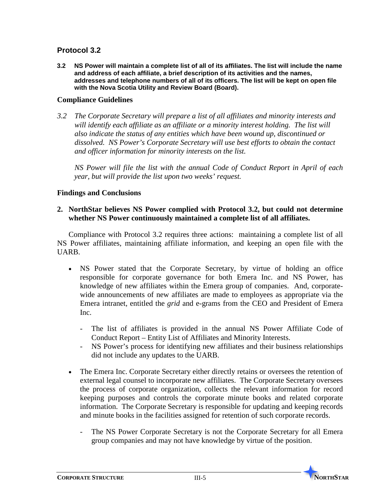#### **Protocol 3.2**

**3.2 NS Power will maintain a complete list of all of its affiliates. The list will include the name and address of each affiliate, a brief description of its activities and the names, addresses and telephone numbers of all of its officers. The list will be kept on open file with the Nova Scotia Utility and Review Board (Board).**

#### **Compliance Guidelines**

*3.2 The Corporate Secretary will prepare a list of all affiliates and minority interests and*  will identify each affiliate as an affiliate or a minority interest holding. The list will *also indicate the status of any entities which have been wound up, discontinued or dissolved. NS Power's Corporate Secretary will use best efforts to obtain the contact and officer information for minority interests on the list.* 

*NS Power will file the list with the annual Code of Conduct Report in April of each year, but will provide the list upon two weeks' request.*

#### **Findings and Conclusions**

#### **2. NorthStar believes NS Power complied with Protocol 3.2, but could not determine whether NS Power continuously maintained a complete list of all affiliates.**

Compliance with Protocol 3.2 requires three actions: maintaining a complete list of all NS Power affiliates, maintaining affiliate information, and keeping an open file with the UARB.

- NS Power stated that the Corporate Secretary, by virtue of holding an office responsible for corporate governance for both Emera Inc. and NS Power, has knowledge of new affiliates within the Emera group of companies. And, corporatewide announcements of new affiliates are made to employees as appropriate via the Emera intranet, entitled the *grid* and e-grams from the CEO and President of Emera Inc.
	- The list of affiliates is provided in the annual NS Power Affiliate Code of Conduct Report – Entity List of Affiliates and Minority Interests.
	- NS Power's process for identifying new affiliates and their business relationships did not include any updates to the UARB.
- The Emera Inc. Corporate Secretary either directly retains or oversees the retention of external legal counsel to incorporate new affiliates. The Corporate Secretary oversees the process of corporate organization, collects the relevant information for record keeping purposes and controls the corporate minute books and related corporate information. The Corporate Secretary is responsible for updating and keeping records and minute books in the facilities assigned for retention of such corporate records.
	- The NS Power Corporate Secretary is not the Corporate Secretary for all Emera group companies and may not have knowledge by virtue of the position.

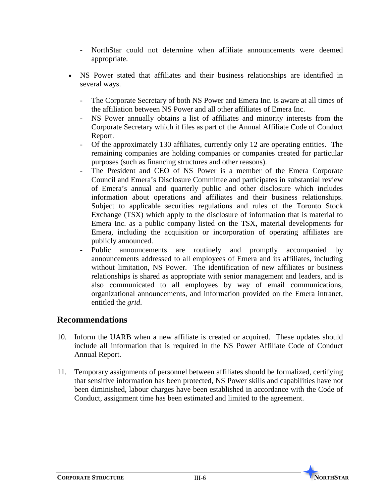- NorthStar could not determine when affiliate announcements were deemed appropriate.
- NS Power stated that affiliates and their business relationships are identified in several ways.
	- The Corporate Secretary of both NS Power and Emera Inc. is aware at all times of the affiliation between NS Power and all other affiliates of Emera Inc.
	- NS Power annually obtains a list of affiliates and minority interests from the Corporate Secretary which it files as part of the Annual Affiliate Code of Conduct Report.
	- Of the approximately 130 affiliates, currently only 12 are operating entities. The remaining companies are holding companies or companies created for particular purposes (such as financing structures and other reasons).
	- The President and CEO of NS Power is a member of the Emera Corporate Council and Emera's Disclosure Committee and participates in substantial review of Emera's annual and quarterly public and other disclosure which includes information about operations and affiliates and their business relationships. Subject to applicable securities regulations and rules of the Toronto Stock Exchange (TSX) which apply to the disclosure of information that is material to Emera Inc. as a public company listed on the TSX, material developments for Emera, including the acquisition or incorporation of operating affiliates are publicly announced.
	- Public announcements are routinely and promptly accompanied by announcements addressed to all employees of Emera and its affiliates, including without limitation, NS Power. The identification of new affiliates or business relationships is shared as appropriate with senior management and leaders, and is also communicated to all employees by way of email communications, organizational announcements, and information provided on the Emera intranet, entitled the *grid*.

## **Recommendations**

- 10. Inform the UARB when a new affiliate is created or acquired. These updates should include all information that is required in the NS Power Affiliate Code of Conduct Annual Report.
- 11. Temporary assignments of personnel between affiliates should be formalized, certifying that sensitive information has been protected, NS Power skills and capabilities have not been diminished, labour charges have been established in accordance with the Code of Conduct, assignment time has been estimated and limited to the agreement.

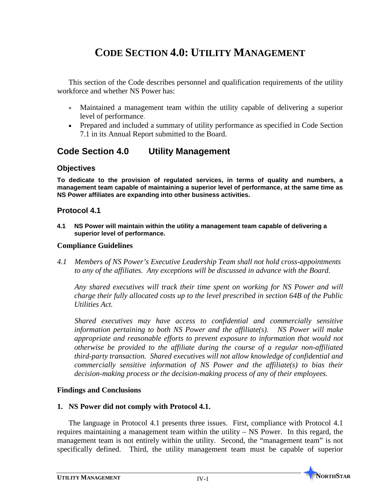# **CODE SECTION 4.0: UTILITY MANAGEMENT**

This section of the Code describes personnel and qualification requirements of the utility workforce and whether NS Power has:

- Maintained a management team within the utility capable of delivering a superior level of performance.
- Prepared and included a summary of utility performance as specified in Code Section 7.1 in its Annual Report submitted to the Board.

# **Code Section 4.0 Utility Management**

#### **Objectives**

**To dedicate to the provision of regulated services, in terms of quality and numbers, a management team capable of maintaining a superior level of performance, at the same time as NS Power affiliates are expanding into other business activities.** 

#### **Protocol 4.1**

**4.1 NS Power will maintain within the utility a management team capable of delivering a superior level of performance.**

#### **Compliance Guidelines**

*4.1 Members of NS Power's Executive Leadership Team shall not hold cross-appointments to any of the affiliates. Any exceptions will be discussed in advance with the Board.*

*Any shared executives will track their time spent on working for NS Power and will charge their fully allocated costs up to the level prescribed in section 64B of the Public Utilities Act.*

*Shared executives may have access to confidential and commercially sensitive information pertaining to both NS Power and the affiliate(s). NS Power will make appropriate and reasonable efforts to prevent exposure to information that would not otherwise be provided to the affiliate during the course of a regular non-affiliated third-party transaction. Shared executives will not allow knowledge of confidential and commercially sensitive information of NS Power and the affiliate(s) to bias their decision-making process or the decision-making process of any of their employees.* 

## **Findings and Conclusions**

## **1. NS Power did not comply with Protocol 4.1.**

The language in Protocol 4.1 presents three issues. First, compliance with Protocol 4.1 requires maintaining a management team within the utility – NS Power. In this regard, the management team is not entirely within the utility. Second, the "management team" is not specifically defined. Third, the utility management team must be capable of superior

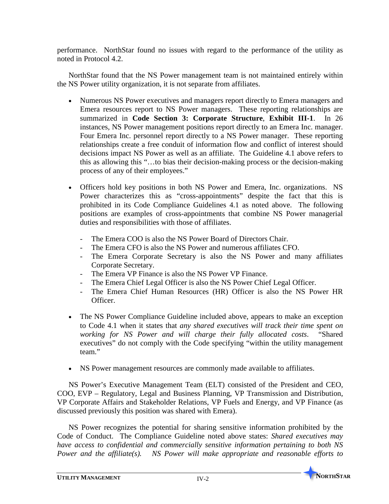performance. NorthStar found no issues with regard to the performance of the utility as noted in Protocol 4.2.

NorthStar found that the NS Power management team is not maintained entirely within the NS Power utility organization, it is not separate from affiliates.

- Numerous NS Power executives and managers report directly to Emera managers and Emera resources report to NS Power managers. These reporting relationships are summarized in **Code Section 3: Corporate Structure**, **Exhibit III-1**. In 26 instances, NS Power management positions report directly to an Emera Inc. manager. Four Emera Inc. personnel report directly to a NS Power manager. These reporting relationships create a free conduit of information flow and conflict of interest should decisions impact NS Power as well as an affiliate. The Guideline 4.1 above refers to this as allowing this "…to bias their decision-making process or the decision-making process of any of their employees."
- Officers hold key positions in both NS Power and Emera, Inc. organizations. NS Power characterizes this as "cross-appointments" despite the fact that this is prohibited in its Code Compliance Guidelines 4.1 as noted above. The following positions are examples of cross-appointments that combine NS Power managerial duties and responsibilities with those of affiliates.
	- The Emera COO is also the NS Power Board of Directors Chair.
	- The Emera CFO is also the NS Power and numerous affiliates CFO.
	- The Emera Corporate Secretary is also the NS Power and many affiliates Corporate Secretary.
	- The Emera VP Finance is also the NS Power VP Finance.
	- The Emera Chief Legal Officer is also the NS Power Chief Legal Officer.
	- The Emera Chief Human Resources (HR) Officer is also the NS Power HR Officer.
- The NS Power Compliance Guideline included above, appears to make an exception to Code 4.1 when it states that *any shared executives will track their time spent on working for NS Power and will charge their fully allocated costs*. "Shared executives" do not comply with the Code specifying "within the utility management team"
- NS Power management resources are commonly made available to affiliates.

NS Power's Executive Management Team (ELT) consisted of the President and CEO, COO, EVP – Regulatory, Legal and Business Planning, VP Transmission and Distribution, VP Corporate Affairs and Stakeholder Relations, VP Fuels and Energy, and VP Finance (as discussed previously this position was shared with Emera).

NS Power recognizes the potential for sharing sensitive information prohibited by the Code of Conduct. The Compliance Guideline noted above states: *Shared executives may have access to confidential and commercially sensitive information pertaining to both NS Power and the affiliate(s). NS Power will make appropriate and reasonable efforts to* 

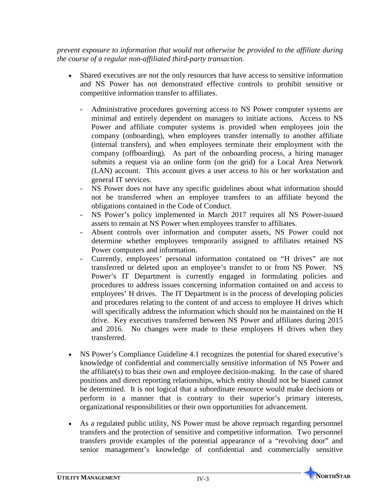*prevent exposure to information that would not otherwise be provided to the affiliate during the course of a regular non-affiliated third-party transaction.*

- Shared executives are not the only resources that have access to sensitive information and NS Power has not demonstrated effective controls to prohibit sensitive or competitive information transfer to affiliates.
	- Administrative procedures governing access to NS Power computer systems are minimal and entirely dependent on managers to initiate actions. Access to NS Power and affiliate computer systems is provided when employees join the company (onboarding), when employees transfer internally to another affiliate (internal transfers), and when employees terminate their employment with the company (offboarding). As part of the onboarding process, a hiring manager submits a request via an online form (on the grid) for a Local Area Network (LAN) account. This account gives a user access to his or her workstation and general IT services.
	- NS Power does not have any specific guidelines about what information should not be transferred when an employee transfers to an affiliate beyond the obligations contained in the Code of Conduct.
	- NS Power's policy implemented in March 2017 requires all NS Power-issued assets to remain at NS Power when employees transfer to affiliates.
	- Absent controls over information and computer assets, NS Power could not determine whether employees temporarily assigned to affiliates retained NS Power computers and information.
	- Currently, employees' personal information contained on "H drives" are not transferred or deleted upon an employee's transfer to or from NS Power. NS Power's IT Department is currently engaged in formulating policies and procedures to address issues concerning information contained on and access to employees' H drives. The IT Department is in the process of developing policies and procedures relating to the content of and access to employee H drives which will specifically address the information which should not be maintained on the H drive. Key executives transferred between NS Power and affiliates during 2015 and 2016. No changes were made to these employees H drives when they transferred.
- NS Power's Compliance Guideline 4.1 recognizes the potential for shared executive's knowledge of confidential and commercially sensitive information of NS Power and the affiliate(s) to bias their own and employee decision-making. In the case of shared positions and direct reporting relationships, which entity should not be biased cannot be determined. It is not logical that a subordinate resource would make decisions or perform in a manner that is contrary to their superior's primary interests, organizational responsibilities or their own opportunities for advancement.
- As a regulated public utility, NS Power must be above reproach regarding personnel transfers and the protection of sensitive and competitive information. Two personnel transfers provide examples of the potential appearance of a "revolving door" and senior management's knowledge of confidential and commercially sensitive

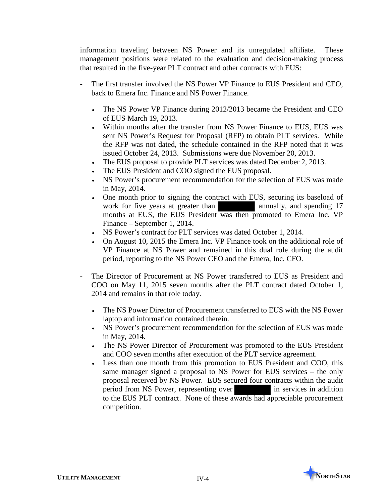information traveling between NS Power and its unregulated affiliate. These management positions were related to the evaluation and decision-making process that resulted in the five-year PLT contract and other contracts with EUS:

- The first transfer involved the NS Power VP Finance to EUS President and CEO, back to Emera Inc. Finance and NS Power Finance.
	- The NS Power VP Finance during 2012/2013 became the President and CEO of EUS March 19, 2013.
	- Within months after the transfer from NS Power Finance to EUS, EUS was sent NS Power's Request for Proposal (RFP) to obtain PLT services. While the RFP was not dated, the schedule contained in the RFP noted that it was issued October 24, 2013. Submissions were due November 20, 2013.
	- The EUS proposal to provide PLT services was dated December 2, 2013.
	- The EUS President and COO signed the EUS proposal.
	- NS Power's procurement recommendation for the selection of EUS was made in May, 2014.
	- One month prior to signing the contract with EUS, securing its baseload of work for five years at greater than annually, and spending 17 months at EUS, the EUS President was then promoted to Emera Inc. VP Finance – September 1, 2014.
	- NS Power's contract for PLT services was dated October 1, 2014.
	- On August 10, 2015 the Emera Inc. VP Finance took on the additional role of VP Finance at NS Power and remained in this dual role during the audit period, reporting to the NS Power CEO and the Emera, Inc. CFO.
- The Director of Procurement at NS Power transferred to EUS as President and COO on May 11, 2015 seven months after the PLT contract dated October 1, 2014 and remains in that role today.
	- The NS Power Director of Procurement transferred to EUS with the NS Power laptop and information contained therein.
	- NS Power's procurement recommendation for the selection of EUS was made in May, 2014.
	- The NS Power Director of Procurement was promoted to the EUS President and COO seven months after execution of the PLT service agreement.
	- Less than one month from this promotion to EUS President and COO, this same manager signed a proposal to NS Power for EUS services – the only proposal received by NS Power. EUS secured four contracts within the audit period from NS Power, representing over in services in addition to the EUS PLT contract. None of these awards had appreciable procurement competition.

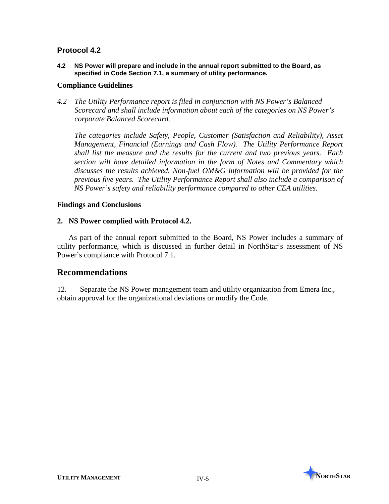**4.2 NS Power will prepare and include in the annual report submitted to the Board, as specified in Code Section 7.1, a summary of utility performance.**

#### **Compliance Guidelines**

*4.2 The Utility Performance report is filed in conjunction with NS Power's Balanced Scorecard and shall include information about each of the categories on NS Power's corporate Balanced Scorecard.* 

*The categories include Safety, People, Customer (Satisfaction and Reliability), Asset Management, Financial (Earnings and Cash Flow). The Utility Performance Report shall list the measure and the results for the current and two previous years. Each section will have detailed information in the form of Notes and Commentary which discusses the results achieved. Non-fuel OM&G information will be provided for the previous five years. The Utility Performance Report shall also include a comparison of NS Power's safety and reliability performance compared to other CEA utilities.* 

## **Findings and Conclusions**

#### **2. NS Power complied with Protocol 4.2.**

As part of the annual report submitted to the Board, NS Power includes a summary of utility performance, which is discussed in further detail in NorthStar's assessment of NS Power's compliance with Protocol 7.1.

# **Recommendations**

12. Separate the NS Power management team and utility organization from Emera Inc., obtain approval for the organizational deviations or modify the Code.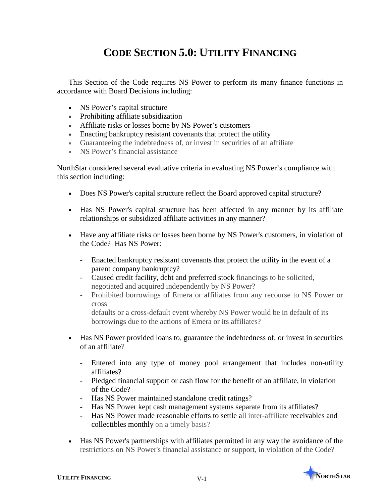# **CODE SECTION 5.0: UTILITY FINANCING**

This Section of the Code requires NS Power to perform its many finance functions in accordance with Board Decisions including:

- NS Power's capital structure
- Prohibiting affiliate subsidization
- Affiliate risks or losses borne by NS Power's customers
- Enacting bankruptcy resistant covenants that protect the utility
- Guaranteeing the indebtedness of, or invest in securities of an affiliate
- NS Power's financial assistance

NorthStar considered several evaluative criteria in evaluating NS Power's compliance with this section including:

- Does NS Power's capital structure reflect the Board approved capital structure?
- Has NS Power's capital structure has been affected in any manner by its affiliate relationships or subsidized affiliate activities in any manner?
- Have any affiliate risks or losses been borne by NS Power's customers, in violation of the Code? Has NS Power:
	- Enacted bankruptcy resistant covenants that protect the utility in the event of a parent company bankruptcy?
	- Caused credit facility, debt and preferred stock financings to be solicited, negotiated and acquired independently by NS Power?
	- Prohibited borrowings of Emera or affiliates from any recourse to NS Power or cross

defaults or a cross-default event whereby NS Power would be in default of its borrowings due to the actions of Emera or its affiliates?

- Has NS Power provided loans to, guarantee the indebtedness of, or invest in securities of an affiliate?
	- Entered into any type of money pool arrangement that includes non-utility affiliates?
	- Pledged financial support or cash flow for the benefit of an affiliate, in violation of the Code?
	- Has NS Power maintained standalone credit ratings?
	- Has NS Power kept cash management systems separate from its affiliates?
	- Has NS Power made reasonable efforts to settle all inter-affiliate receivables and collectibles monthly on a timely basis?
- Has NS Power's partnerships with affiliates permitted in any way the avoidance of the restrictions on NS Power's financial assistance or support, in violation of the Code?

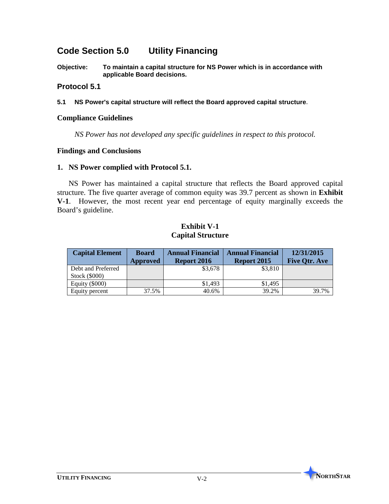# **Code Section 5.0 Utility Financing**

**Objective: To maintain a capital structure for NS Power which is in accordance with applicable Board decisions.** 

#### **Protocol 5.1**

**5.1 NS Power's capital structure will reflect the Board approved capital structure.**

#### **Compliance Guidelines**

*NS Power has not developed any specific guidelines in respect to this protocol.*

#### **Findings and Conclusions**

#### **1. NS Power complied with Protocol 5.1.**

NS Power has maintained a capital structure that reflects the Board approved capital structure. The five quarter average of common equity was 39.7 percent as shown in **Exhibit V-1**. However, the most recent year end percentage of equity marginally exceeds the Board's guideline.

#### **Exhibit V-1 Capital Structure**

| <b>Capital Element</b> | <b>Board</b><br>Approved | <b>Annual Financial</b><br><b>Report 2016</b> | <b>Annual Financial</b><br>Report 2015 | 12/31/2015<br><b>Five Otr. Ave</b> |
|------------------------|--------------------------|-----------------------------------------------|----------------------------------------|------------------------------------|
| Debt and Preferred     |                          | \$3,678                                       | \$3,810                                |                                    |
| Stock (\$000)          |                          |                                               |                                        |                                    |
| Equity $(\$000)$       |                          | \$1.493                                       | \$1,495                                |                                    |
| Equity percent         | 37.5%                    | 40.6%                                         | 39.2%                                  | 39.7%                              |

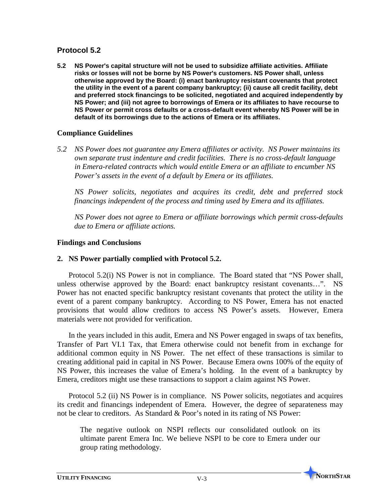**5.2 NS Power's capital structure will not be used to subsidize affiliate activities. Affiliate risks or losses will not be borne by NS Power's customers. NS Power shall, unless otherwise approved by the Board: (i) enact bankruptcy resistant covenants that protect the utility in the event of a parent company bankruptcy; (ii) cause all credit facility, debt and preferred stock financings to be solicited, negotiated and acquired independently by NS Power; and (iii) not agree to borrowings of Emera or its affiliates to have recourse to NS Power or permit cross defaults or a cross-default event whereby NS Power will be in default of its borrowings due to the actions of Emera or its affiliates.**

# **Compliance Guidelines**

*5.2 NS Power does not guarantee any Emera affiliates or activity. NS Power maintains its own separate trust indenture and credit facilities. There is no cross-default language in Emera-related contracts which would entitle Emera or an affiliate to encumber NS Power's assets in the event of a default by Emera or its affiliates.*

*NS Power solicits, negotiates and acquires its credit, debt and preferred stock financings independent of the process and timing used by Emera and its affiliates.*

*NS Power does not agree to Emera or affiliate borrowings which permit cross-defaults due to Emera or affiliate actions.* 

# **Findings and Conclusions**

# **2. NS Power partially complied with Protocol 5.2.**

Protocol 5.2(i) NS Power is not in compliance. The Board stated that "NS Power shall, unless otherwise approved by the Board: enact bankruptcy resistant covenants…". NS Power has not enacted specific bankruptcy resistant covenants that protect the utility in the event of a parent company bankruptcy. According to NS Power, Emera has not enacted provisions that would allow creditors to access NS Power's assets. However, Emera materials were not provided for verification.

In the years included in this audit, Emera and NS Power engaged in swaps of tax benefits, Transfer of Part VI.1 Tax, that Emera otherwise could not benefit from in exchange for additional common equity in NS Power. The net effect of these transactions is similar to creating additional paid in capital in NS Power. Because Emera owns 100% of the equity of NS Power, this increases the value of Emera's holding. In the event of a bankruptcy by Emera, creditors might use these transactions to support a claim against NS Power.

Protocol 5.2 (ii) NS Power is in compliance. NS Power solicits, negotiates and acquires its credit and financings independent of Emera. However, the degree of separateness may not be clear to creditors. As Standard & Poor's noted in its rating of NS Power:

The negative outlook on NSPI reflects our consolidated outlook on its ultimate parent Emera Inc. We believe NSPI to be core to Emera under our group rating methodology.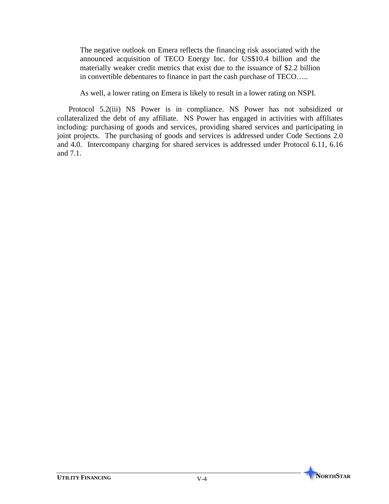The negative outlook on Emera reflects the financing risk associated with the announced acquisition of TECO Energy Inc. for US\$10.4 billion and the materially weaker credit metrics that exist due to the issuance of \$2.2 billion in convertible debentures to finance in part the cash purchase of TECO…..

As well, a lower rating on Emera is likely to result in a lower rating on NSPI.

Protocol 5.2(iii) NS Power is in compliance. NS Power has not subsidized or collateralized the debt of any affiliate. NS Power has engaged in activities with affiliates including: purchasing of goods and services, providing shared services and participating in joint projects. The purchasing of goods and services is addressed under Code Sections 2.0 and 4.0. Intercompany charging for shared services is addressed under Protocol 6.11, 6.16 and 7.1.

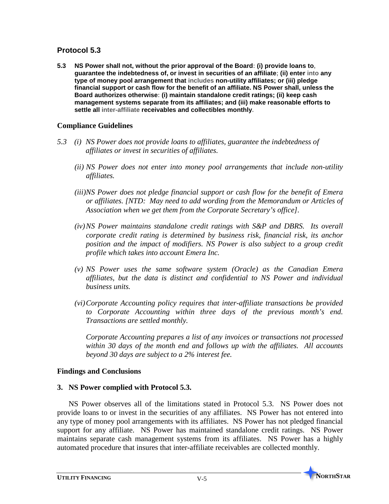**5.3 NS Power shall not, without the prior approval of the Board: (i) provide loans to, guarantee the indebtedness of, or invest in securities of an affiliate; (ii) enter into any type of money pool arrangement that includes non-utility affiliates; or (iii) pledge financial support or cash flow for the benefit of an affiliate. NS Power shall, unless the Board authorizes otherwise: (i) maintain standalone credit ratings; (ii) keep cash management systems separate from its affiliates; and (iii) make reasonable efforts to settle all inter-affiliate receivables and collectibles monthly.** 

# **Compliance Guidelines**

- *5.3 (i) NS Power does not provide loans to affiliates, guarantee the indebtedness of affiliates or invest in securities of affiliates.* 
	- *(ii) NS Power does not enter into money pool arrangements that include non-utility affiliates.*
	- *(iii)NS Power does not pledge financial support or cash flow for the benefit of Emera or affiliates. [NTD: May need to add wording from the Memorandum or Articles of Association when we get them from the Corporate Secretary's office].*
	- *(iv)NS Power maintains standalone credit ratings with S&P and DBRS. Its overall corporate credit rating is determined by business risk, financial risk, its anchor position and the impact of modifiers. NS Power is also subject to a group credit profile which takes into account Emera Inc.*
	- *(v) NS Power uses the same software system (Oracle) as the Canadian Emera affiliates, but the data is distinct and confidential to NS Power and individual business units.*
	- *(vi)Corporate Accounting policy requires that inter-affiliate transactions be provided to Corporate Accounting within three days of the previous month's end. Transactions are settled monthly.*

*Corporate Accounting prepares a list of any invoices or transactions not processed within 30 days of the month end and follows up with the affiliates. All accounts beyond 30 days are subject to a 2% interest fee.* 

# **Findings and Conclusions**

# **3. NS Power complied with Protocol 5.3.**

NS Power observes all of the limitations stated in Protocol 5.3. NS Power does not provide loans to or invest in the securities of any affiliates. NS Power has not entered into any type of money pool arrangements with its affiliates. NS Power has not pledged financial support for any affiliate. NS Power has maintained standalone credit ratings. NS Power maintains separate cash management systems from its affiliates. NS Power has a highly automated procedure that insures that inter-affiliate receivables are collected monthly.

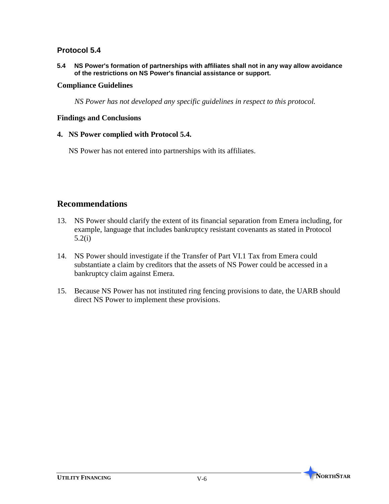**5.4 NS Power's formation of partnerships with affiliates shall not in any way allow avoidance of the restrictions on NS Power's financial assistance or support.**

#### **Compliance Guidelines**

*NS Power has not developed any specific guidelines in respect to this protocol.*

#### **Findings and Conclusions**

#### **4. NS Power complied with Protocol 5.4.**

NS Power has not entered into partnerships with its affiliates.

# **Recommendations**

- 13. NS Power should clarify the extent of its financial separation from Emera including, for example, language that includes bankruptcy resistant covenants as stated in Protocol 5.2(i)
- 14. NS Power should investigate if the Transfer of Part VI.1 Tax from Emera could substantiate a claim by creditors that the assets of NS Power could be accessed in a bankruptcy claim against Emera.
- 15. Because NS Power has not instituted ring fencing provisions to date, the UARB should direct NS Power to implement these provisions.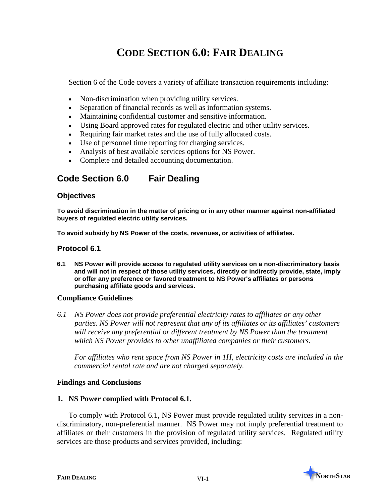# **CODE SECTION 6.0: FAIR DEALING**

Section 6 of the Code covers a variety of affiliate transaction requirements including:

- Non-discrimination when providing utility services.
- Separation of financial records as well as information systems.
- Maintaining confidential customer and sensitive information.
- Using Board approved rates for regulated electric and other utility services.
- Requiring fair market rates and the use of fully allocated costs.
- Use of personnel time reporting for charging services.
- Analysis of best available services options for NS Power.
- Complete and detailed accounting documentation.

# **Code Section 6.0 Fair Dealing**

#### **Objectives**

**To avoid discrimination in the matter of pricing or in any other manner against non-affiliated buyers of regulated electric utility services.**

**To avoid subsidy by NS Power of the costs, revenues, or activities of affiliates.**

#### **Protocol 6.1**

**6.1 NS Power will provide access to regulated utility services on a non-discriminatory basis and will not in respect of those utility services, directly or indirectly provide, state, imply or offer any preference or favored treatment to NS Power's affiliates or persons purchasing affiliate goods and services.**

#### **Compliance Guidelines**

*6.1 NS Power does not provide preferential electricity rates to affiliates or any other parties. NS Power will not represent that any of its affiliates or its affiliates' customers will receive any preferential or different treatment by NS Power than the treatment which NS Power provides to other unaffiliated companies or their customers.* 

*For affiliates who rent space from NS Power in 1H, electricity costs are included in the commercial rental rate and are not charged separately.*

#### **Findings and Conclusions**

#### **1. NS Power complied with Protocol 6.1.**

To comply with Protocol 6.1, NS Power must provide regulated utility services in a nondiscriminatory, non-preferential manner. NS Power may not imply preferential treatment to affiliates or their customers in the provision of regulated utility services. Regulated utility services are those products and services provided, including:

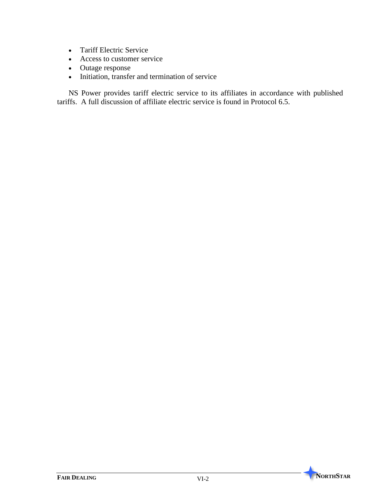- Tariff Electric Service
- Access to customer service
- Outage response
- Initiation, transfer and termination of service

NS Power provides tariff electric service to its affiliates in accordance with published tariffs. A full discussion of affiliate electric service is found in Protocol 6.5.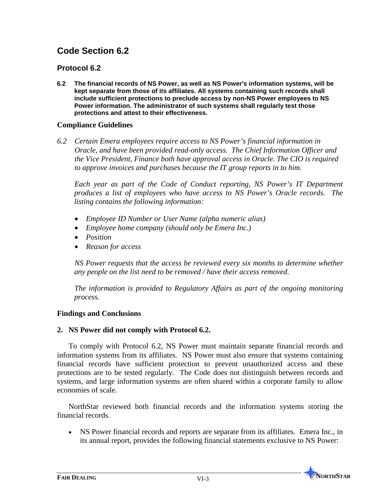# **Code Section 6.2**

# **Protocol 6.2**

**6.2 The financial records of NS Power, as well as NS Power's information systems, will be kept separate from those of its affiliates. All systems containing such records shall include sufficient protections to preclude access by non-NS Power employees to NS Power information. The administrator of such systems shall regularly test those protections and attest to their effectiveness.**

# **Compliance Guidelines**

*6.2 Certain Emera employees require access to NS Power's financial information in Oracle, and have been provided read-only access. The Chief Information Officer and the Vice President, Finance both have approval access in Oracle. The CIO is required to approve invoices and purchases because the IT group reports in to him.* 

*Each year as part of the Code of Conduct reporting, NS Power's IT Department produces a list of employees who have access to NS Power's Oracle records. The listing contains the following information:*

- *Employee ID Number or User Name (alpha numeric alias)*
- *Employee home company (should only be Emera Inc.)*
- *Position*
- *Reason for access*

*NS Power requests that the access be reviewed every six months to determine whether any people on the list need to be removed / have their access removed.* 

*The information is provided to Regulatory Affairs as part of the ongoing monitoring process.*

## **Findings and Conclusions**

## **2. NS Power did not comply with Protocol 6.2.**

To comply with Protocol 6.2, NS Power must maintain separate financial records and information systems from its affiliates. NS Power must also ensure that systems containing financial records have sufficient protection to prevent unauthorized access and these protections are to be tested regularly. The Code does not distinguish between records and systems, and large information systems are often shared within a corporate family to allow economies of scale.

NorthStar reviewed both financial records and the information systems storing the financial records.

• NS Power financial records and reports are separate from its affiliates. Emera Inc., in its annual report, provides the following financial statements exclusive to NS Power:

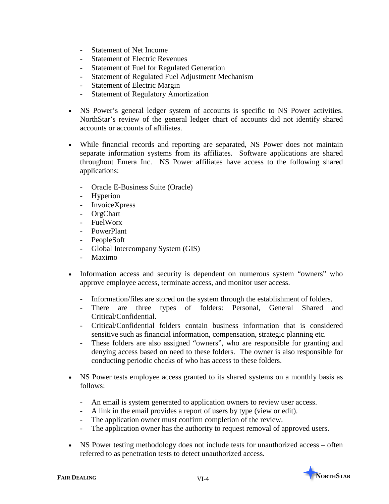- Statement of Net Income
- **Statement of Electric Revenues**
- Statement of Fuel for Regulated Generation
- Statement of Regulated Fuel Adjustment Mechanism
- Statement of Electric Margin
- Statement of Regulatory Amortization
- NS Power's general ledger system of accounts is specific to NS Power activities. NorthStar's review of the general ledger chart of accounts did not identify shared accounts or accounts of affiliates.
- While financial records and reporting are separated, NS Power does not maintain separate information systems from its affiliates. Software applications are shared throughout Emera Inc. NS Power affiliates have access to the following shared applications:
	- Oracle E-Business Suite (Oracle)
	- Hyperion
	- InvoiceXpress
	- **OrgChart**
	- FuelWorx
	- PowerPlant
	- PeopleSoft
	- Global Intercompany System (GIS)
	- Maximo
- Information access and security is dependent on numerous system "owners" who approve employee access, terminate access, and monitor user access.
	- Information/files are stored on the system through the establishment of folders.
	- There are three types of folders: Personal, General Shared and Critical/Confidential.
	- Critical/Confidential folders contain business information that is considered sensitive such as financial information, compensation, strategic planning etc.
	- These folders are also assigned "owners", who are responsible for granting and denying access based on need to these folders. The owner is also responsible for conducting periodic checks of who has access to these folders.
- NS Power tests employee access granted to its shared systems on a monthly basis as follows:
	- An email is system generated to application owners to review user access.
	- A link in the email provides a report of users by type (view or edit).
	- The application owner must confirm completion of the review.
	- The application owner has the authority to request removal of approved users.
- NS Power testing methodology does not include tests for unauthorized access often referred to as penetration tests to detect unauthorized access.

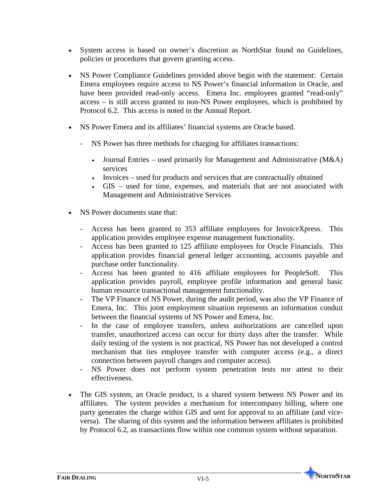- System access is based on owner's discretion as NorthStar found no Guidelines, policies or procedures that govern granting access.
- NS Power Compliance Guidelines provided above begin with the statement: Certain Emera employees require access to NS Power's financial information in Oracle, and have been provided read-only access. Emera Inc. employees granted "read-only" access – is still access granted to non-NS Power employees, which is prohibited by Protocol 6.2. This access is noted in the Annual Report.
- NS Power Emera and its affiliates' financial systems are Oracle based.
	- NS Power has three methods for charging for affiliates transactions:
		- Journal Entries used primarily for Management and Administrative (M&A) services
		- Invoices used for products and services that are contractually obtained
		- GIS used for time, expenses, and materials that are not associated with Management and Administrative Services
- NS Power documents state that:
	- Access has been granted to 353 affiliate employees for InvoiceXpress. This application provides employee expense management functionality.
	- Access has been granted to 125 affiliate employees for Oracle Financials. This application provides financial general ledger accounting, accounts payable and purchase order functionality.
	- Access has been granted to 416 affiliate employees for PeopleSoft. This application provides payroll, employee profile information and general basic human resource transactional management functionality.
	- The VP Finance of NS Power, during the audit period, was also the VP Finance of Emera, Inc. This joint employment situation represents an information conduit between the financial systems of NS Power and Emera, Inc.
	- In the case of employee transfers, unless authorizations are cancelled upon transfer, unauthorized access can occur for thirty days after the transfer. While daily testing of the system is not practical, NS Power has not developed a control mechanism that ties employee transfer with computer access (e.g., a direct connection between payroll changes and computer access).
	- NS Power does not perform system penetration tests nor attest to their effectiveness.
- The GIS system, an Oracle product, is a shared system between NS Power and its affiliates. The system provides a mechanism for intercompany billing, where one party generates the charge within GIS and sent for approval to an affiliate (and viceversa). The sharing of this system and the information between affiliates is prohibited by Protocol 6.2, as transactions flow within one common system without separation.

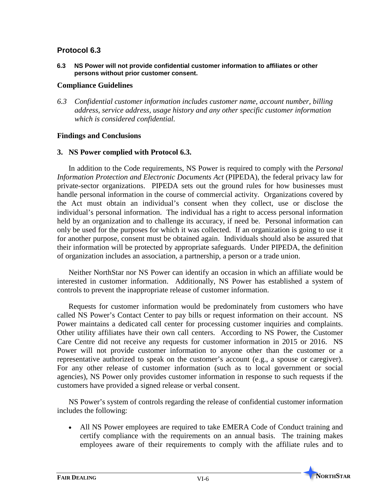**6.3 NS Power will not provide confidential customer information to affiliates or other persons without prior customer consent.**

#### **Compliance Guidelines**

*6.3 Confidential customer information includes customer name, account number, billing address, service address, usage history and any other specific customer information which is considered confidential.*

## **Findings and Conclusions**

# **3. NS Power complied with Protocol 6.3.**

In addition to the Code requirements, NS Power is required to comply with the *Personal Information Protection and Electronic Documents Act* (PIPEDA), the federal privacy law for private-sector organizations. PIPEDA sets out the ground rules for how businesses must handle personal information in the course of commercial activity. Organizations covered by the Act must obtain an individual's consent when they collect, use or disclose the individual's personal information. The individual has a right to access personal information held by an organization and to challenge its accuracy, if need be. Personal information can only be used for the purposes for which it was collected. If an organization is going to use it for another purpose, consent must be obtained again. Individuals should also be assured that their information will be protected by appropriate safeguards. Under PIPEDA, the definition of organization includes an association, a partnership, a person or a trade union.

Neither NorthStar nor NS Power can identify an occasion in which an affiliate would be interested in customer information. Additionally, NS Power has established a system of controls to prevent the inappropriate release of customer information.

Requests for customer information would be predominately from customers who have called NS Power's Contact Center to pay bills or request information on their account. NS Power maintains a dedicated call center for processing customer inquiries and complaints. Other utility affiliates have their own call centers. According to NS Power, the Customer Care Centre did not receive any requests for customer information in 2015 or 2016. NS Power will not provide customer information to anyone other than the customer or a representative authorized to speak on the customer's account (e.g., a spouse or caregiver). For any other release of customer information (such as to local government or social agencies), NS Power only provides customer information in response to such requests if the customers have provided a signed release or verbal consent.

NS Power's system of controls regarding the release of confidential customer information includes the following:

• All NS Power employees are required to take EMERA Code of Conduct training and certify compliance with the requirements on an annual basis. The training makes employees aware of their requirements to comply with the affiliate rules and to

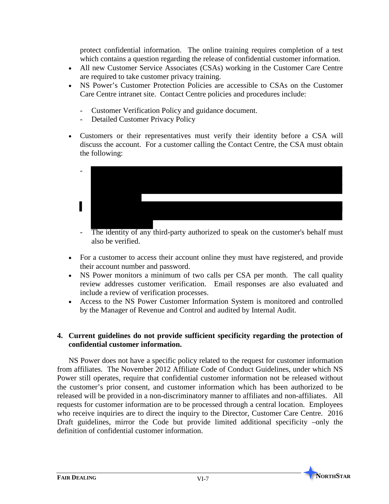protect confidential information. The online training requires completion of a test which contains a question regarding the release of confidential customer information.

- All new Customer Service Associates (CSAs) working in the Customer Care Centre are required to take customer privacy training.
- NS Power's Customer Protection Policies are accessible to CSAs on the Customer Care Centre intranet site. Contact Centre policies and procedures include:
	- Customer Verification Policy and guidance document.
	- Detailed Customer Privacy Policy
- Customers or their representatives must verify their identity before a CSA will discuss the account. For a customer calling the Contact Centre, the CSA must obtain the following:



- The identity of any third-party authorized to speak on the customer's behalf must also be verified.
- For a customer to access their account online they must have registered, and provide their account number and password.
- NS Power monitors a minimum of two calls per CSA per month. The call quality review addresses customer verification. Email responses are also evaluated and include a review of verification processes.
- Access to the NS Power Customer Information System is monitored and controlled by the Manager of Revenue and Control and audited by Internal Audit.

# **4. Current guidelines do not provide sufficient specificity regarding the protection of confidential customer information.**

NS Power does not have a specific policy related to the request for customer information from affiliates. The November 2012 Affiliate Code of Conduct Guidelines, under which NS Power still operates, require that confidential customer information not be released without the customer's prior consent, and customer information which has been authorized to be released will be provided in a non-discriminatory manner to affiliates and non-affiliates. All requests for customer information are to be processed through a central location. Employees who receive inquiries are to direct the inquiry to the Director, Customer Care Centre. 2016 Draft guidelines, mirror the Code but provide limited additional specificity –only the definition of confidential customer information.

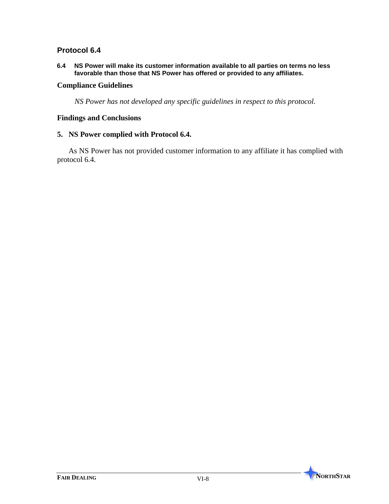**6.4 NS Power will make its customer information available to all parties on terms no less favorable than those that NS Power has offered or provided to any affiliates.**

#### **Compliance Guidelines**

*NS Power has not developed any specific guidelines in respect to this protocol.*

## **Findings and Conclusions**

#### **5. NS Power complied with Protocol 6.4.**

As NS Power has not provided customer information to any affiliate it has complied with protocol 6.4.

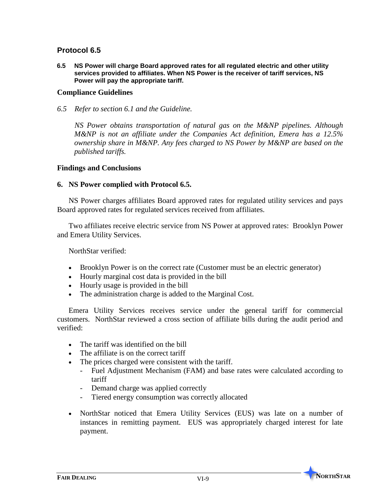**6.5 NS Power will charge Board approved rates for all regulated electric and other utility services provided to affiliates. When NS Power is the receiver of tariff services, NS Power will pay the appropriate tariff.**

#### **Compliance Guidelines**

*6.5 Refer to section 6.1 and the Guideline.*

*NS Power obtains transportation of natural gas on the M&NP pipelines. Although M&NP is not an affiliate under the Companies Act definition, Emera has a 12.5% ownership share in M&NP. Any fees charged to NS Power by M&NP are based on the published tariffs.* 

#### **Findings and Conclusions**

#### **6. NS Power complied with Protocol 6.5.**

NS Power charges affiliates Board approved rates for regulated utility services and pays Board approved rates for regulated services received from affiliates.

Two affiliates receive electric service from NS Power at approved rates: Brooklyn Power and Emera Utility Services.

NorthStar verified:

- Brooklyn Power is on the correct rate (Customer must be an electric generator)
- Hourly marginal cost data is provided in the bill
- Hourly usage is provided in the bill
- The administration charge is added to the Marginal Cost.

Emera Utility Services receives service under the general tariff for commercial customers. NorthStar reviewed a cross section of affiliate bills during the audit period and verified:

- The tariff was identified on the bill
- The affiliate is on the correct tariff
- The prices charged were consistent with the tariff.
	- Fuel Adjustment Mechanism (FAM) and base rates were calculated according to tariff
	- Demand charge was applied correctly
	- Tiered energy consumption was correctly allocated
- NorthStar noticed that Emera Utility Services (EUS) was late on a number of instances in remitting payment. EUS was appropriately charged interest for late payment.

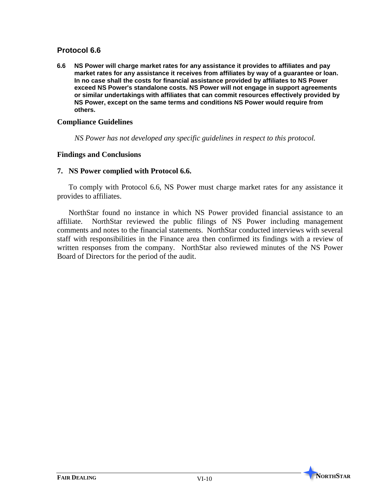**6.6 NS Power will charge market rates for any assistance it provides to affiliates and pay market rates for any assistance it receives from affiliates by way of a guarantee or loan. In no case shall the costs for financial assistance provided by affiliates to NS Power exceed NS Power's standalone costs. NS Power will not engage in support agreements or similar undertakings with affiliates that can commit resources effectively provided by NS Power, except on the same terms and conditions NS Power would require from others.**

#### **Compliance Guidelines**

*NS Power has not developed any specific guidelines in respect to this protocol.*

#### **Findings and Conclusions**

#### **7. NS Power complied with Protocol 6.6.**

To comply with Protocol 6.6, NS Power must charge market rates for any assistance it provides to affiliates.

NorthStar found no instance in which NS Power provided financial assistance to an affiliate. NorthStar reviewed the public filings of NS Power including management comments and notes to the financial statements. NorthStar conducted interviews with several staff with responsibilities in the Finance area then confirmed its findings with a review of written responses from the company. NorthStar also reviewed minutes of the NS Power Board of Directors for the period of the audit.

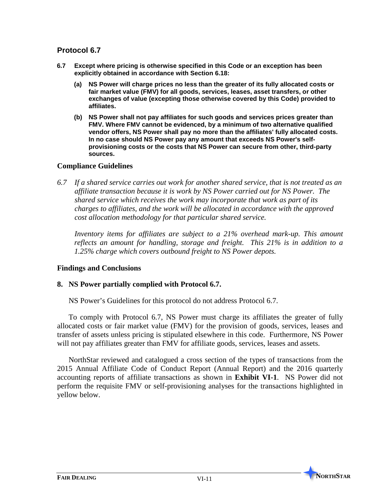- **6.7 Except where pricing is otherwise specified in this Code or an exception has been explicitly obtained in accordance with Section 6.18:**
	- **(a) NS Power will charge prices no less than the greater of its fully allocated costs or fair market value (FMV) for all goods, services, leases, asset transfers, or other exchanges of value (excepting those otherwise covered by this Code) provided to affiliates.**
	- **(b) NS Power shall not pay affiliates for such goods and services prices greater than FMV. Where FMV cannot be evidenced, by a minimum of two alternative qualified vendor offers, NS Power shall pay no more than the affiliates' fully allocated costs. In no case should NS Power pay any amount that exceeds NS Power's selfprovisioning costs or the costs that NS Power can secure from other, third-party sources.**

## **Compliance Guidelines**

*6.7 If a shared service carries out work for another shared service, that is not treated as an affiliate transaction because it is work by NS Power carried out for NS Power. The shared service which receives the work may incorporate that work as part of its charges to affiliates, and the work will be allocated in accordance with the approved cost allocation methodology for that particular shared service.*

*Inventory items for affiliates are subject to a 21% overhead mark-up. This amount reflects an amount for handling, storage and freight. This 21% is in addition to a 1.25% charge which covers outbound freight to NS Power depots.*

## **Findings and Conclusions**

## **8. NS Power partially complied with Protocol 6.7.**

NS Power's Guidelines for this protocol do not address Protocol 6.7.

To comply with Protocol 6.7, NS Power must charge its affiliates the greater of fully allocated costs or fair market value (FMV) for the provision of goods, services, leases and transfer of assets unless pricing is stipulated elsewhere in this code. Furthermore, NS Power will not pay affiliates greater than FMV for affiliate goods, services, leases and assets.

NorthStar reviewed and catalogued a cross section of the types of transactions from the 2015 Annual Affiliate Code of Conduct Report (Annual Report) and the 2016 quarterly accounting reports of affiliate transactions as shown in **Exhibit VI-1**. NS Power did not perform the requisite FMV or self-provisioning analyses for the transactions highlighted in yellow below.

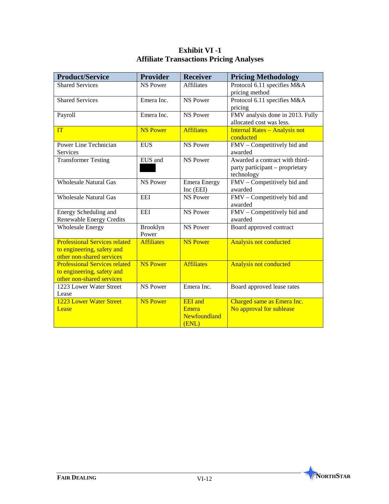| <b>Product/Service</b>               | <b>Provider</b>   | <b>Receiver</b>     | <b>Pricing Methodology</b>           |
|--------------------------------------|-------------------|---------------------|--------------------------------------|
| <b>Shared Services</b>               | <b>NS Power</b>   | <b>Affiliates</b>   | Protocol 6.11 specifies M&A          |
|                                      |                   |                     | pricing method                       |
| <b>Shared Services</b>               | Emera Inc.        | NS Power            | Protocol 6.11 specifies M&A          |
|                                      |                   |                     | pricing                              |
| Payroll                              | Emera Inc.        | <b>NS Power</b>     | FMV analysis done in 2013. Fully     |
|                                      |                   |                     | allocated cost was less.             |
| <b>TT</b>                            | <b>NS Power</b>   | <b>Affiliates</b>   | <b>Internal Rates - Analysis not</b> |
|                                      |                   |                     | conducted                            |
| Power Line Technician                | <b>EUS</b>        | <b>NS Power</b>     | FMV - Competitively bid and          |
| Services                             |                   |                     | awarded                              |
| <b>Transformer Testing</b>           | EUS and           | <b>NS Power</b>     | Awarded a contract with third-       |
|                                      |                   |                     | party participant – proprietary      |
|                                      |                   |                     | technology                           |
| <b>Wholesale Natural Gas</b>         | <b>NS Power</b>   | <b>Emera Energy</b> | FMV - Competitively bid and          |
|                                      |                   | Inc (EEI)           | awarded                              |
| <b>Wholesale Natural Gas</b>         | <b>EEI</b>        | <b>NS Power</b>     | FMV - Competitively bid and          |
|                                      |                   |                     | awarded                              |
| Energy Scheduling and                | <b>EEI</b>        | <b>NS Power</b>     | FMV - Competitively bid and          |
| <b>Renewable Energy Credits</b>      |                   |                     | awarded                              |
| <b>Wholesale Energy</b>              | Brooklyn          | <b>NS Power</b>     | Board approved contract              |
|                                      | Power             |                     |                                      |
| <b>Professional Services related</b> | <b>Affiliates</b> | <b>NS Power</b>     | <b>Analysis not conducted</b>        |
| to engineering, safety and           |                   |                     |                                      |
| other non-shared services            |                   |                     |                                      |
| <b>Professional Services related</b> | <b>NS Power</b>   | <b>Affiliates</b>   | <b>Analysis not conducted</b>        |
| to engineering, safety and           |                   |                     |                                      |
| other non-shared services            |                   |                     |                                      |
| 1223 Lower Water Street              | <b>NS Power</b>   | Emera Inc.          | Board approved lease rates           |
| Lease                                |                   |                     |                                      |
| 1223 Lower Water Street              | <b>NS Power</b>   | <b>EEI</b> and      | Charged same as Emera Inc.           |
| Lease                                |                   | Emera               | No approval for sublease             |
|                                      |                   | Newfoundland        |                                      |
|                                      |                   | (ENL)               |                                      |

# **Exhibit VI -1 Affiliate Transactions Pricing Analyses**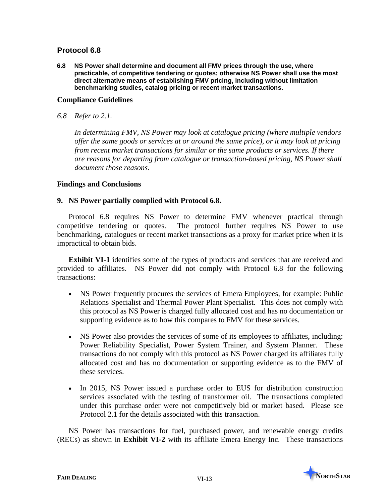**6.8 NS Power shall determine and document all FMV prices through the use, where practicable, of competitive tendering or quotes; otherwise NS Power shall use the most direct alternative means of establishing FMV pricing, including without limitation benchmarking studies, catalog pricing or recent market transactions.**

#### **Compliance Guidelines**

*6.8 Refer to 2.1.*

*In determining FMV, NS Power may look at catalogue pricing (where multiple vendors offer the same goods or services at or around the same price), or it may look at pricing from recent market transactions for similar or the same products or services. If there are reasons for departing from catalogue or transaction-based pricing, NS Power shall document those reasons.* 

## **Findings and Conclusions**

#### **9. NS Power partially complied with Protocol 6.8.**

Protocol 6.8 requires NS Power to determine FMV whenever practical through competitive tendering or quotes. The protocol further requires NS Power to use benchmarking, catalogues or recent market transactions as a proxy for market price when it is impractical to obtain bids.

**Exhibit VI-1** identifies some of the types of products and services that are received and provided to affiliates. NS Power did not comply with Protocol 6.8 for the following transactions:

- NS Power frequently procures the services of Emera Employees, for example: Public Relations Specialist and Thermal Power Plant Specialist. This does not comply with this protocol as NS Power is charged fully allocated cost and has no documentation or supporting evidence as to how this compares to FMV for these services.
- NS Power also provides the services of some of its employees to affiliates, including: Power Reliability Specialist, Power System Trainer, and System Planner. These transactions do not comply with this protocol as NS Power charged its affiliates fully allocated cost and has no documentation or supporting evidence as to the FMV of these services.
- In 2015, NS Power issued a purchase order to EUS for distribution construction services associated with the testing of transformer oil. The transactions completed under this purchase order were not competitively bid or market based. Please see Protocol 2.1 for the details associated with this transaction.

NS Power has transactions for fuel, purchased power, and renewable energy credits (RECs) as shown in **Exhibit VI-2** with its affiliate Emera Energy Inc. These transactions

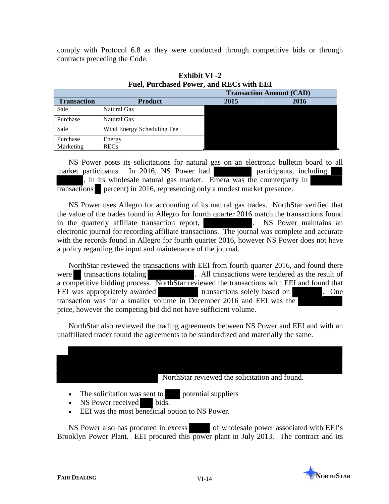comply with Protocol 6.8 as they were conducted through competitive bids or through contracts preceding the Code.

|                    |                            | <b>Transaction Amount (CAD)</b> |      |  |
|--------------------|----------------------------|---------------------------------|------|--|
| <b>Transaction</b> | <b>Product</b>             | 2015                            | 2016 |  |
| Sale               | Natural Gas                |                                 |      |  |
| Purchase           | Natural Gas                |                                 |      |  |
| Sale               | Wind Energy Scheduling Fee |                                 |      |  |
| Purchase           | Energy                     |                                 |      |  |
| Marketing          | <b>RECs</b>                |                                 |      |  |

**Exhibit VI -2 Fuel, Purchased Power, and RECs with EEI**

NS Power posts its solicitations for natural gas on an electronic bulletin board to all market participants. In 2016, NS Power had participants, including , in its wholesale natural gas market. Emera was the counterparty in transactions percent) in 2016, representing only a modest market presence.

NS Power uses Allegro for accounting of its natural gas trades. NorthStar verified that the value of the trades found in Allegro for fourth quarter 2016 match the transactions found in the quarterly affiliate transaction report, . NS Power maintains an electronic journal for recording affiliate transactions. The journal was complete and accurate with the records found in Allegro for fourth quarter 2016, however NS Power does not have a policy regarding the input and maintenance of the journal.

NorthStar reviewed the transactions with EEI from fourth quarter 2016, and found there were transactions totaling . All transactions were tendered as the result of a competitive bidding process. NorthStar reviewed the transactions with EEI and found that EEI was appropriately awarded transactions solely based on . One transaction was for a smaller volume in December 2016 and EEI was the price, however the competing bid did not have sufficient volume.

NorthStar also reviewed the trading agreements between NS Power and EEI and with an unaffiliated trader found the agreements to be standardized and materially the same.

- The solicitation was sent to potential suppliers
- NS Power received bids.
- EEI was the most beneficial option to NS Power.

NS Power also has procured in excess of wholesale power associated with EEI's Brooklyn Power Plant. EEI procured this power plant in July 2013. The contract and its

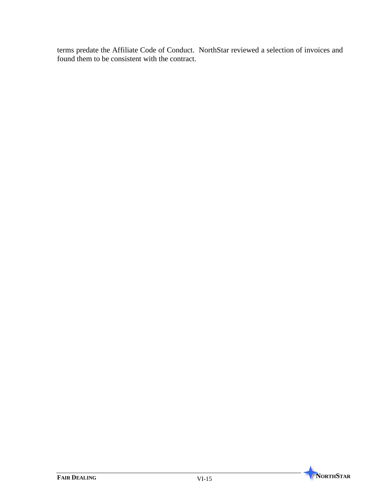terms predate the Affiliate Code of Conduct. NorthStar reviewed a selection of invoices and found them to be consistent with the contract.

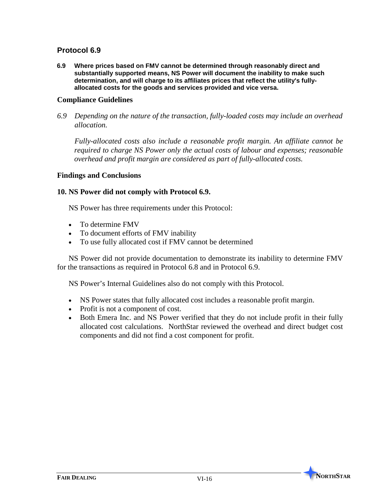**6.9 Where prices based on FMV cannot be determined through reasonably direct and substantially supported means, NS Power will document the inability to make such determination, and will charge to its affiliates prices that reflect the utility's fullyallocated costs for the goods and services provided and vice versa.**

#### **Compliance Guidelines**

*6.9 Depending on the nature of the transaction, fully-loaded costs may include an overhead allocation.* 

*Fully-allocated costs also include a reasonable profit margin. An affiliate cannot be required to charge NS Power only the actual costs of labour and expenses; reasonable overhead and profit margin are considered as part of fully-allocated costs.* 

#### **Findings and Conclusions**

#### **10. NS Power did not comply with Protocol 6.9.**

NS Power has three requirements under this Protocol:

- To determine FMV
- To document efforts of FMV inability
- To use fully allocated cost if FMV cannot be determined

NS Power did not provide documentation to demonstrate its inability to determine FMV for the transactions as required in Protocol 6.8 and in Protocol 6.9.

NS Power's Internal Guidelines also do not comply with this Protocol.

- NS Power states that fully allocated cost includes a reasonable profit margin.
- Profit is not a component of cost.
- Both Emera Inc. and NS Power verified that they do not include profit in their fully allocated cost calculations. NorthStar reviewed the overhead and direct budget cost components and did not find a cost component for profit.

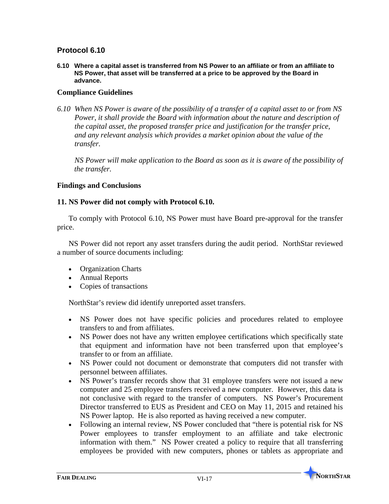**6.10 Where a capital asset is transferred from NS Power to an affiliate or from an affiliate to NS Power, that asset will be transferred at a price to be approved by the Board in advance.**

## **Compliance Guidelines**

*6.10 When NS Power is aware of the possibility of a transfer of a capital asset to or from NS Power, it shall provide the Board with information about the nature and description of the capital asset, the proposed transfer price and justification for the transfer price, and any relevant analysis which provides a market opinion about the value of the transfer.* 

*NS Power will make application to the Board as soon as it is aware of the possibility of the transfer.*

#### **Findings and Conclusions**

#### **11. NS Power did not comply with Protocol 6.10.**

To comply with Protocol 6.10, NS Power must have Board pre-approval for the transfer price.

NS Power did not report any asset transfers during the audit period. NorthStar reviewed a number of source documents including:

- Organization Charts
- Annual Reports
- Copies of transactions

NorthStar's review did identify unreported asset transfers.

- NS Power does not have specific policies and procedures related to employee transfers to and from affiliates.
- NS Power does not have any written employee certifications which specifically state that equipment and information have not been transferred upon that employee's transfer to or from an affiliate.
- NS Power could not document or demonstrate that computers did not transfer with personnel between affiliates.
- NS Power's transfer records show that 31 employee transfers were not issued a new computer and 25 employee transfers received a new computer. However, this data is not conclusive with regard to the transfer of computers. NS Power's Procurement Director transferred to EUS as President and CEO on May 11, 2015 and retained his NS Power laptop. He is also reported as having received a new computer.
- Following an internal review, NS Power concluded that "there is potential risk for NS Power employees to transfer employment to an affiliate and take electronic information with them." NS Power created a policy to require that all transferring employees be provided with new computers, phones or tablets as appropriate and

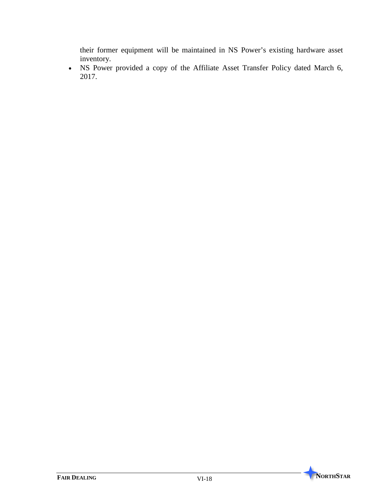their former equipment will be maintained in NS Power's existing hardware asset inventory.

• NS Power provided a copy of the Affiliate Asset Transfer Policy dated March 6, 2017.

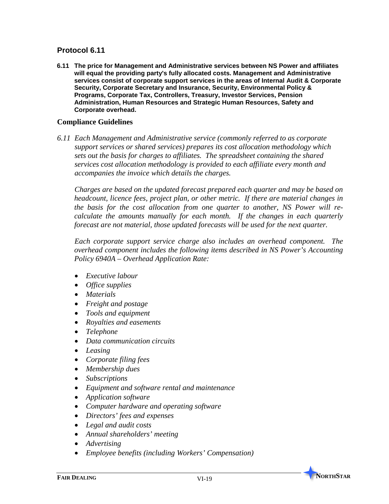**6.11 The price for Management and Administrative services between NS Power and affiliates will equal the providing party's fully allocated costs. Management and Administrative services consist of corporate support services in the areas of Internal Audit & Corporate Security, Corporate Secretary and Insurance, Security, Environmental Policy & Programs, Corporate Tax, Controllers, Treasury, Investor Services, Pension Administration, Human Resources and Strategic Human Resources, Safety and Corporate overhead.**

#### **Compliance Guidelines**

*6.11 Each Management and Administrative service (commonly referred to as corporate support services or shared services) prepares its cost allocation methodology which sets out the basis for charges to affiliates. The spreadsheet containing the shared services cost allocation methodology is provided to each affiliate every month and accompanies the invoice which details the charges.* 

*Charges are based on the updated forecast prepared each quarter and may be based on headcount, licence fees, project plan, or other metric. If there are material changes in the basis for the cost allocation from one quarter to another, NS Power will recalculate the amounts manually for each month. If the changes in each quarterly forecast are not material, those updated forecasts will be used for the next quarter.* 

*Each corporate support service charge also includes an overhead component. The overhead component includes the following items described in NS Power's Accounting Policy 6940A – Overhead Application Rate:*

- *Executive labour*
- *Office supplies*
- *Materials*
- *Freight and postage*
- *Tools and equipment*
- *Royalties and easements*
- *Telephone*
- *Data communication circuits*
- *Leasing*
- *Corporate filing fees*
- *Membership dues*
- *Subscriptions*
- *Equipment and software rental and maintenance*
- *Application software*
- *Computer hardware and operating software*
- *Directors' fees and expenses*
- *Legal and audit costs*
- *Annual shareholders' meeting*
- *Advertising*
- *Employee benefits (including Workers' Compensation)*

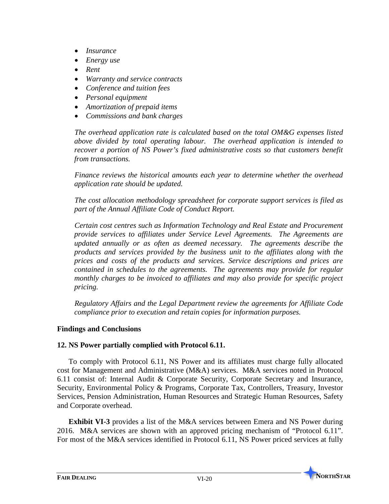- *Insurance*
- *Energy use*
- *Rent*
- *Warranty and service contracts*
- *Conference and tuition fees*
- *Personal equipment*
- *Amortization of prepaid items*
- *Commissions and bank charges*

*The overhead application rate is calculated based on the total OM&G expenses listed above divided by total operating labour. The overhead application is intended to recover a portion of NS Power's fixed administrative costs so that customers benefit from transactions.* 

*Finance reviews the historical amounts each year to determine whether the overhead application rate should be updated.* 

*The cost allocation methodology spreadsheet for corporate support services is filed as part of the Annual Affiliate Code of Conduct Report.*

*Certain cost centres such as Information Technology and Real Estate and Procurement provide services to affiliates under Service Level Agreements. The Agreements are updated annually or as often as deemed necessary. The agreements describe the products and services provided by the business unit to the affiliates along with the prices and costs of the products and services. Service descriptions and prices are contained in schedules to the agreements. The agreements may provide for regular monthly charges to be invoiced to affiliates and may also provide for specific project pricing.* 

*Regulatory Affairs and the Legal Department review the agreements for Affiliate Code compliance prior to execution and retain copies for information purposes.* 

# **Findings and Conclusions**

# **12. NS Power partially complied with Protocol 6.11.**

To comply with Protocol 6.11, NS Power and its affiliates must charge fully allocated cost for Management and Administrative (M&A) services. M&A services noted in Protocol 6.11 consist of: Internal Audit & Corporate Security, Corporate Secretary and Insurance, Security, Environmental Policy & Programs, Corporate Tax, Controllers, Treasury, Investor Services, Pension Administration, Human Resources and Strategic Human Resources, Safety and Corporate overhead.

**Exhibit VI-3** provides a list of the M&A services between Emera and NS Power during 2016. M&A services are shown with an approved pricing mechanism of "Protocol 6.11". For most of the M&A services identified in Protocol 6.11, NS Power priced services at fully

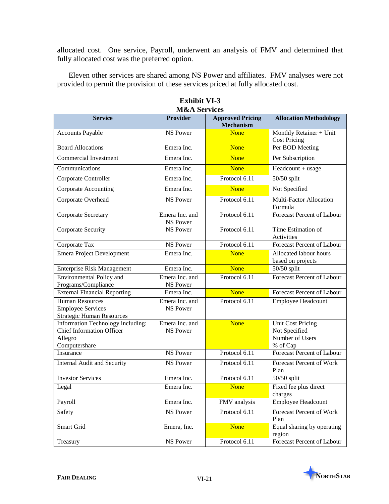allocated cost. One service, Payroll, underwent an analysis of FMV and determined that fully allocated cost was the preferred option.

Eleven other services are shared among NS Power and affiliates. FMV analyses were not provided to permit the provision of these services priced at fully allocated cost.

| IVICCA DEL VICES                                                                                  |                                   |                                             |                                                                          |  |  |  |  |
|---------------------------------------------------------------------------------------------------|-----------------------------------|---------------------------------------------|--------------------------------------------------------------------------|--|--|--|--|
| <b>Service</b>                                                                                    | <b>Provider</b>                   | <b>Approved Pricing</b><br><b>Mechanism</b> | <b>Allocation Methodology</b>                                            |  |  |  |  |
| Accounts Payable                                                                                  | <b>NS Power</b>                   | <b>None</b>                                 | Monthly Retainer + Unit<br><b>Cost Pricing</b>                           |  |  |  |  |
| <b>Board Allocations</b>                                                                          | Emera Inc.                        | <b>None</b>                                 | Per BOD Meeting                                                          |  |  |  |  |
| Commercial Investment                                                                             | Emera Inc.                        | <b>None</b>                                 | Per Subscription                                                         |  |  |  |  |
| Communications                                                                                    | Emera Inc.                        | <b>None</b>                                 | $Headcount + usage$                                                      |  |  |  |  |
| Corporate Controller                                                                              | Emera Inc.                        | Protocol 6.11                               | 50/50 split                                                              |  |  |  |  |
| Corporate Accounting                                                                              | Emera Inc.                        | <b>None</b>                                 | Not Specified                                                            |  |  |  |  |
| Corporate Overhead                                                                                | <b>NS Power</b>                   | Protocol 6.11                               | Multi-Factor Allocation<br>Formula                                       |  |  |  |  |
| Corporate Secretary                                                                               | Emera Inc. and<br><b>NS Power</b> | Protocol 6.11                               | <b>Forecast Percent of Labour</b>                                        |  |  |  |  |
| Corporate Security                                                                                | <b>NS Power</b>                   | Protocol 6.11                               | Time Estimation of<br>Activities                                         |  |  |  |  |
| Corporate Tax                                                                                     | <b>NS Power</b>                   | Protocol 6.11                               | Forecast Percent of Labour                                               |  |  |  |  |
| Emera Project Development                                                                         | Emera Inc.                        | <b>None</b>                                 | Allocated labour hours<br>based on projects                              |  |  |  |  |
| <b>Enterprise Risk Management</b>                                                                 | Emera Inc.                        | <b>None</b>                                 | 50/50 split                                                              |  |  |  |  |
| <b>Environmental Policy and</b>                                                                   | Emera Inc. and                    | Protocol 6.11                               | <b>Forecast Percent of Labour</b>                                        |  |  |  |  |
| Programs/Compliance                                                                               | NS Power                          |                                             |                                                                          |  |  |  |  |
| <b>External Financial Reporting</b>                                                               | Emera Inc.                        | <b>None</b>                                 | Forecast Percent of Labour                                               |  |  |  |  |
| <b>Human Resources</b><br><b>Employee Services</b><br><b>Strategic Human Resources</b>            | Emera Inc. and<br><b>NS Power</b> | Protocol 6.11                               | <b>Employee Headcount</b>                                                |  |  |  |  |
| Information Technology including:<br><b>Chief Information Officer</b><br>Allegro<br>Computershare | Emera Inc. and<br><b>NS Power</b> | <b>None</b>                                 | <b>Unit Cost Pricing</b><br>Not Specified<br>Number of Users<br>% of Cap |  |  |  |  |
| Insurance                                                                                         | <b>NS Power</b>                   | Protocol 6.11                               | <b>Forecast Percent of Labour</b>                                        |  |  |  |  |
| Internal Audit and Security                                                                       | <b>NS Power</b>                   | Protocol 6.11                               | Forecast Percent of Work<br>Plan                                         |  |  |  |  |
| <b>Investor Services</b>                                                                          | Emera Inc.                        | Protocol $6.11$                             | 50/50 split                                                              |  |  |  |  |
| Legal                                                                                             | Emera Inc.                        | <b>None</b>                                 | Fixed fee plus direct<br>charges                                         |  |  |  |  |
| Payroll                                                                                           | Emera Inc.                        | FMV analysis                                | Employee Headcount                                                       |  |  |  |  |
| Safety                                                                                            | NS Power                          | Protocol 6.11                               | Forecast Percent of Work<br>Plan                                         |  |  |  |  |
| Smart Grid                                                                                        | Emera, Inc.                       | None                                        | Equal sharing by operating<br>region                                     |  |  |  |  |
| Treasury                                                                                          | NS Power                          | Protocol 6.11                               | Forecast Percent of Labour                                               |  |  |  |  |

**Exhibit VI-3 M&A** Services

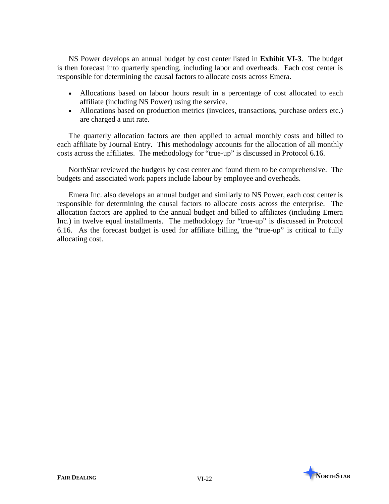NS Power develops an annual budget by cost center listed in **Exhibit VI-3**. The budget is then forecast into quarterly spending, including labor and overheads. Each cost center is responsible for determining the causal factors to allocate costs across Emera.

- Allocations based on labour hours result in a percentage of cost allocated to each affiliate (including NS Power) using the service.
- Allocations based on production metrics (invoices, transactions, purchase orders etc.) are charged a unit rate.

The quarterly allocation factors are then applied to actual monthly costs and billed to each affiliate by Journal Entry. This methodology accounts for the allocation of all monthly costs across the affiliates. The methodology for "true-up" is discussed in Protocol 6.16.

NorthStar reviewed the budgets by cost center and found them to be comprehensive. The budgets and associated work papers include labour by employee and overheads.

Emera Inc. also develops an annual budget and similarly to NS Power, each cost center is responsible for determining the causal factors to allocate costs across the enterprise. The allocation factors are applied to the annual budget and billed to affiliates (including Emera Inc.) in twelve equal installments. The methodology for "true-up" is discussed in Protocol 6.16. As the forecast budget is used for affiliate billing, the "true-up" is critical to fully allocating cost.

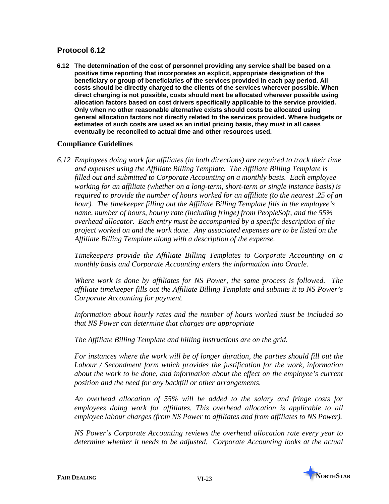**6.12 The determination of the cost of personnel providing any service shall be based on a positive time reporting that incorporates an explicit, appropriate designation of the beneficiary or group of beneficiaries of the services provided in each pay period. All costs should be directly charged to the clients of the services wherever possible. When direct charging is not possible, costs should next be allocated wherever possible using allocation factors based on cost drivers specifically applicable to the service provided. Only when no other reasonable alternative exists should costs be allocated using general allocation factors not directly related to the services provided. Where budgets or estimates of such costs are used as an initial pricing basis, they must in all cases eventually be reconciled to actual time and other resources used.**

## **Compliance Guidelines**

*6.12 Employees doing work for affiliates (in both directions) are required to track their time and expenses using the Affiliate Billing Template. The Affiliate Billing Template is filled out and submitted to Corporate Accounting on a monthly basis. Each employee working for an affiliate (whether on a long-term, short-term or single instance basis) is required to provide the number of hours worked for an affiliate (to the nearest .25 of an hour). The timekeeper filling out the Affiliate Billing Template fills in the employee's name, number of hours, hourly rate (including fringe) from PeopleSoft, and the 55% overhead allocator. Each entry must be accompanied by a specific description of the project worked on and the work done. Any associated expenses are to be listed on the Affiliate Billing Template along with a description of the expense.*

*Timekeepers provide the Affiliate Billing Templates to Corporate Accounting on a monthly basis and Corporate Accounting enters the information into Oracle.* 

*Where work is done by affiliates for NS Power, the same process is followed. The affiliate timekeeper fills out the Affiliate Billing Template and submits it to NS Power's Corporate Accounting for payment.*

*Information about hourly rates and the number of hours worked must be included so that NS Power can determine that charges are appropriate* 

*The Affiliate Billing Template and billing instructions are on the grid.*

*For instances where the work will be of longer duration, the parties should fill out the Labour / Secondment form which provides the justification for the work, information about the work to be done, and information about the effect on the employee's current position and the need for any backfill or other arrangements.* 

*An overhead allocation of 55% will be added to the salary and fringe costs for employees doing work for affiliates. This overhead allocation is applicable to all employee labour charges (from NS Power to affiliates and from affiliates to NS Power).*

*NS Power's Corporate Accounting reviews the overhead allocation rate every year to determine whether it needs to be adjusted. Corporate Accounting looks at the actual* 

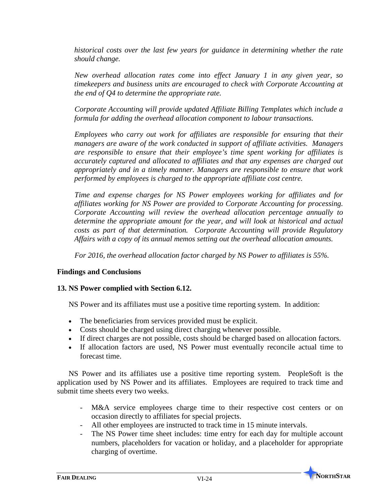*historical costs over the last few years for guidance in determining whether the rate should change.*

*New overhead allocation rates come into effect January 1 in any given year, so timekeepers and business units are encouraged to check with Corporate Accounting at the end of Q4 to determine the appropriate rate.*

*Corporate Accounting will provide updated Affiliate Billing Templates which include a formula for adding the overhead allocation component to labour transactions.*

*Employees who carry out work for affiliates are responsible for ensuring that their managers are aware of the work conducted in support of affiliate activities. Managers are responsible to ensure that their employee's time spent working for affiliates is accurately captured and allocated to affiliates and that any expenses are charged out appropriately and in a timely manner. Managers are responsible to ensure that work performed by employees is charged to the appropriate affiliate cost centre.* 

*Time and expense charges for NS Power employees working for affiliates and for affiliates working for NS Power are provided to Corporate Accounting for processing. Corporate Accounting will review the overhead allocation percentage annually to determine the appropriate amount for the year, and will look at historical and actual costs as part of that determination. Corporate Accounting will provide Regulatory Affairs with a copy of its annual memos setting out the overhead allocation amounts.* 

*For 2016, the overhead allocation factor charged by NS Power to affiliates is 55%.*

## **Findings and Conclusions**

## **13. NS Power complied with Section 6.12.**

NS Power and its affiliates must use a positive time reporting system. In addition:

- The beneficiaries from services provided must be explicit.
- Costs should be charged using direct charging whenever possible.
- If direct charges are not possible, costs should be charged based on allocation factors.
- If allocation factors are used, NS Power must eventually reconcile actual time to forecast time.

NS Power and its affiliates use a positive time reporting system. PeopleSoft is the application used by NS Power and its affiliates. Employees are required to track time and submit time sheets every two weeks.

- M&A service employees charge time to their respective cost centers or on occasion directly to affiliates for special projects.
- All other employees are instructed to track time in 15 minute intervals.
- The NS Power time sheet includes: time entry for each day for multiple account numbers, placeholders for vacation or holiday, and a placeholder for appropriate charging of overtime.

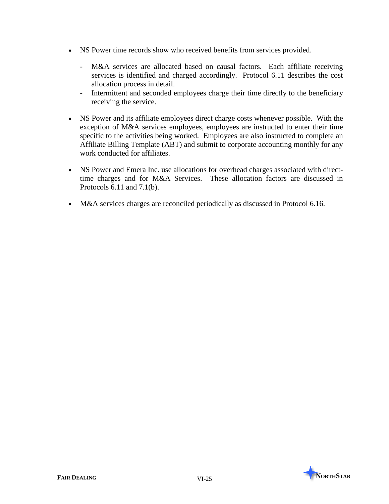- NS Power time records show who received benefits from services provided.
	- M&A services are allocated based on causal factors. Each affiliate receiving services is identified and charged accordingly. Protocol 6.11 describes the cost allocation process in detail.
	- Intermittent and seconded employees charge their time directly to the beneficiary receiving the service.
- NS Power and its affiliate employees direct charge costs whenever possible. With the exception of M&A services employees, employees are instructed to enter their time specific to the activities being worked. Employees are also instructed to complete an Affiliate Billing Template (ABT) and submit to corporate accounting monthly for any work conducted for affiliates.
- NS Power and Emera Inc. use allocations for overhead charges associated with directtime charges and for M&A Services. These allocation factors are discussed in Protocols 6.11 and 7.1(b).
- M&A services charges are reconciled periodically as discussed in Protocol 6.16.

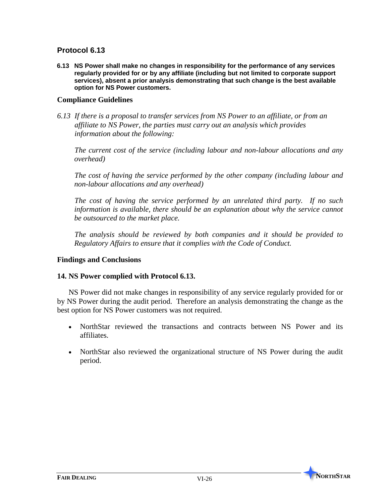**6.13 NS Power shall make no changes in responsibility for the performance of any services regularly provided for or by any affiliate (including but not limited to corporate support services), absent a prior analysis demonstrating that such change is the best available option for NS Power customers.**

### **Compliance Guidelines**

*6.13 If there is a proposal to transfer services from NS Power to an affiliate, or from an affiliate to NS Power, the parties must carry out an analysis which provides information about the following:*

*The current cost of the service (including labour and non-labour allocations and any overhead)*

*The cost of having the service performed by the other company (including labour and non-labour allocations and any overhead)*

*The cost of having the service performed by an unrelated third party. If no such information is available, there should be an explanation about why the service cannot be outsourced to the market place.*

*The analysis should be reviewed by both companies and it should be provided to Regulatory Affairs to ensure that it complies with the Code of Conduct.*

### **Findings and Conclusions**

### **14. NS Power complied with Protocol 6.13.**

NS Power did not make changes in responsibility of any service regularly provided for or by NS Power during the audit period. Therefore an analysis demonstrating the change as the best option for NS Power customers was not required.

- NorthStar reviewed the transactions and contracts between NS Power and its affiliates.
- NorthStar also reviewed the organizational structure of NS Power during the audit period.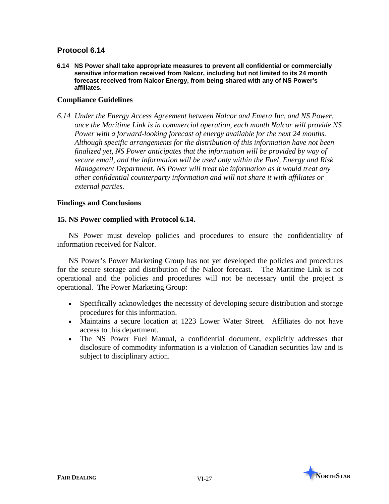**6.14 NS Power shall take appropriate measures to prevent all confidential or commercially sensitive information received from Nalcor, including but not limited to its 24 month forecast received from Nalcor Energy, from being shared with any of NS Power's affiliates.** 

### **Compliance Guidelines**

*6.14 Under the Energy Access Agreement between Nalcor and Emera Inc. and NS Power, once the Maritime Link is in commercial operation, each month Nalcor will provide NS Power with a forward-looking forecast of energy available for the next 24 months. Although specific arrangements for the distribution of this information have not been finalized yet, NS Power anticipates that the information will be provided by way of secure email, and the information will be used only within the Fuel, Energy and Risk Management Department. NS Power will treat the information as it would treat any other confidential counterparty information and will not share it with affiliates or external parties.*

### **Findings and Conclusions**

### **15. NS Power complied with Protocol 6.14.**

NS Power must develop policies and procedures to ensure the confidentiality of information received for Nalcor.

NS Power's Power Marketing Group has not yet developed the policies and procedures for the secure storage and distribution of the Nalcor forecast. The Maritime Link is not operational and the policies and procedures will not be necessary until the project is operational. The Power Marketing Group:

- Specifically acknowledges the necessity of developing secure distribution and storage procedures for this information.
- Maintains a secure location at 1223 Lower Water Street. Affiliates do not have access to this department.
- The NS Power Fuel Manual, a confidential document, explicitly addresses that disclosure of commodity information is a violation of Canadian securities law and is subject to disciplinary action.

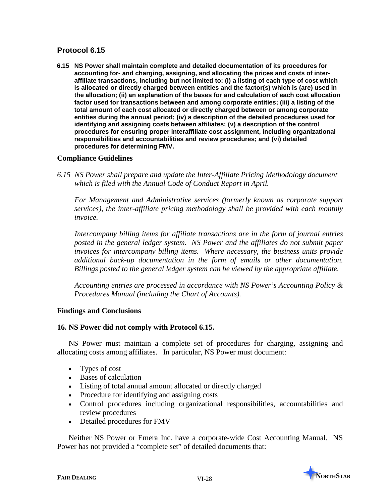**6.15 NS Power shall maintain complete and detailed documentation of its procedures for accounting for- and charging, assigning, and allocating the prices and costs of interaffiliate transactions, including but not limited to: (i) a listing of each type of cost which is allocated or directly charged between entities and the factor(s) which is (are) used in the allocation; (ii) an explanation of the bases for and calculation of each cost allocation factor used for transactions between and among corporate entities; (iii) a listing of the total amount of each cost allocated or directly charged between or among corporate entities during the annual period; (iv) a description of the detailed procedures used for identifying and assigning costs between affiliates; (v) a description of the control procedures for ensuring proper interaffiliate cost assignment, including organizational responsibilities and accountabilities and review procedures; and (vi) detailed procedures for determining FMV.**

### **Compliance Guidelines**

*6.15 NS Power shall prepare and update the Inter-Affiliate Pricing Methodology document which is filed with the Annual Code of Conduct Report in April.*

*For Management and Administrative services (formerly known as corporate support services), the inter-affiliate pricing methodology shall be provided with each monthly invoice.*

*Intercompany billing items for affiliate transactions are in the form of journal entries posted in the general ledger system. NS Power and the affiliates do not submit paper invoices for intercompany billing items. Where necessary, the business units provide additional back-up documentation in the form of emails or other documentation. Billings posted to the general ledger system can be viewed by the appropriate affiliate.*

*Accounting entries are processed in accordance with NS Power's Accounting Policy & Procedures Manual (including the Chart of Accounts).* 

### **Findings and Conclusions**

### **16. NS Power did not comply with Protocol 6.15.**

NS Power must maintain a complete set of procedures for charging, assigning and allocating costs among affiliates. In particular, NS Power must document:

- Types of cost
- Bases of calculation
- Listing of total annual amount allocated or directly charged
- Procedure for identifying and assigning costs
- Control procedures including organizational responsibilities, accountabilities and review procedures
- Detailed procedures for FMV

Neither NS Power or Emera Inc. have a corporate-wide Cost Accounting Manual. NS Power has not provided a "complete set" of detailed documents that: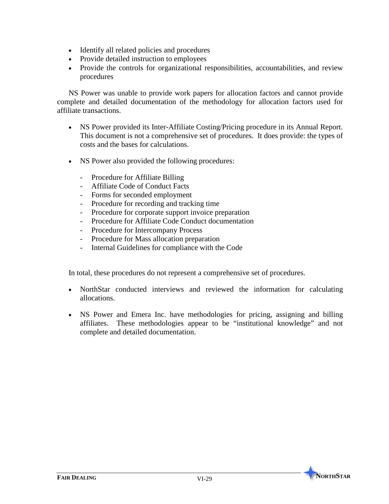- Identify all related policies and procedures
- Provide detailed instruction to employees
- Provide the controls for organizational responsibilities, accountabilities, and review procedures

NS Power was unable to provide work papers for allocation factors and cannot provide complete and detailed documentation of the methodology for allocation factors used for affiliate transactions.

- NS Power provided its Inter-Affiliate Costing/Pricing procedure in its Annual Report. This document is not a comprehensive set of procedures. It does provide: the types of costs and the bases for calculations.
- NS Power also provided the following procedures:
	- Procedure for Affiliate Billing
	- Affiliate Code of Conduct Facts
	- Forms for seconded employment
	- Procedure for recording and tracking time
	- Procedure for corporate support invoice preparation
	- Procedure for Affiliate Code Conduct documentation
	- Procedure for Intercompany Process
	- Procedure for Mass allocation preparation
	- Internal Guidelines for compliance with the Code

In total, these procedures do not represent a comprehensive set of procedures.

- NorthStar conducted interviews and reviewed the information for calculating allocations.
- NS Power and Emera Inc. have methodologies for pricing, assigning and billing affiliates. These methodologies appear to be "institutional knowledge" and not complete and detailed documentation.

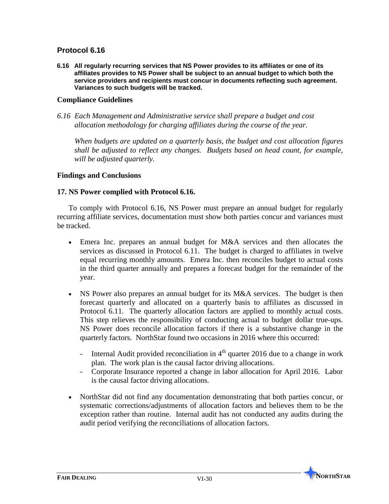**6.16 All regularly recurring services that NS Power provides to its affiliates or one of its affiliates provides to NS Power shall be subject to an annual budget to which both the service providers and recipients must concur in documents reflecting such agreement. Variances to such budgets will be tracked.**

### **Compliance Guidelines**

*6.16 Each Management and Administrative service shall prepare a budget and cost allocation methodology for charging affiliates during the course of the year.* 

*When budgets are updated on a quarterly basis, the budget and cost allocation figures shall be adjusted to reflect any changes. Budgets based on head count, for example, will be adjusted quarterly.* 

### **Findings and Conclusions**

### **17. NS Power complied with Protocol 6.16.**

To comply with Protocol 6.16, NS Power must prepare an annual budget for regularly recurring affiliate services, documentation must show both parties concur and variances must be tracked.

- Emera Inc. prepares an annual budget for M&A services and then allocates the services as discussed in Protocol 6.11. The budget is charged to affiliates in twelve equal recurring monthly amounts. Emera Inc. then reconciles budget to actual costs in the third quarter annually and prepares a forecast budget for the remainder of the year.
- NS Power also prepares an annual budget for its M&A services. The budget is then forecast quarterly and allocated on a quarterly basis to affiliates as discussed in Protocol 6.11. The quarterly allocation factors are applied to monthly actual costs. This step relieves the responsibility of conducting actual to budget dollar true-ups. NS Power does reconcile allocation factors if there is a substantive change in the quarterly factors. NorthStar found two occasions in 2016 where this occurred:
	- Internal Audit provided reconciliation in  $4<sup>th</sup>$  quarter 2016 due to a change in work plan. The work plan is the causal factor driving allocations.
	- Corporate Insurance reported a change in labor allocation for April 2016. Labor is the causal factor driving allocations.
- NorthStar did not find any documentation demonstrating that both parties concur, or systematic corrections/adjustments of allocation factors and believes them to be the exception rather than routine. Internal audit has not conducted any audits during the audit period verifying the reconciliations of allocation factors.

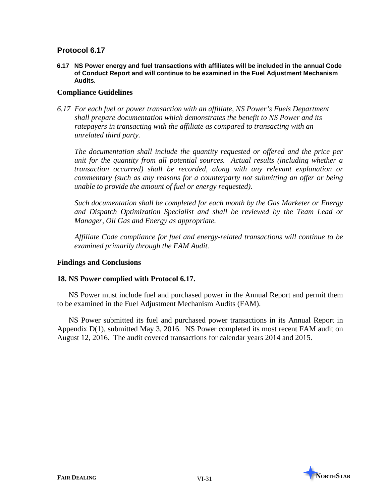**6.17 NS Power energy and fuel transactions with affiliates will be included in the annual Code of Conduct Report and will continue to be examined in the Fuel Adjustment Mechanism Audits.** 

## **Compliance Guidelines**

*6.17 For each fuel or power transaction with an affiliate, NS Power's Fuels Department shall prepare documentation which demonstrates the benefit to NS Power and its ratepayers in transacting with the affiliate as compared to transacting with an unrelated third party.* 

*The documentation shall include the quantity requested or offered and the price per unit for the quantity from all potential sources. Actual results (including whether a transaction occurred) shall be recorded, along with any relevant explanation or commentary (such as any reasons for a counterparty not submitting an offer or being unable to provide the amount of fuel or energy requested).*

*Such documentation shall be completed for each month by the Gas Marketer or Energy and Dispatch Optimization Specialist and shall be reviewed by the Team Lead or Manager, Oil Gas and Energy as appropriate.*

*Affiliate Code compliance for fuel and energy-related transactions will continue to be examined primarily through the FAM Audit.*

### **Findings and Conclusions**

### **18. NS Power complied with Protocol 6.17.**

NS Power must include fuel and purchased power in the Annual Report and permit them to be examined in the Fuel Adjustment Mechanism Audits (FAM).

NS Power submitted its fuel and purchased power transactions in its Annual Report in Appendix D(1), submitted May 3, 2016. NS Power completed its most recent FAM audit on August 12, 2016. The audit covered transactions for calendar years 2014 and 2015.

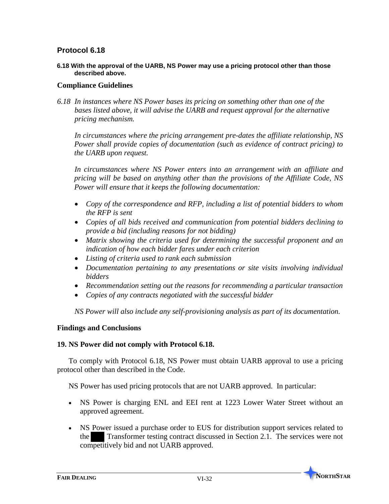**6.18 With the approval of the UARB, NS Power may use a pricing protocol other than those described above.**

### **Compliance Guidelines**

*6.18 In instances where NS Power bases its pricing on something other than one of the bases listed above, it will advise the UARB and request approval for the alternative pricing mechanism.* 

*In circumstances where the pricing arrangement pre-dates the affiliate relationship, NS Power shall provide copies of documentation (such as evidence of contract pricing) to the UARB upon request.* 

*In circumstances where NS Power enters into an arrangement with an affiliate and pricing will be based on anything other than the provisions of the Affiliate Code, NS Power will ensure that it keeps the following documentation:* 

- *Copy of the correspondence and RFP, including a list of potential bidders to whom the RFP is sent*
- *Copies of all bids received and communication from potential bidders declining to provide a bid (including reasons for not bidding)*
- *Matrix showing the criteria used for determining the successful proponent and an indication of how each bidder fares under each criterion*
- *Listing of criteria used to rank each submission*
- *Documentation pertaining to any presentations or site visits involving individual bidders*
- *Recommendation setting out the reasons for recommending a particular transaction*
- *Copies of any contracts negotiated with the successful bidder*

*NS Power will also include any self-provisioning analysis as part of its documentation.*

### **Findings and Conclusions**

### **19. NS Power did not comply with Protocol 6.18.**

To comply with Protocol 6.18, NS Power must obtain UARB approval to use a pricing protocol other than described in the Code.

NS Power has used pricing protocols that are not UARB approved. In particular:

- NS Power is charging ENL and EEI rent at 1223 Lower Water Street without an approved agreement.
- NS Power issued a purchase order to EUS for distribution support services related to the Transformer testing contract discussed in Section 2.1. The services were not competitively bid and not UARB approved.

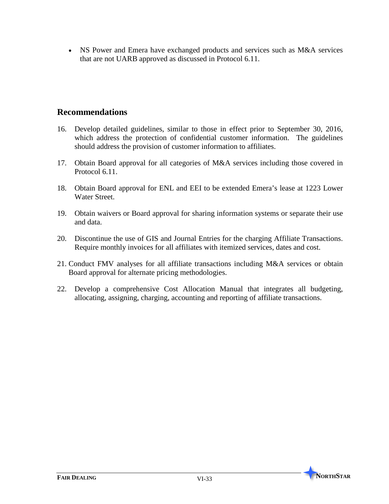• NS Power and Emera have exchanged products and services such as M&A services that are not UARB approved as discussed in Protocol 6.11.

# **Recommendations**

- 16. Develop detailed guidelines, similar to those in effect prior to September 30, 2016, which address the protection of confidential customer information. The guidelines should address the provision of customer information to affiliates.
- 17. Obtain Board approval for all categories of M&A services including those covered in Protocol 6.11.
- 18. Obtain Board approval for ENL and EEI to be extended Emera's lease at 1223 Lower Water Street.
- 19. Obtain waivers or Board approval for sharing information systems or separate their use and data.
- 20. Discontinue the use of GIS and Journal Entries for the charging Affiliate Transactions. Require monthly invoices for all affiliates with itemized services, dates and cost.
- 21. Conduct FMV analyses for all affiliate transactions including M&A services or obtain Board approval for alternate pricing methodologies.
- 22. Develop a comprehensive Cost Allocation Manual that integrates all budgeting, allocating, assigning, charging, accounting and reporting of affiliate transactions.

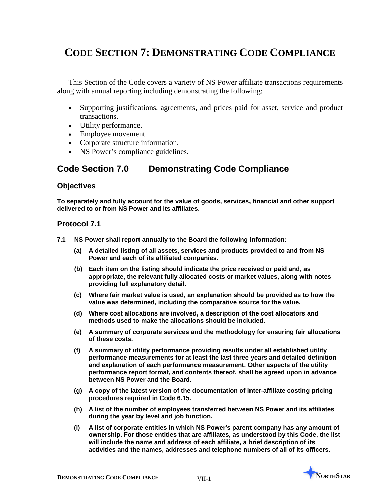# **CODE SECTION 7: DEMONSTRATING CODE COMPLIANCE**

This Section of the Code covers a variety of NS Power affiliate transactions requirements along with annual reporting including demonstrating the following:

- Supporting justifications, agreements, and prices paid for asset, service and product transactions.
- Utility performance.
- Employee movement.
- Corporate structure information.
- NS Power's compliance guidelines.

# **Code Section 7.0 Demonstrating Code Compliance**

### **Objectives**

**To separately and fully account for the value of goods, services, financial and other support delivered to or from NS Power and its affiliates.**

### **Protocol 7.1**

- **7.1 NS Power shall report annually to the Board the following information:**
	- **(a) A detailed listing of all assets, services and products provided to and from NS Power and each of its affiliated companies.**
	- **(b) Each item on the listing should indicate the price received or paid and, as appropriate, the relevant fully allocated costs or market values, along with notes providing full explanatory detail.**
	- **(c) Where fair market value is used, an explanation should be provided as to how the value was determined, including the comparative source for the value.**
	- **(d) Where cost allocations are involved, a description of the cost allocators and methods used to make the allocations should be included.**
	- **(e) A summary of corporate services and the methodology for ensuring fair allocations of these costs.**
	- **(f) A summary of utility performance providing results under all established utility performance measurements for at least the last three years and detailed definition and explanation of each performance measurement. Other aspects of the utility performance report format, and contents thereof, shall be agreed upon in advance between NS Power and the Board.**
	- **(g) A copy of the latest version of the documentation of inter-affiliate costing pricing procedures required in Code 6.15.**
	- **(h) A list of the number of employees transferred between NS Power and its affiliates during the year by level and job function.**
	- **(i) A list of corporate entities in which NS Power's parent company has any amount of ownership. For those entities that are affiliates, as understood by this Code, the list will include the name and address of each affiliate, a brief description of its activities and the names, addresses and telephone numbers of all of its officers.**

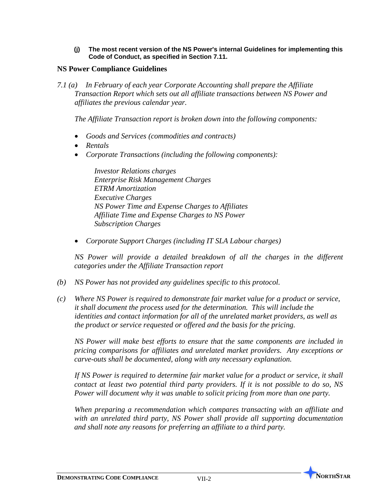**(j) The most recent version of the NS Power's internal Guidelines for implementing this Code of Conduct, as specified in Section 7.11.**

### **NS Power Compliance Guidelines**

*7.1 (a) In February of each year Corporate Accounting shall prepare the Affiliate Transaction Report which sets out all affiliate transactions between NS Power and affiliates the previous calendar year.*

*The Affiliate Transaction report is broken down into the following components:*

- *Goods and Services (commodities and contracts)*
- *Rentals*
- *Corporate Transactions (including the following components):*

*Investor Relations charges Enterprise Risk Management Charges ETRM Amortization Executive Charges NS Power Time and Expense Charges to Affiliates Affiliate Time and Expense Charges to NS Power Subscription Charges*

• *Corporate Support Charges (including IT SLA Labour charges)*

*NS Power will provide a detailed breakdown of all the charges in the different categories under the Affiliate Transaction report*

- *(b) NS Power has not provided any guidelines specific to this protocol.*
- *(c) Where NS Power is required to demonstrate fair market value for a product or service, it shall document the process used for the determination. This will include the identities and contact information for all of the unrelated market providers, as well as the product or service requested or offered and the basis for the pricing.*

*NS Power will make best efforts to ensure that the same components are included in pricing comparisons for affiliates and unrelated market providers. Any exceptions or carve-outs shall be documented, along with any necessary explanation.*

*If NS Power is required to determine fair market value for a product or service, it shall contact at least two potential third party providers. If it is not possible to do so, NS Power will document why it was unable to solicit pricing from more than one party.*

*When preparing a recommendation which compares transacting with an affiliate and with an unrelated third party, NS Power shall provide all supporting documentation and shall note any reasons for preferring an affiliate to a third party.*

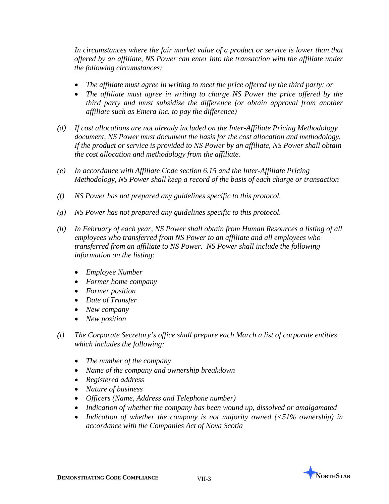*In circumstances where the fair market value of a product or service is lower than that offered by an affiliate, NS Power can enter into the transaction with the affiliate under the following circumstances:*

- *The affiliate must agree in writing to meet the price offered by the third party; or*
- *The affiliate must agree in writing to charge NS Power the price offered by the third party and must subsidize the difference (or obtain approval from another affiliate such as Emera Inc. to pay the difference)*
- *(d) If cost allocations are not already included on the Inter-Affiliate Pricing Methodology document, NS Power must document the basis for the cost allocation and methodology. If the product or service is provided to NS Power by an affiliate, NS Power shall obtain the cost allocation and methodology from the affiliate.*
- *(e) In accordance with Affiliate Code section 6.15 and the Inter-Affiliate Pricing Methodology, NS Power shall keep a record of the basis of each charge or transaction*
- *(f) NS Power has not prepared any guidelines specific to this protocol.*
- *(g) NS Power has not prepared any guidelines specific to this protocol.*
- *(h) In February of each year, NS Power shall obtain from Human Resources a listing of all employees who transferred from NS Power to an affiliate and all employees who transferred from an affiliate to NS Power. NS Power shall include the following information on the listing:*
	- *Employee Number*
	- *Former home company*
	- *Former position*
	- *Date of Transfer*
	- *New company*
	- *New position*
- *(i) The Corporate Secretary's office shall prepare each March a list of corporate entities which includes the following:*
	- *The number of the company*
	- *Name of the company and ownership breakdown*
	- *Registered address*
	- *Nature of business*
	- *Officers (Name, Address and Telephone number)*
	- *Indication of whether the company has been wound up, dissolved or amalgamated*
	- *Indication of whether the company is not majority owned (<51% ownership) in accordance with the Companies Act of Nova Scotia*

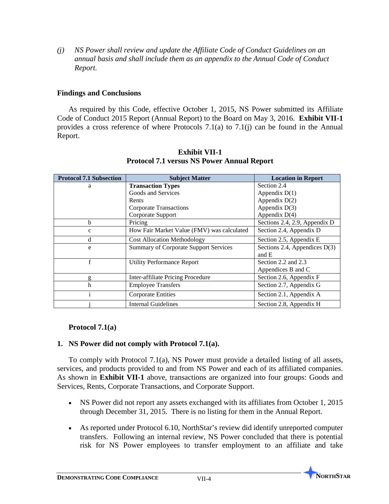*(j) NS Power shall review and update the Affiliate Code of Conduct Guidelines on an annual basis and shall include them as an appendix to the Annual Code of Conduct Report.*

### **Findings and Conclusions**

As required by this Code, effective October 1, 2015, NS Power submitted its Affiliate Code of Conduct 2015 Report (Annual Report) to the Board on May 3, 2016. **Exhibit VII-1** provides a cross reference of where Protocols 7.1(a) to 7.1(j) can be found in the Annual Report.

| <b>Protocol 7.1 Subsection</b> | <b>Subject Matter</b>                        | <b>Location in Report</b>                |  |
|--------------------------------|----------------------------------------------|------------------------------------------|--|
| a                              | <b>Transaction Types</b>                     | Section 2.4                              |  |
|                                | Goods and Services                           | Appendix $D(1)$                          |  |
|                                | Rents                                        | Appendix $D(2)$                          |  |
|                                | <b>Corporate Transactions</b>                | Appendix D(3)                            |  |
|                                | Corporate Support                            | Appendix $D(4)$                          |  |
| b                              | Pricing                                      | Sections 2.4, 2.9, Appendix D            |  |
| $\mathbf{c}$                   | How Fair Market Value (FMV) was calculated   | Section 2.4, Appendix D                  |  |
| d                              | <b>Cost Allocation Methodology</b>           | Section 2.5, Appendix E                  |  |
| e                              | <b>Summary of Corporate Support Services</b> | Sections 2.4, Appendices $D(3)$<br>and E |  |
| $\mathbf f$                    | <b>Utility Performance Report</b>            | Section 2.2 and 2.3                      |  |
|                                |                                              | Appendices B and C                       |  |
| g                              | Inter-affiliate Pricing Procedure            | Section 2.6, Appendix F                  |  |
| h                              | <b>Employee Transfers</b>                    | Section 2.7, Appendix G                  |  |
|                                | <b>Corporate Entities</b>                    | Section 2.1, Appendix A                  |  |
|                                | <b>Internal Guidelines</b>                   | Section 2.8, Appendix H                  |  |

### **Exhibit VII-1 Protocol 7.1 versus NS Power Annual Report**

## **Protocol 7.1(a)**

## **1. NS Power did not comply with Protocol 7.1(a).**

To comply with Protocol 7.1(a), NS Power must provide a detailed listing of all assets, services, and products provided to and from NS Power and each of its affiliated companies. As shown in **Exhibit VII-1** above, transactions are organized into four groups: Goods and Services, Rents, Corporate Transactions, and Corporate Support.

- NS Power did not report any assets exchanged with its affiliates from October 1, 2015 through December 31, 2015. There is no listing for them in the Annual Report.
- As reported under Protocol 6.10, NorthStar's review did identify unreported computer transfers. Following an internal review, NS Power concluded that there is potential risk for NS Power employees to transfer employment to an affiliate and take

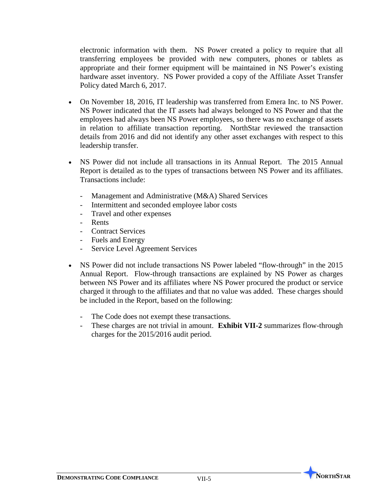electronic information with them. NS Power created a policy to require that all transferring employees be provided with new computers, phones or tablets as appropriate and their former equipment will be maintained in NS Power's existing hardware asset inventory. NS Power provided a copy of the Affiliate Asset Transfer Policy dated March 6, 2017.

- On November 18, 2016, IT leadership was transferred from Emera Inc. to NS Power. NS Power indicated that the IT assets had always belonged to NS Power and that the employees had always been NS Power employees, so there was no exchange of assets in relation to affiliate transaction reporting. NorthStar reviewed the transaction details from 2016 and did not identify any other asset exchanges with respect to this leadership transfer.
- NS Power did not include all transactions in its Annual Report. The 2015 Annual Report is detailed as to the types of transactions between NS Power and its affiliates. Transactions include:
	- Management and Administrative (M&A) Shared Services
	- Intermittent and seconded employee labor costs
	- Travel and other expenses
	- Rents
	- Contract Services
	- Fuels and Energy
	- Service Level Agreement Services
- NS Power did not include transactions NS Power labeled "flow-through" in the 2015 Annual Report. Flow-through transactions are explained by NS Power as charges between NS Power and its affiliates where NS Power procured the product or service charged it through to the affiliates and that no value was added. These charges should be included in the Report, based on the following:
	- The Code does not exempt these transactions.
	- These charges are not trivial in amount. **Exhibit VII-2** summarizes flow-through charges for the 2015/2016 audit period.

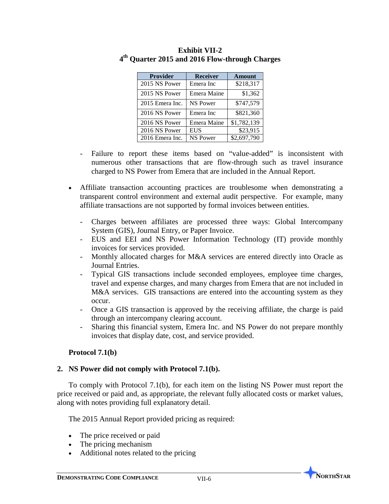| <b>Provider</b> | <b>Receiver</b> | <b>Amount</b> |  |
|-----------------|-----------------|---------------|--|
| 2015 NS Power   | Emera Inc       | \$218,317     |  |
| 2015 NS Power   | Emera Maine     | \$1,362       |  |
| 2015 Emera Inc. | <b>NS Power</b> | \$747,579     |  |
| 2016 NS Power   | Emera Inc       | \$821,360     |  |
| 2016 NS Power   | Emera Maine     | \$1,782,139   |  |
| 2016 NS Power   | <b>EUS</b>      | \$23,915      |  |
| 2016 Emera Inc. | <b>NS Power</b> | \$2,697,790   |  |

## **Exhibit VII-2 4th Quarter 2015 and 2016 Flow-through Charges**

- Failure to report these items based on "value-added" is inconsistent with numerous other transactions that are flow-through such as travel insurance charged to NS Power from Emera that are included in the Annual Report.
- Affiliate transaction accounting practices are troublesome when demonstrating a transparent control environment and external audit perspective. For example, many affiliate transactions are not supported by formal invoices between entities.
	- Charges between affiliates are processed three ways: Global Intercompany System (GIS), Journal Entry, or Paper Invoice.
	- EUS and EEI and NS Power Information Technology (IT) provide monthly invoices for services provided.
	- Monthly allocated charges for M&A services are entered directly into Oracle as Journal Entries.
	- Typical GIS transactions include seconded employees, employee time charges, travel and expense charges, and many charges from Emera that are not included in M&A services. GIS transactions are entered into the accounting system as they occur.
	- Once a GIS transaction is approved by the receiving affiliate, the charge is paid through an intercompany clearing account.
	- Sharing this financial system, Emera Inc. and NS Power do not prepare monthly invoices that display date, cost, and service provided.

### **Protocol 7.1(b)**

## **2. NS Power did not comply with Protocol 7.1(b).**

To comply with Protocol 7.1(b), for each item on the listing NS Power must report the price received or paid and, as appropriate, the relevant fully allocated costs or market values, along with notes providing full explanatory detail.

The 2015 Annual Report provided pricing as required:

- The price received or paid
- The pricing mechanism
- Additional notes related to the pricing

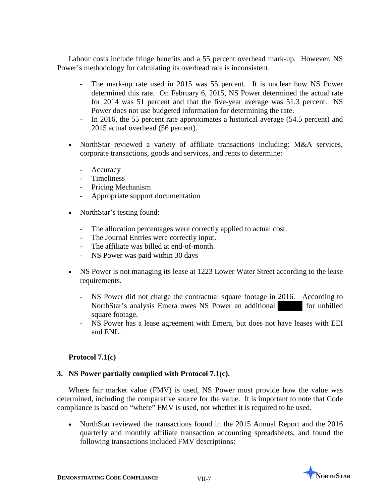Labour costs include fringe benefits and a 55 percent overhead mark-up. However, NS Power's methodology for calculating its overhead rate is inconsistent.

- The mark-up rate used in 2015 was 55 percent. It is unclear how NS Power determined this rate. On February 6, 2015, NS Power determined the actual rate for 2014 was 51 percent and that the five-year average was 51.3 percent. NS Power does not use budgeted information for determining the rate.
- In 2016, the 55 percent rate approximates a historical average (54.5 percent) and 2015 actual overhead (56 percent).
- NorthStar reviewed a variety of affiliate transactions including: M&A services, corporate transactions, goods and services, and rents to determine:
	- Accuracy
	- Timeliness
	- Pricing Mechanism
	- Appropriate support documentation
- NorthStar's testing found:
	- The allocation percentages were correctly applied to actual cost.
	- The Journal Entries were correctly input.
	- The affiliate was billed at end-of-month.
	- NS Power was paid within 30 days
- NS Power is not managing its lease at 1223 Lower Water Street according to the lease requirements.
	- NS Power did not charge the contractual square footage in 2016. According to NorthStar's analysis Emera owes NS Power an additional for unbilled square footage.
	- NS Power has a lease agreement with Emera, but does not have leases with EEI and ENL.

## **Protocol 7.1(c)**

## **3. NS Power partially complied with Protocol 7.1(c).**

Where fair market value (FMV) is used, NS Power must provide how the value was determined, including the comparative source for the value. It is important to note that Code compliance is based on "where" FMV is used, not whether it is required to be used.

• NorthStar reviewed the transactions found in the 2015 Annual Report and the 2016 quarterly and monthly affiliate transaction accounting spreadsheets, and found the following transactions included FMV descriptions:

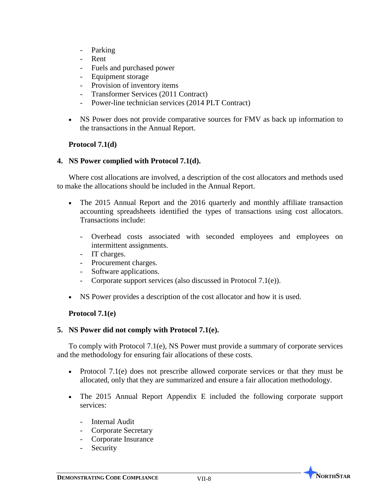- Parking
- Rent
- Fuels and purchased power
- Equipment storage
- Provision of inventory items
- Transformer Services (2011 Contract)
- Power-line technician services (2014 PLT Contract)
- NS Power does not provide comparative sources for FMV as back up information to the transactions in the Annual Report.

### **Protocol 7.1(d)**

### **4. NS Power complied with Protocol 7.1(d).**

Where cost allocations are involved, a description of the cost allocators and methods used to make the allocations should be included in the Annual Report.

- The 2015 Annual Report and the 2016 quarterly and monthly affiliate transaction accounting spreadsheets identified the types of transactions using cost allocators. Transactions include:
	- Overhead costs associated with seconded employees and employees on intermittent assignments.
	- IT charges.
	- Procurement charges.
	- Software applications.
	- Corporate support services (also discussed in Protocol 7.1(e)).
- NS Power provides a description of the cost allocator and how it is used.

### **Protocol 7.1(e)**

### **5. NS Power did not comply with Protocol 7.1(e).**

To comply with Protocol 7.1(e), NS Power must provide a summary of corporate services and the methodology for ensuring fair allocations of these costs.

- Protocol 7.1(e) does not prescribe allowed corporate services or that they must be allocated, only that they are summarized and ensure a fair allocation methodology.
- The 2015 Annual Report Appendix E included the following corporate support services:
	- Internal Audit
	- Corporate Secretary
	- Corporate Insurance
	- **Security**

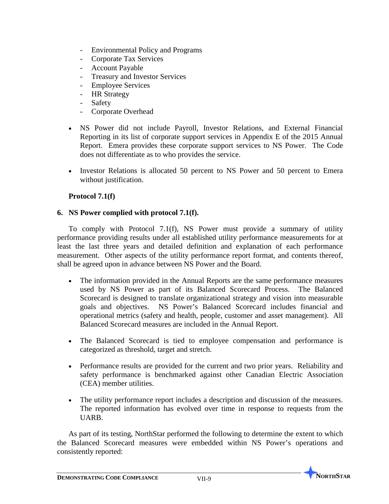- Environmental Policy and Programs
- Corporate Tax Services
- Account Payable
- Treasury and Investor Services
- Employee Services
- **HR Strategy**
- Safety
- Corporate Overhead
- NS Power did not include Payroll, Investor Relations, and External Financial Reporting in its list of corporate support services in Appendix E of the 2015 Annual Report. Emera provides these corporate support services to NS Power. The Code does not differentiate as to who provides the service.
- Investor Relations is allocated 50 percent to NS Power and 50 percent to Emera without justification.

## **Protocol 7.1(f)**

### **6. NS Power complied with protocol 7.1(f).**

To comply with Protocol 7.1(f), NS Power must provide a summary of utility performance providing results under all established utility performance measurements for at least the last three years and detailed definition and explanation of each performance measurement. Other aspects of the utility performance report format, and contents thereof, shall be agreed upon in advance between NS Power and the Board.

- The information provided in the Annual Reports are the same performance measures used by NS Power as part of its Balanced Scorecard Process. The Balanced Scorecard is designed to translate organizational strategy and vision into measurable goals and objectives. NS Power's Balanced Scorecard includes financial and operational metrics (safety and health, people, customer and asset management). All Balanced Scorecard measures are included in the Annual Report.
- The Balanced Scorecard is tied to employee compensation and performance is categorized as threshold, target and stretch.
- Performance results are provided for the current and two prior years. Reliability and safety performance is benchmarked against other Canadian Electric Association (CEA) member utilities.
- The utility performance report includes a description and discussion of the measures. The reported information has evolved over time in response to requests from the UARB.

As part of its testing, NorthStar performed the following to determine the extent to which the Balanced Scorecard measures were embedded within NS Power's operations and consistently reported:

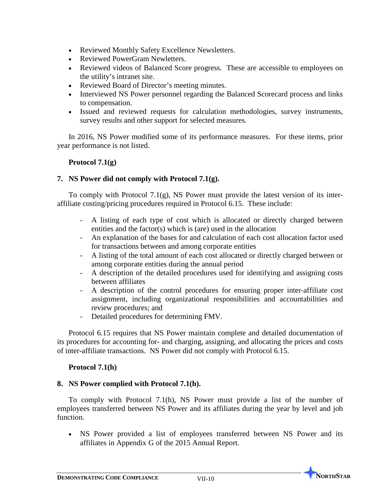- Reviewed Monthly Safety Excellence Newsletters.
- Reviewed PowerGram Newletters.
- Reviewed videos of Balanced Score progress. These are accessible to employees on the utility's intranet site.
- Reviewed Board of Director's meeting minutes.
- Interviewed NS Power personnel regarding the Balanced Scorecard process and links to compensation.
- Issued and reviewed requests for calculation methodologies, survey instruments, survey results and other support for selected measures.

In 2016, NS Power modified some of its performance measures. For these items, prior year performance is not listed.

### **Protocol 7.1(g)**

### **7. NS Power did not comply with Protocol 7.1(g).**

To comply with Protocol 7.1(g), NS Power must provide the latest version of its interaffiliate costing/pricing procedures required in Protocol 6.15. These include:

- A listing of each type of cost which is allocated or directly charged between entities and the factor(s) which is (are) used in the allocation
- An explanation of the bases for and calculation of each cost allocation factor used for transactions between and among corporate entities
- A listing of the total amount of each cost allocated or directly charged between or among corporate entities during the annual period
- A description of the detailed procedures used for identifying and assigning costs between affiliates
- A description of the control procedures for ensuring proper inter-affiliate cost assignment, including organizational responsibilities and accountabilities and review procedures; and
- Detailed procedures for determining FMV.

Protocol 6.15 requires that NS Power maintain complete and detailed documentation of its procedures for accounting for- and charging, assigning, and allocating the prices and costs of inter-affiliate transactions. NS Power did not comply with Protocol 6.15.

### **Protocol 7.1(h)**

### **8. NS Power complied with Protocol 7.1(h).**

To comply with Protocol 7.1(h), NS Power must provide a list of the number of employees transferred between NS Power and its affiliates during the year by level and job function.

• NS Power provided a list of employees transferred between NS Power and its affiliates in Appendix G of the 2015 Annual Report.

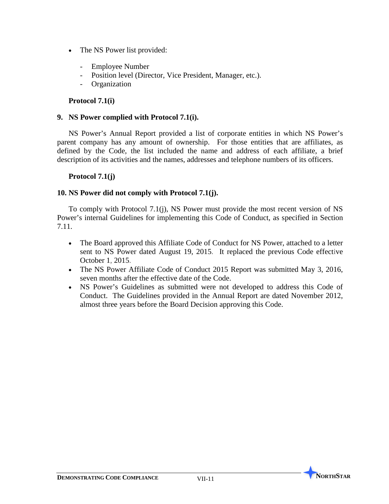- The NS Power list provided:
	- Employee Number
	- Position level (Director, Vice President, Manager, etc.).
	- **Organization**

## **Protocol 7.1(i)**

### **9. NS Power complied with Protocol 7.1(i).**

NS Power's Annual Report provided a list of corporate entities in which NS Power's parent company has any amount of ownership. For those entities that are affiliates, as defined by the Code, the list included the name and address of each affiliate, a brief description of its activities and the names, addresses and telephone numbers of its officers.

### **Protocol 7.1(j)**

### **10. NS Power did not comply with Protocol 7.1(j).**

To comply with Protocol 7.1(j), NS Power must provide the most recent version of NS Power's internal Guidelines for implementing this Code of Conduct, as specified in Section 7.11.

- The Board approved this Affiliate Code of Conduct for NS Power, attached to a letter sent to NS Power dated August 19, 2015. It replaced the previous Code effective October 1, 2015.
- The NS Power Affiliate Code of Conduct 2015 Report was submitted May 3, 2016, seven months after the effective date of the Code.
- NS Power's Guidelines as submitted were not developed to address this Code of Conduct. The Guidelines provided in the Annual Report are dated November 2012, almost three years before the Board Decision approving this Code.

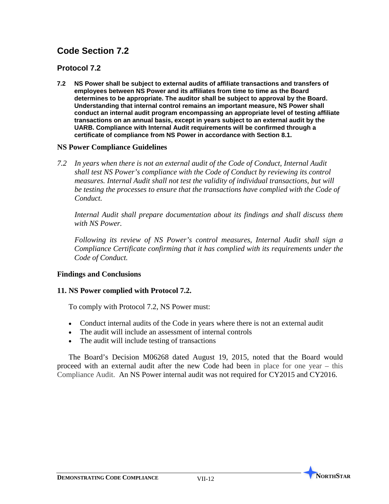## **Protocol 7.2**

**7.2 NS Power shall be subject to external audits of affiliate transactions and transfers of employees between NS Power and its affiliates from time to time as the Board determines to be appropriate. The auditor shall be subject to approval by the Board. Understanding that internal control remains an important measure, NS Power shall conduct an internal audit program encompassing an appropriate level of testing affiliate transactions on an annual basis, except in years subject to an external audit by the UARB. Compliance with Internal Audit requirements will be confirmed through a certificate of compliance from NS Power in accordance with Section 8.1.**

### **NS Power Compliance Guidelines**

*7.2 In years when there is not an external audit of the Code of Conduct, Internal Audit shall test NS Power's compliance with the Code of Conduct by reviewing its control measures. Internal Audit shall not test the validity of individual transactions, but will be testing the processes to ensure that the transactions have complied with the Code of Conduct.*

*Internal Audit shall prepare documentation about its findings and shall discuss them with NS Power.*

*Following its review of NS Power's control measures, Internal Audit shall sign a Compliance Certificate confirming that it has complied with its requirements under the Code of Conduct.*

### **Findings and Conclusions**

### **11. NS Power complied with Protocol 7.2.**

To comply with Protocol 7.2, NS Power must:

- Conduct internal audits of the Code in years where there is not an external audit
- The audit will include an assessment of internal controls
- The audit will include testing of transactions

The Board's Decision M06268 dated August 19, 2015, noted that the Board would proceed with an external audit after the new Code had been in place for one year – this Compliance Audit. An NS Power internal audit was not required for CY2015 and CY2016.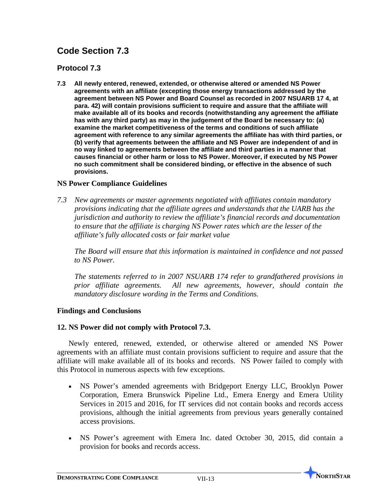# **Protocol 7.3**

**7.3 All newly entered, renewed, extended, or otherwise altered or amended NS Power agreements with an affiliate (excepting those energy transactions addressed by the agreement between NS Power and Board Counsel as recorded in 2007 NSUARB 17 4, at para. 42) will contain provisions sufficient to require and assure that the affiliate will make available all of its books and records (notwithstanding any agreement the affiliate has with any third party) as may in the judgement of the Board be necessary to: (a) examine the market competitiveness of the terms and conditions of such affiliate agreement with reference to any similar agreements the affiliate has with third parties, or (b) verify that agreements between the affiliate and NS Power are independent of and in no way linked to agreements between the affiliate and third parties in a manner that causes financial or other harm or loss to NS Power. Moreover, if executed by NS Power no such commitment shall be considered binding, or effective in the absence of such provisions.**

## **NS Power Compliance Guidelines**

*7.3 New agreements or master agreements negotiated with affiliates contain mandatory provisions indicating that the affiliate agrees and understands that the UARB has the jurisdiction and authority to review the affiliate's financial records and documentation to ensure that the affiliate is charging NS Power rates which are the lesser of the affiliate's fully allocated costs or fair market value* 

*The Board will ensure that this information is maintained in confidence and not passed to NS Power.* 

*The statements referred to in 2007 NSUARB 174 refer to grandfathered provisions in prior affiliate agreements. All new agreements, however, should contain the mandatory disclosure wording in the Terms and Conditions.* 

### **Findings and Conclusions**

## **12. NS Power did not comply with Protocol 7.3.**

Newly entered, renewed, extended, or otherwise altered or amended NS Power agreements with an affiliate must contain provisions sufficient to require and assure that the affiliate will make available all of its books and records. NS Power failed to comply with this Protocol in numerous aspects with few exceptions.

- NS Power's amended agreements with Bridgeport Energy LLC, Brooklyn Power Corporation, Emera Brunswick Pipeline Ltd., Emera Energy and Emera Utility Services in 2015 and 2016, for IT services did not contain books and records access provisions, although the initial agreements from previous years generally contained access provisions.
- NS Power's agreement with Emera Inc. dated October 30, 2015, did contain a provision for books and records access.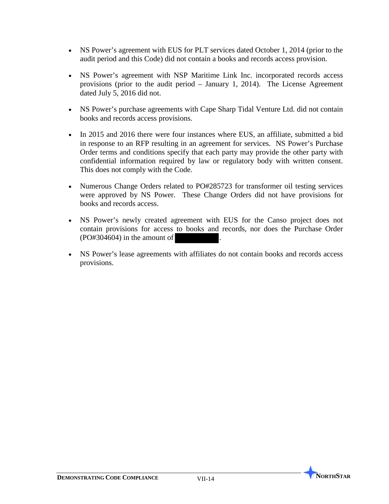- NS Power's agreement with EUS for PLT services dated October 1, 2014 (prior to the audit period and this Code) did not contain a books and records access provision.
- NS Power's agreement with NSP Maritime Link Inc. incorporated records access provisions (prior to the audit period – January 1, 2014). The License Agreement dated July 5, 2016 did not.
- NS Power's purchase agreements with Cape Sharp Tidal Venture Ltd. did not contain books and records access provisions.
- In 2015 and 2016 there were four instances where EUS, an affiliate, submitted a bid in response to an RFP resulting in an agreement for services. NS Power's Purchase Order terms and conditions specify that each party may provide the other party with confidential information required by law or regulatory body with written consent. This does not comply with the Code.
- Numerous Change Orders related to PO#285723 for transformer oil testing services were approved by NS Power. These Change Orders did not have provisions for books and records access.
- NS Power's newly created agreement with EUS for the Canso project does not contain provisions for access to books and records, nor does the Purchase Order  $(PO#304604)$  in the amount of
- NS Power's lease agreements with affiliates do not contain books and records access provisions.

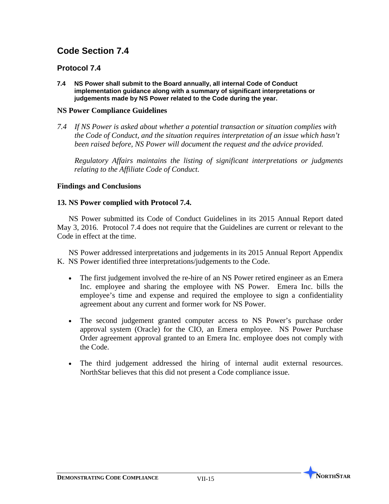## **Protocol 7.4**

**7.4 NS Power shall submit to the Board annually, all internal Code of Conduct implementation guidance along with a summary of significant interpretations or judgements made by NS Power related to the Code during the year.**

### **NS Power Compliance Guidelines**

*7.4 If NS Power is asked about whether a potential transaction or situation complies with the Code of Conduct, and the situation requires interpretation of an issue which hasn't been raised before, NS Power will document the request and the advice provided.* 

*Regulatory Affairs maintains the listing of significant interpretations or judgments relating to the Affiliate Code of Conduct.* 

## **Findings and Conclusions**

### **13. NS Power complied with Protocol 7.4.**

NS Power submitted its Code of Conduct Guidelines in its 2015 Annual Report dated May 3, 2016. Protocol 7.4 does not require that the Guidelines are current or relevant to the Code in effect at the time.

NS Power addressed interpretations and judgements in its 2015 Annual Report Appendix K. NS Power identified three interpretations/judgements to the Code.

- The first judgement involved the re-hire of an NS Power retired engineer as an Emera Inc. employee and sharing the employee with NS Power. Emera Inc. bills the employee's time and expense and required the employee to sign a confidentiality agreement about any current and former work for NS Power.
- The second judgement granted computer access to NS Power's purchase order approval system (Oracle) for the CIO, an Emera employee. NS Power Purchase Order agreement approval granted to an Emera Inc. employee does not comply with the Code.
- The third judgement addressed the hiring of internal audit external resources. NorthStar believes that this did not present a Code compliance issue.

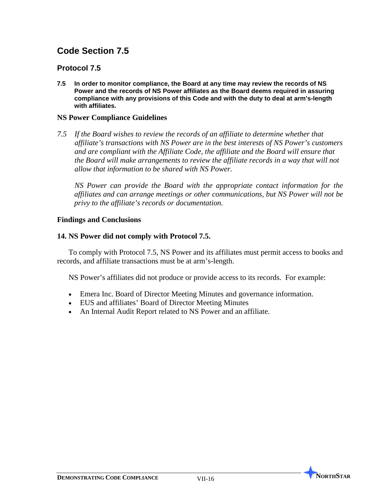## **Protocol 7.5**

**7.5 In order to monitor compliance, the Board at any time may review the records of NS Power and the records of NS Power affiliates as the Board deems required in assuring compliance with any provisions of this Code and with the duty to deal at arm's-length with affiliates.**

### **NS Power Compliance Guidelines**

*7.5 If the Board wishes to review the records of an affiliate to determine whether that affiliate's transactions with NS Power are in the best interests of NS Power's customers and are compliant with the Affiliate Code, the affiliate and the Board will ensure that the Board will make arrangements to review the affiliate records in a way that will not allow that information to be shared with NS Power.* 

*NS Power can provide the Board with the appropriate contact information for the affiliates and can arrange meetings or other communications, but NS Power will not be privy to the affiliate's records or documentation.*

### **Findings and Conclusions**

### **14. NS Power did not comply with Protocol 7.5.**

To comply with Protocol 7.5, NS Power and its affiliates must permit access to books and records, and affiliate transactions must be at arm's-length.

NS Power's affiliates did not produce or provide access to its records. For example:

- Emera Inc. Board of Director Meeting Minutes and governance information.
- EUS and affiliates' Board of Director Meeting Minutes
- An Internal Audit Report related to NS Power and an affiliate.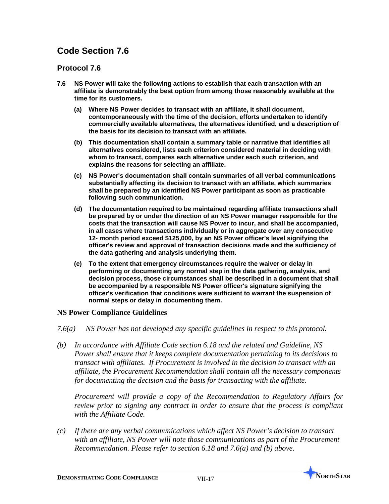## **Protocol 7.6**

- **7.6 NS Power will take the following actions to establish that each transaction with an affiliate is demonstrably the best option from among those reasonably available at the time for its customers.**
	- **(a) Where NS Power decides to transact with an affiliate, it shall document, contemporaneously with the time of the decision, efforts undertaken to identify commercially available alternatives, the alternatives identified, and a description of the basis for its decision to transact with an affiliate.**
	- **(b) This documentation shall contain a summary table or narrative that identifies all alternatives considered, lists each criterion considered material in deciding with whom to transact, compares each alternative under each such criterion, and explains the reasons for selecting an affiliate.**
	- **(c) NS Power's documentation shall contain summaries of all verbal communications substantially affecting its decision to transact with an affiliate, which summaries shall be prepared by an identified NS Power participant as soon as practicable following such communication.**
	- **(d) The documentation required to be maintained regarding affiliate transactions shall be prepared by or under the direction of an NS Power manager responsible for the costs that the transaction will cause NS Power to incur, and shall be accompanied, in all cases where transactions individually or in aggregate over any consecutive 12- month period exceed \$125,000, by an NS Power officer's level signifying the officer's review and approval of transaction decisions made and the sufficiency of the data gathering and analysis underlying them.**
	- **(e) To the extent that emergency circumstances require the waiver or delay in performing or documenting any normal step in the data gathering, analysis, and decision process, those circumstances shall be described in a document that shall be accompanied by a responsible NS Power officer's signature signifying the officer's verification that conditions were sufficient to warrant the suspension of normal steps or delay in documenting them.**

### **NS Power Compliance Guidelines**

- *7.6(a) NS Power has not developed any specific guidelines in respect to this protocol.*
- *(b) In accordance with Affiliate Code section 6.18 and the related and Guideline, NS Power shall ensure that it keeps complete documentation pertaining to its decisions to transact with affiliates. If Procurement is involved in the decision to transact with an affiliate, the Procurement Recommendation shall contain all the necessary components for documenting the decision and the basis for transacting with the affiliate.*

*Procurement will provide a copy of the Recommendation to Regulatory Affairs for review prior to signing any contract in order to ensure that the process is compliant with the Affiliate Code.*

*(c) If there are any verbal communications which affect NS Power's decision to transact with an affiliate, NS Power will note those communications as part of the Procurement Recommendation. Please refer to section 6.18 and 7.6(a) and (b) above.*

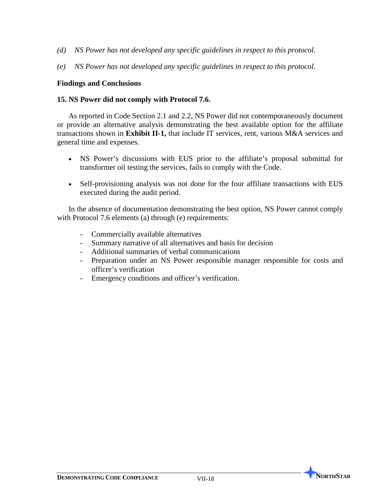- *(d) NS Power has not developed any specific guidelines in respect to this protocol.*
- *(e) NS Power has not developed any specific guidelines in respect to this protocol.*

### **Findings and Conclusions**

### **15. NS Power did not comply with Protocol 7.6.**

As reported in Code Section 2.1 and 2.2, NS Power did not contemporaneously document or provide an alternative analysis demonstrating the best available option for the affiliate transactions shown in **Exhibit II-1,** that include IT services, rent, various M&A services and general time and expenses.

- NS Power's discussions with EUS prior to the affiliate's proposal submittal for transformer oil testing the services, fails to comply with the Code.
- Self-provisioning analysis was not done for the four affiliate transactions with EUS executed during the audit period.

In the absence of documentation demonstrating the best option, NS Power cannot comply with Protocol 7.6 elements (a) through (e) requirements:

- Commercially available alternatives
- Summary narrative of all alternatives and basis for decision
- Additional summaries of verbal communications
- Preparation under an NS Power responsible manager responsible for costs and officer's verification
- Emergency conditions and officer's verification.

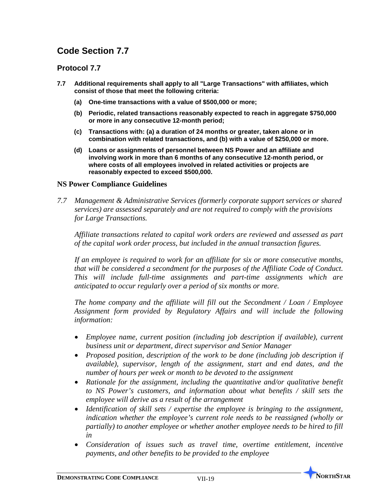## **Protocol 7.7**

- **7.7 Additional requirements shall apply to all "Large Transactions" with affiliates, which consist of those that meet the following criteria:** 
	- **(a) One-time transactions with a value of \$500,000 or more;**
	- **(b) Periodic, related transactions reasonably expected to reach in aggregate \$750,000 or more in any consecutive 12-month period;**
	- **(c) Transactions with: (a) a duration of 24 months or greater, taken alone or in combination with related transactions, and (b) with a value of \$250,000 or more.**
	- **(d) Loans or assignments of personnel between NS Power and an affiliate and involving work in more than 6 months of any consecutive 12-month period, or where costs of all employees involved in related activities or projects are reasonably expected to exceed \$500,000.**

### **NS Power Compliance Guidelines**

*7.7 Management & Administrative Services (formerly corporate support services or shared services) are assessed separately and are not required to comply with the provisions for Large Transactions.*

*Affiliate transactions related to capital work orders are reviewed and assessed as part of the capital work order process, but included in the annual transaction figures.* 

*If an employee is required to work for an affiliate for six or more consecutive months, that will be considered a secondment for the purposes of the Affiliate Code of Conduct. This will include full-time assignments and part-time assignments which are anticipated to occur regularly over a period of six months or more.*

*The home company and the affiliate will fill out the Secondment / Loan / Employee Assignment form provided by Regulatory Affairs and will include the following information:*

- *Employee name, current position (including job description if available), current business unit or department, direct supervisor and Senior Manager*
- *Proposed position, description of the work to be done (including job description if available), supervisor, length of the assignment, start and end dates, and the number of hours per week or month to be devoted to the assignment*
- *Rationale for the assignment, including the quantitative and/or qualitative benefit to NS Power's customers, and information about what benefits / skill sets the employee will derive as a result of the arrangement*
- *Identification of skill sets / expertise the employee is bringing to the assignment, indication whether the employee's current role needs to be reassigned (wholly or partially) to another employee or whether another employee needs to be hired to fill in*
- *Consideration of issues such as travel time, overtime entitlement, incentive payments, and other benefits to be provided to the employee*

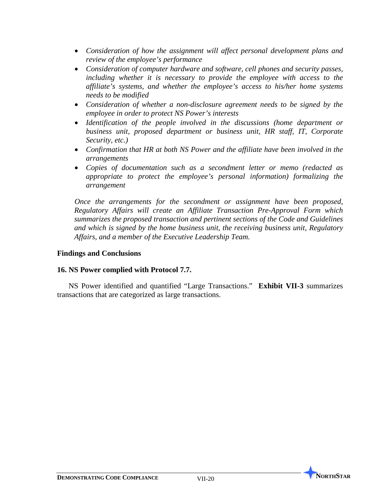- *Consideration of how the assignment will affect personal development plans and review of the employee's performance*
- *Consideration of computer hardware and software, cell phones and security passes, including whether it is necessary to provide the employee with access to the affiliate's systems, and whether the employee's access to his/her home systems needs to be modified*
- *Consideration of whether a non-disclosure agreement needs to be signed by the employee in order to protect NS Power's interests*
- *Identification of the people involved in the discussions (home department or business unit, proposed department or business unit, HR staff, IT, Corporate Security, etc.)*
- *Confirmation that HR at both NS Power and the affiliate have been involved in the arrangements*
- *Copies of documentation such as a secondment letter or memo (redacted as appropriate to protect the employee's personal information) formalizing the arrangement*

*Once the arrangements for the secondment or assignment have been proposed, Regulatory Affairs will create an Affiliate Transaction Pre-Approval Form which summarizes the proposed transaction and pertinent sections of the Code and Guidelines and which is signed by the home business unit, the receiving business unit, Regulatory Affairs, and a member of the Executive Leadership Team.*

### **Findings and Conclusions**

### **16. NS Power complied with Protocol 7.7.**

NS Power identified and quantified "Large Transactions." **Exhibit VII-3** summarizes transactions that are categorized as large transactions.

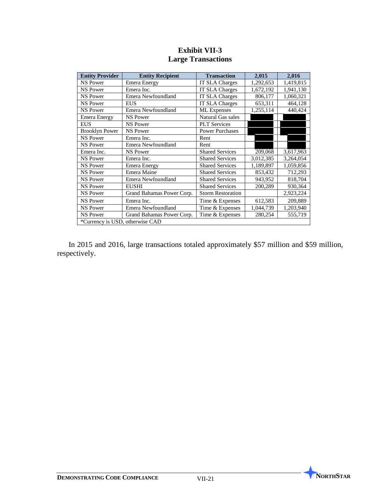| <b>Entity Provider</b>          | <b>Entity Recipient</b>   | <b>Transaction</b>       | 2,015     | 2,016     |  |  |
|---------------------------------|---------------------------|--------------------------|-----------|-----------|--|--|
| <b>NS Power</b>                 | Emera Energy              | <b>IT SLA Charges</b>    | 1,292,653 | 1,419,815 |  |  |
| <b>NS Power</b>                 | Emera Inc.                | <b>IT SLA Charges</b>    | 1,672,192 | 1,941,130 |  |  |
| <b>NS Power</b>                 | Emera Newfoundland        | <b>IT SLA Charges</b>    | 806,177   | 1,060,321 |  |  |
| NS Power                        | <b>EUS</b>                | <b>IT SLA Charges</b>    | 653,311   | 464,128   |  |  |
| <b>NS Power</b>                 | Emera Newfoundland        | <b>ML</b> Expenses       | 1,255,114 | 440,424   |  |  |
| <b>Emera Energy</b>             | <b>NS Power</b>           | Natural Gas sales        |           |           |  |  |
| <b>EUS</b>                      | <b>NS Power</b>           | <b>PLT</b> Services      |           |           |  |  |
| <b>Brooklyn Power</b>           | <b>NS Power</b>           | <b>Power Purchases</b>   |           |           |  |  |
| <b>NS Power</b>                 | Emera Inc.                | Rent                     |           |           |  |  |
| <b>NS Power</b>                 | Emera Newfoundland        | Rent                     |           |           |  |  |
| Emera Inc.                      | <b>NS Power</b>           | <b>Shared Services</b>   | 209,068   | 3,617,963 |  |  |
| <b>NS Power</b>                 | Emera Inc.                | <b>Shared Services</b>   | 3,012,385 | 3,264,054 |  |  |
| <b>NS Power</b>                 | Emera Energy              | <b>Shared Services</b>   | 1,189,897 | 1,059,856 |  |  |
| <b>NS Power</b>                 | Emera Maine               | <b>Shared Services</b>   | 853,432   | 712,293   |  |  |
| <b>NS Power</b>                 | Emera Newfoundland        | <b>Shared Services</b>   | 943,952   | 818,704   |  |  |
| <b>NS Power</b>                 | <b>EUSHI</b>              | <b>Shared Services</b>   | 200,289   | 930,364   |  |  |
| <b>NS Power</b>                 | Grand Bahamas Power Corp. | <b>Storm Restoration</b> |           | 2,923,224 |  |  |
| <b>NS Power</b>                 | Emera Inc.                | Time & Expenses          | 612,583   | 209,889   |  |  |
| <b>NS Power</b>                 | Emera Newfoundland        | Time & Expenses          | 1,044,739 | 1,203,940 |  |  |
| <b>NS Power</b>                 | Grand Bahamas Power Corp. | Time & Expenses          | 280,254   | 555,719   |  |  |
| *Currency is USD, otherwise CAD |                           |                          |           |           |  |  |

## **Exhibit VII-3 Large Transactions**

In 2015 and 2016, large transactions totaled approximately \$57 million and \$59 million, respectively.

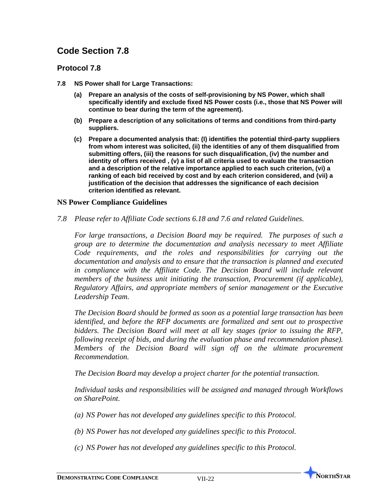## **Protocol 7.8**

- **7.8 NS Power shall for Large Transactions:**
	- **(a) Prepare an analysis of the costs of self-provisioning by NS Power, which shall specifically identify and exclude fixed NS Power costs (i.e., those that NS Power will continue to bear during the term of the agreement).**
	- **(b) Prepare a description of any solicitations of terms and conditions from third-party suppliers.**
	- **(c) Prepare a documented analysis that: (I) identifies the potential third-party suppliers from whom interest was solicited, (ii) the identities of any of them disqualified from submitting offers, (iii) the reasons for such disqualification, (iv) the number and identity of offers received , (v) a list of all criteria used to evaluate the transaction and a description of the relative importance applied to each such criterion, (vi) a ranking of each bid received by cost and by each criterion considered, and (vii) a justification of the decision that addresses the significance of each decision criterion identified as relevant.**

### **NS Power Compliance Guidelines**

*7.8 Please refer to Affiliate Code sections 6.18 and 7.6 and related Guidelines.*

*For large transactions, a Decision Board may be required. The purposes of such a group are to determine the documentation and analysis necessary to meet Affiliate Code requirements, and the roles and responsibilities for carrying out the documentation and analysis and to ensure that the transaction is planned and executed*  in compliance with the Affiliate Code. The Decision Board will include relevant *members of the business unit initiating the transaction, Procurement (if applicable), Regulatory Affairs, and appropriate members of senior management or the Executive Leadership Team.* 

*The Decision Board should be formed as soon as a potential large transaction has been identified, and before the RFP documents are formalized and sent out to prospective bidders. The Decision Board will meet at all key stages (prior to issuing the RFP, following receipt of bids, and during the evaluation phase and recommendation phase). Members of the Decision Board will sign off on the ultimate procurement Recommendation.*

*The Decision Board may develop a project charter for the potential transaction.*

*Individual tasks and responsibilities will be assigned and managed through Workflows on SharePoint.* 

- *(a) NS Power has not developed any guidelines specific to this Protocol.*
- *(b) NS Power has not developed any guidelines specific to this Protocol.*
- *(c) NS Power has not developed any guidelines specific to this Protocol.*



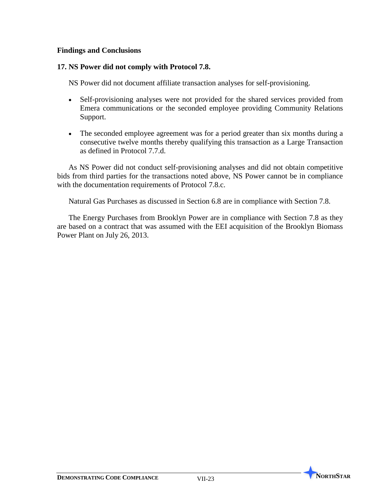## **Findings and Conclusions**

## **17. NS Power did not comply with Protocol 7.8.**

NS Power did not document affiliate transaction analyses for self-provisioning.

- Self-provisioning analyses were not provided for the shared services provided from Emera communications or the seconded employee providing Community Relations Support.
- The seconded employee agreement was for a period greater than six months during a consecutive twelve months thereby qualifying this transaction as a Large Transaction as defined in Protocol 7.7.d.

As NS Power did not conduct self-provisioning analyses and did not obtain competitive bids from third parties for the transactions noted above, NS Power cannot be in compliance with the documentation requirements of Protocol 7.8.c.

Natural Gas Purchases as discussed in Section 6.8 are in compliance with Section 7.8.

The Energy Purchases from Brooklyn Power are in compliance with Section 7.8 as they are based on a contract that was assumed with the EEI acquisition of the Brooklyn Biomass Power Plant on July 26, 2013.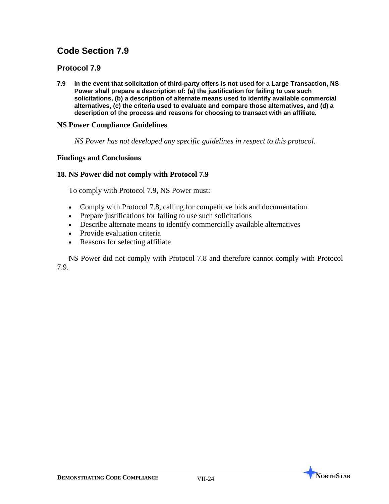## **Protocol 7.9**

**7.9 In the event that solicitation of third-party offers is not used for a Large Transaction, NS Power shall prepare a description of: (a) the justification for failing to use such solicitations, (b) a description of alternate means used to identify available commercial alternatives, (c) the criteria used to evaluate and compare those alternatives, and (d) a description of the process and reasons for choosing to transact with an affiliate.**

### **NS Power Compliance Guidelines**

*NS Power has not developed any specific guidelines in respect to this protocol.*

### **Findings and Conclusions**

### **18. NS Power did not comply with Protocol 7.9**

To comply with Protocol 7.9, NS Power must:

- Comply with Protocol 7.8, calling for competitive bids and documentation.
- Prepare justifications for failing to use such solicitations
- Describe alternate means to identify commercially available alternatives
- Provide evaluation criteria
- Reasons for selecting affiliate

NS Power did not comply with Protocol 7.8 and therefore cannot comply with Protocol 7.9.

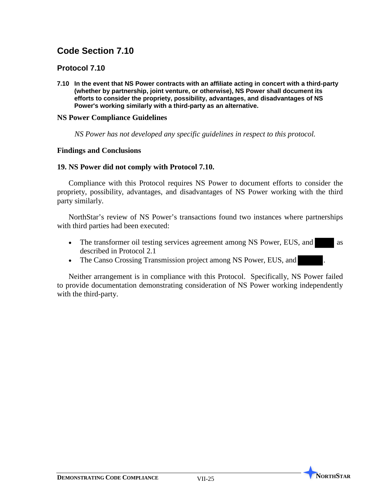## **Protocol 7.10**

**7.10 In the event that NS Power contracts with an affiliate acting in concert with a third-party (whether by partnership, joint venture, or otherwise), NS Power shall document its efforts to consider the propriety, possibility, advantages, and disadvantages of NS Power's working similarly with a third-party as an alternative.**

### **NS Power Compliance Guidelines**

 *NS Power has not developed any specific guidelines in respect to this protocol.* 

### **Findings and Conclusions**

### **19. NS Power did not comply with Protocol 7.10.**

Compliance with this Protocol requires NS Power to document efforts to consider the propriety, possibility, advantages, and disadvantages of NS Power working with the third party similarly.

NorthStar's review of NS Power's transactions found two instances where partnerships with third parties had been executed:

- The transformer oil testing services agreement among NS Power, EUS, and as described in Protocol 2.1
- The Canso Crossing Transmission project among NS Power, EUS, and

Neither arrangement is in compliance with this Protocol. Specifically, NS Power failed to provide documentation demonstrating consideration of NS Power working independently with the third-party.

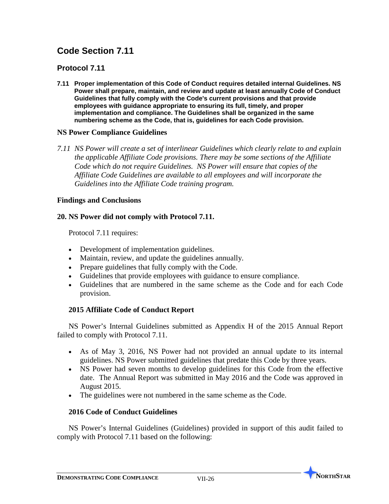## **Protocol 7.11**

**7.11 Proper implementation of this Code of Conduct requires detailed internal Guidelines. NS Power shall prepare, maintain, and review and update at least annually Code of Conduct Guidelines that fully comply with the Code's current provisions and that provide employees with guidance appropriate to ensuring its full, timely, and proper implementation and compliance. The Guidelines shall be organized in the same numbering scheme as the Code, that is, guidelines for each Code provision.**

### **NS Power Compliance Guidelines**

*7.11 NS Power will create a set of interlinear Guidelines which clearly relate to and explain the applicable Affiliate Code provisions. There may be some sections of the Affiliate Code which do not require Guidelines. NS Power will ensure that copies of the Affiliate Code Guidelines are available to all employees and will incorporate the Guidelines into the Affiliate Code training program.* 

## **Findings and Conclusions**

## **20. NS Power did not comply with Protocol 7.11.**

Protocol 7.11 requires:

- Development of implementation guidelines.
- Maintain, review, and update the guidelines annually.
- Prepare guidelines that fully comply with the Code.
- Guidelines that provide employees with guidance to ensure compliance.
- Guidelines that are numbered in the same scheme as the Code and for each Code provision.

## **2015 Affiliate Code of Conduct Report**

NS Power's Internal Guidelines submitted as Appendix H of the 2015 Annual Report failed to comply with Protocol 7.11.

- As of May 3, 2016, NS Power had not provided an annual update to its internal guidelines. NS Power submitted guidelines that predate this Code by three years.
- NS Power had seven months to develop guidelines for this Code from the effective date. The Annual Report was submitted in May 2016 and the Code was approved in August 2015.
- The guidelines were not numbered in the same scheme as the Code.

### **2016 Code of Conduct Guidelines**

NS Power's Internal Guidelines (Guidelines) provided in support of this audit failed to comply with Protocol 7.11 based on the following:

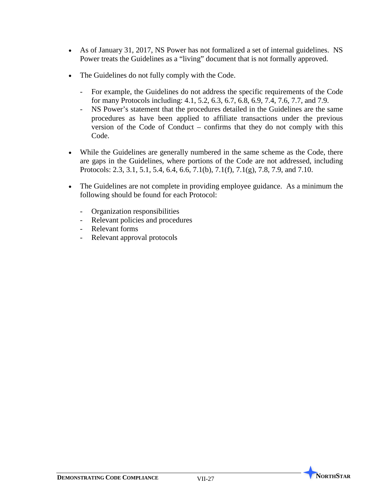- As of January 31, 2017, NS Power has not formalized a set of internal guidelines. NS Power treats the Guidelines as a "living" document that is not formally approved.
- The Guidelines do not fully comply with the Code.
	- For example, the Guidelines do not address the specific requirements of the Code for many Protocols including: 4.1, 5.2, 6.3, 6.7, 6.8, 6.9, 7.4, 7.6, 7.7, and 7.9.
	- NS Power's statement that the procedures detailed in the Guidelines are the same procedures as have been applied to affiliate transactions under the previous version of the Code of Conduct – confirms that they do not comply with this Code.
- While the Guidelines are generally numbered in the same scheme as the Code, there are gaps in the Guidelines, where portions of the Code are not addressed, including Protocols: 2.3, 3.1, 5.1, 5.4, 6.4, 6.6, 7.1(b), 7.1(f), 7.1(g), 7.8, 7.9, and 7.10.
- The Guidelines are not complete in providing employee guidance. As a minimum the following should be found for each Protocol:
	- Organization responsibilities
	- Relevant policies and procedures
	- Relevant forms
	- Relevant approval protocols

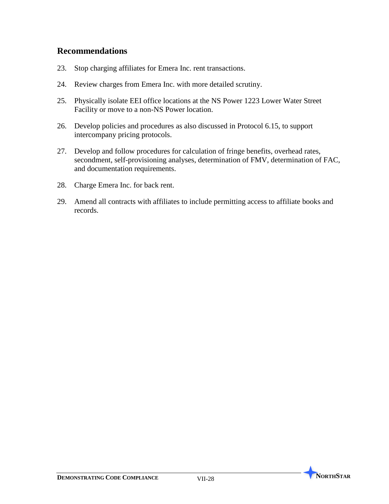# **Recommendations**

- 23. Stop charging affiliates for Emera Inc. rent transactions.
- 24. Review charges from Emera Inc. with more detailed scrutiny.
- 25. Physically isolate EEI office locations at the NS Power 1223 Lower Water Street Facility or move to a non-NS Power location.
- 26. Develop policies and procedures as also discussed in Protocol 6.15, to support intercompany pricing protocols.
- 27. Develop and follow procedures for calculation of fringe benefits, overhead rates, secondment, self-provisioning analyses, determination of FMV, determination of FAC, and documentation requirements.
- 28. Charge Emera Inc. for back rent.
- 29. Amend all contracts with affiliates to include permitting access to affiliate books and records.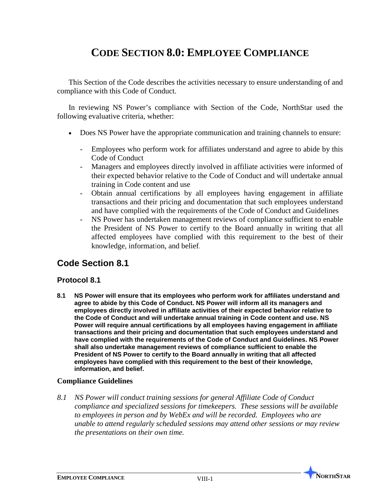# **CODE SECTION 8.0: EMPLOYEE COMPLIANCE**

This Section of the Code describes the activities necessary to ensure understanding of and compliance with this Code of Conduct.

In reviewing NS Power's compliance with Section of the Code, NorthStar used the following evaluative criteria, whether:

- Does NS Power have the appropriate communication and training channels to ensure:
	- Employees who perform work for affiliates understand and agree to abide by this Code of Conduct
	- Managers and employees directly involved in affiliate activities were informed of their expected behavior relative to the Code of Conduct and will undertake annual training in Code content and use
	- Obtain annual certifications by all employees having engagement in affiliate transactions and their pricing and documentation that such employees understand and have complied with the requirements of the Code of Conduct and Guidelines
	- NS Power has undertaken management reviews of compliance sufficient to enable the President of NS Power to certify to the Board annually in writing that all affected employees have complied with this requirement to the best of their knowledge, information, and belief.

## **Code Section 8.1**

#### **Protocol 8.1**

**8.1 NS Power will ensure that its employees who perform work for affiliates understand and agree to abide by this Code of Conduct. NS Power will inform all its managers and employees directly involved in affiliate activities of their expected behavior relative to the Code of Conduct and will undertake annual training in Code content and use. NS Power will require annual certifications by all employees having engagement in affiliate transactions and their pricing and documentation that such employees understand and have complied with the requirements of the Code of Conduct and Guidelines. NS Power shall also undertake management reviews of compliance sufficient to enable the President of NS Power to certify to the Board annually in writing that all affected employees have complied with this requirement to the best of their knowledge, information, and belief.**

#### **Compliance Guidelines**

*8.1 NS Power will conduct training sessions for general Affiliate Code of Conduct compliance and specialized sessions for timekeepers. These sessions will be available to employees in person and by WebEx and will be recorded. Employees who are unable to attend regularly scheduled sessions may attend other sessions or may review the presentations on their own time.*

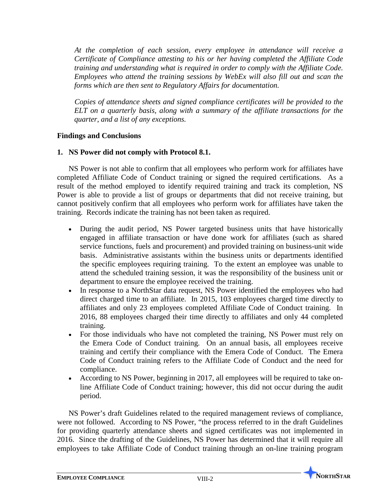*At the completion of each session, every employee in attendance will receive a Certificate of Compliance attesting to his or her having completed the Affiliate Code training and understanding what is required in order to comply with the Affiliate Code. Employees who attend the training sessions by WebEx will also fill out and scan the forms which are then sent to Regulatory Affairs for documentation.*

*Copies of attendance sheets and signed compliance certificates will be provided to the ELT on a quarterly basis, along with a summary of the affiliate transactions for the quarter, and a list of any exceptions.*

#### **Findings and Conclusions**

#### **1. NS Power did not comply with Protocol 8.1.**

NS Power is not able to confirm that all employees who perform work for affiliates have completed Affiliate Code of Conduct training or signed the required certifications. As a result of the method employed to identify required training and track its completion, NS Power is able to provide a list of groups or departments that did not receive training, but cannot positively confirm that all employees who perform work for affiliates have taken the training. Records indicate the training has not been taken as required.

- During the audit period, NS Power targeted business units that have historically engaged in affiliate transaction or have done work for affiliates (such as shared service functions, fuels and procurement) and provided training on business-unit wide basis. Administrative assistants within the business units or departments identified the specific employees requiring training. To the extent an employee was unable to attend the scheduled training session, it was the responsibility of the business unit or department to ensure the employee received the training.
- In response to a NorthStar data request, NS Power identified the employees who had direct charged time to an affiliate. In 2015, 103 employees charged time directly to affiliates and only 23 employees completed Affiliate Code of Conduct training. In 2016, 88 employees charged their time directly to affiliates and only 44 completed training.
- For those individuals who have not completed the training, NS Power must rely on the Emera Code of Conduct training. On an annual basis, all employees receive training and certify their compliance with the Emera Code of Conduct. The Emera Code of Conduct training refers to the Affiliate Code of Conduct and the need for compliance.
- According to NS Power, beginning in 2017, all employees will be required to take online Affiliate Code of Conduct training; however, this did not occur during the audit period.

NS Power's draft Guidelines related to the required management reviews of compliance, were not followed. According to NS Power, "the process referred to in the draft Guidelines for providing quarterly attendance sheets and signed certificates was not implemented in 2016. Since the drafting of the Guidelines, NS Power has determined that it will require all employees to take Affiliate Code of Conduct training through an on-line training program

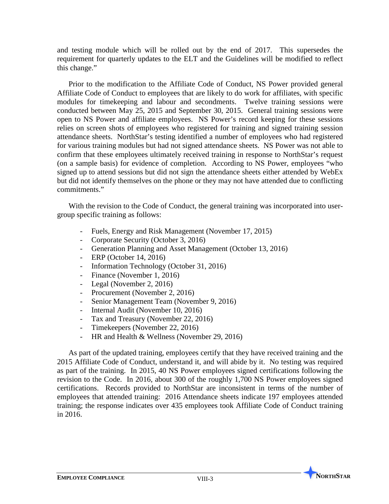and testing module which will be rolled out by the end of 2017. This supersedes the requirement for quarterly updates to the ELT and the Guidelines will be modified to reflect this change."

Prior to the modification to the Affiliate Code of Conduct, NS Power provided general Affiliate Code of Conduct to employees that are likely to do work for affiliates, with specific modules for timekeeping and labour and secondments. Twelve training sessions were conducted between May 25, 2015 and September 30, 2015. General training sessions were open to NS Power and affiliate employees. NS Power's record keeping for these sessions relies on screen shots of employees who registered for training and signed training session attendance sheets. NorthStar's testing identified a number of employees who had registered for various training modules but had not signed attendance sheets. NS Power was not able to confirm that these employees ultimately received training in response to NorthStar's request (on a sample basis) for evidence of completion. According to NS Power, employees "who signed up to attend sessions but did not sign the attendance sheets either attended by WebEx but did not identify themselves on the phone or they may not have attended due to conflicting commitments."

With the revision to the Code of Conduct, the general training was incorporated into usergroup specific training as follows:

- Fuels, Energy and Risk Management (November 17, 2015)
- Corporate Security (October 3, 2016)
- Generation Planning and Asset Management (October 13, 2016)
- ERP (October 14, 2016)
- Information Technology (October 31, 2016)
- Finance (November 1, 2016)
- Legal (November 2, 2016)
- Procurement (November 2, 2016)
- Senior Management Team (November 9, 2016)
- Internal Audit (November 10, 2016)
- Tax and Treasury (November 22, 2016)
- Timekeepers (November 22, 2016)
- HR and Health & Wellness (November 29, 2016)

As part of the updated training, employees certify that they have received training and the 2015 Affiliate Code of Conduct, understand it, and will abide by it. No testing was required as part of the training. In 2015, 40 NS Power employees signed certifications following the revision to the Code. In 2016, about 300 of the roughly 1,700 NS Power employees signed certifications. Records provided to NorthStar are inconsistent in terms of the number of employees that attended training: 2016 Attendance sheets indicate 197 employees attended training; the response indicates over 435 employees took Affiliate Code of Conduct training in 2016.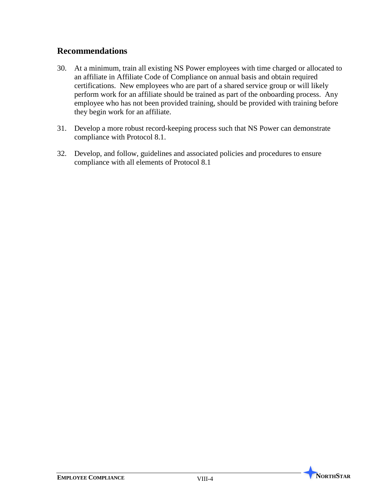## **Recommendations**

- 30. At a minimum, train all existing NS Power employees with time charged or allocated to an affiliate in Affiliate Code of Compliance on annual basis and obtain required certifications. New employees who are part of a shared service group or will likely perform work for an affiliate should be trained as part of the onboarding process. Any employee who has not been provided training, should be provided with training before they begin work for an affiliate.
- 31. Develop a more robust record-keeping process such that NS Power can demonstrate compliance with Protocol 8.1.
- 32. Develop, and follow, guidelines and associated policies and procedures to ensure compliance with all elements of Protocol 8.1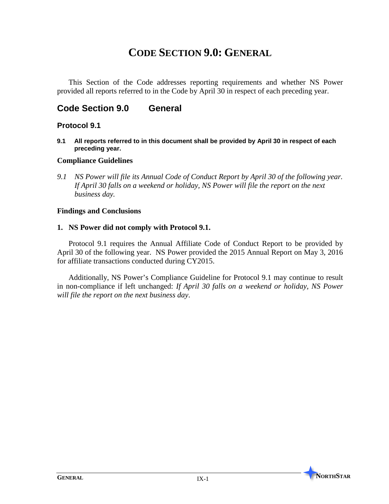# **CODE SECTION 9.0: GENERAL**

This Section of the Code addresses reporting requirements and whether NS Power provided all reports referred to in the Code by April 30 in respect of each preceding year.

## **Code Section 9.0 General**

#### **Protocol 9.1**

**9.1 All reports referred to in this document shall be provided by April 30 in respect of each preceding year.**

#### **Compliance Guidelines**

*9.1 NS Power will file its Annual Code of Conduct Report by April 30 of the following year. If April 30 falls on a weekend or holiday, NS Power will file the report on the next business day.*

#### **Findings and Conclusions**

#### **1. NS Power did not comply with Protocol 9.1.**

Protocol 9.1 requires the Annual Affiliate Code of Conduct Report to be provided by April 30 of the following year. NS Power provided the 2015 Annual Report on May 3, 2016 for affiliate transactions conducted during CY2015.

Additionally, NS Power's Compliance Guideline for Protocol 9.1 may continue to result in non-compliance if left unchanged: *If April 30 falls on a weekend or holiday, NS Power will file the report on the next business day*.